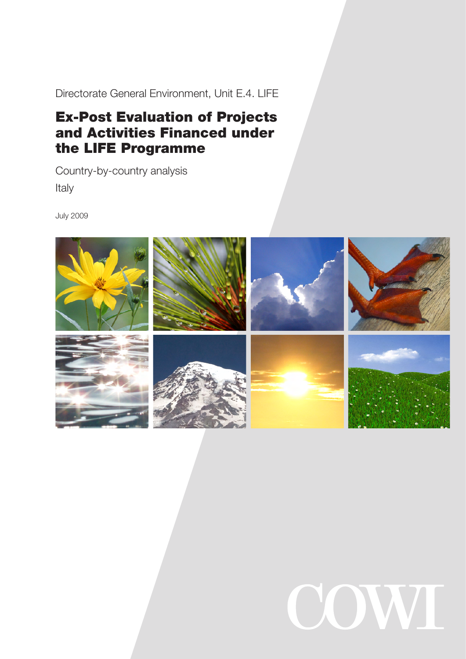Directorate General Environment, Unit E.4. LIFE

# Ex-Post Evaluation of Projects and Activities Financed under the LIFE Programme

Country-by-country analysis Italy

July 2009



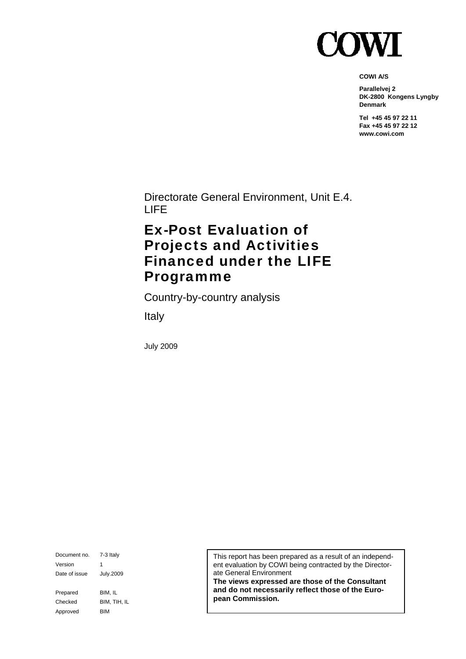

**COWI A/S** 

**Parallelvej 2 DK-2800 Kongens Lyngby Denmark** 

**Tel +45 45 97 22 11 Fax +45 45 97 22 12 www.cowi.com** 

Directorate General Environment, Unit E.4. LIFE

# Ex-Post Evaluation of Projects and Activities Financed under the LIFE Programme

Country-by-country analysis

Italy

July 2009

Document no. 7-3 Italy Version 1 Date of issue July.2009 Prepared BIM, IL Checked BIM, TIH, IL Approved BIM

This report has been prepared as a result of an independent evaluation by COWI being contracted by the Directorate General Environment

**The views expressed are those of the Consultant and do not necessarily reflect those of the European Commission.**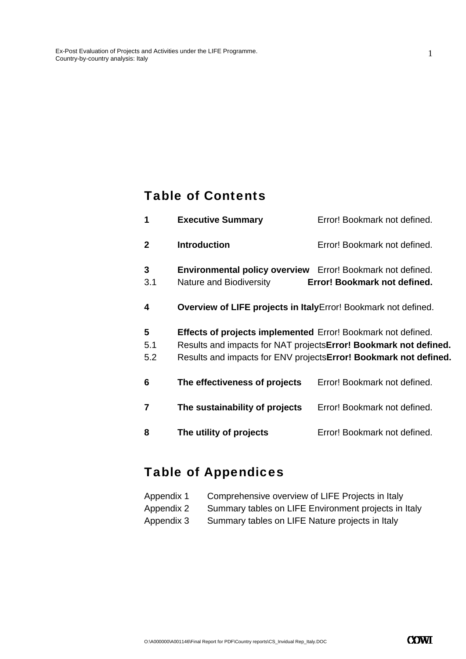### Table of Contents

| 1               | <b>Executive Summary</b>                                                              | Error! Bookmark not defined.                                                                                                                  |
|-----------------|---------------------------------------------------------------------------------------|-----------------------------------------------------------------------------------------------------------------------------------------------|
| 2               | <b>Introduction</b>                                                                   | Error! Bookmark not defined.                                                                                                                  |
| 3<br>3.1        | Environmental policy overview Error! Bookmark not defined.<br>Nature and Biodiversity | Error! Bookmark not defined.                                                                                                                  |
| 4               | Overview of LIFE projects in ItalyError! Bookmark not defined.                        |                                                                                                                                               |
| 5<br>5.1<br>5.2 | <b>Effects of projects implemented</b> Error! Bookmark not defined.                   | Results and impacts for NAT projects <b>Error! Bookmark not defined.</b><br>Results and impacts for ENV projects Error! Bookmark not defined. |
| 6               | The effectiveness of projects                                                         | Error! Bookmark not defined.                                                                                                                  |
| 7               | The sustainability of projects                                                        | Error! Bookmark not defined.                                                                                                                  |
| 8               | The utility of projects                                                               | Error! Bookmark not defined.                                                                                                                  |
|                 |                                                                                       |                                                                                                                                               |

# Table of Appendices

| Appendix 1 | Comprehensive overview of LIFE Projects in Italy     |
|------------|------------------------------------------------------|
| Appendix 2 | Summary tables on LIFE Environment projects in Italy |
| Appendix 3 | Summary tables on LIFE Nature projects in Italy      |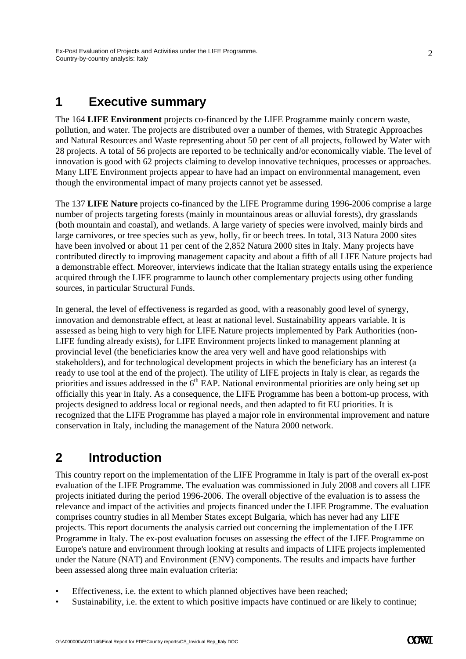### **1 Executive summary**

The 164 **LIFE Environment** projects co-financed by the LIFE Programme mainly concern waste, pollution, and water. The projects are distributed over a number of themes, with Strategic Approaches and Natural Resources and Waste representing about 50 per cent of all projects, followed by Water with 28 projects. A total of 56 projects are reported to be technically and/or economically viable. The level of innovation is good with 62 projects claiming to develop innovative techniques, processes or approaches. Many LIFE Environment projects appear to have had an impact on environmental management, even though the environmental impact of many projects cannot yet be assessed.

The 137 **LIFE Nature** projects co-financed by the LIFE Programme during 1996-2006 comprise a large number of projects targeting forests (mainly in mountainous areas or alluvial forests), dry grasslands (both mountain and coastal), and wetlands. A large variety of species were involved, mainly birds and large carnivores, or tree species such as yew, holly, fir or beech trees. In total, 313 Natura 2000 sites have been involved or about 11 per cent of the 2,852 Natura 2000 sites in Italy. Many projects have contributed directly to improving management capacity and about a fifth of all LIFE Nature projects had a demonstrable effect. Moreover, interviews indicate that the Italian strategy entails using the experience acquired through the LIFE programme to launch other complementary projects using other funding sources, in particular Structural Funds.

In general, the level of effectiveness is regarded as good, with a reasonably good level of synergy, innovation and demonstrable effect, at least at national level. Sustainability appears variable. It is assessed as being high to very high for LIFE Nature projects implemented by Park Authorities (non-LIFE funding already exists), for LIFE Environment projects linked to management planning at provincial level (the beneficiaries know the area very well and have good relationships with stakeholders), and for technological development projects in which the beneficiary has an interest (a ready to use tool at the end of the project). The utility of LIFE projects in Italy is clear, as regards the priorities and issues addressed in the  $6<sup>th</sup>$  EAP. National environmental priorities are only being set up officially this year in Italy. As a consequence, the LIFE Programme has been a bottom-up process, with projects designed to address local or regional needs, and then adapted to fit EU priorities. It is recognized that the LIFE Programme has played a major role in environmental improvement and nature conservation in Italy, including the management of the Natura 2000 network.

### **2 Introduction**

This country report on the implementation of the LIFE Programme in Italy is part of the overall ex-post evaluation of the LIFE Programme. The evaluation was commissioned in July 2008 and covers all LIFE projects initiated during the period 1996-2006. The overall objective of the evaluation is to assess the relevance and impact of the activities and projects financed under the LIFE Programme. The evaluation comprises country studies in all Member States except Bulgaria, which has never had any LIFE projects. This report documents the analysis carried out concerning the implementation of the LIFE Programme in Italy. The ex-post evaluation focuses on assessing the effect of the LIFE Programme on Europe's nature and environment through looking at results and impacts of LIFE projects implemented under the Nature (NAT) and Environment (ENV) components. The results and impacts have further been assessed along three main evaluation criteria:

- Effectiveness, i.e. the extent to which planned objectives have been reached;
- Sustainability, i.e. the extent to which positive impacts have continued or are likely to continue;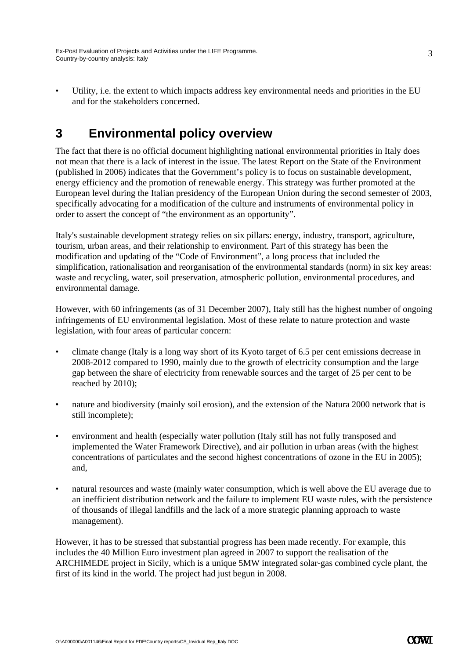and for the stakeholders concerned.

Utility, i.e. the extent to which impacts address key environmental needs and priorities in the EU

## **3 Environmental policy overview**

The fact that there is no official document highlighting national environmental priorities in Italy does not mean that there is a lack of interest in the issue. The latest Report on the State of the Environment (published in 2006) indicates that the Government's policy is to focus on sustainable development, energy efficiency and the promotion of renewable energy. This strategy was further promoted at the European level during the Italian presidency of the European Union during the second semester of 2003, specifically advocating for a modification of the culture and instruments of environmental policy in order to assert the concept of "the environment as an opportunity".

Italy's sustainable development strategy relies on six pillars: energy, industry, transport, agriculture, tourism, urban areas, and their relationship to environment. Part of this strategy has been the modification and updating of the "Code of Environment", a long process that included the simplification, rationalisation and reorganisation of the environmental standards (norm) in six key areas: waste and recycling, water, soil preservation, atmospheric pollution, environmental procedures, and environmental damage.

However, with 60 infringements (as of 31 December 2007), Italy still has the highest number of ongoing infringements of EU environmental legislation. Most of these relate to nature protection and waste legislation, with four areas of particular concern:

- climate change (Italy is a long way short of its Kyoto target of 6.5 per cent emissions decrease in 2008-2012 compared to 1990, mainly due to the growth of electricity consumption and the large gap between the share of electricity from renewable sources and the target of 25 per cent to be reached by 2010);
- nature and biodiversity (mainly soil erosion), and the extension of the Natura 2000 network that is still incomplete);
- environment and health (especially water pollution (Italy still has not fully transposed and implemented the Water Framework Directive), and air pollution in urban areas (with the highest concentrations of particulates and the second highest concentrations of ozone in the EU in 2005); and,
- natural resources and waste (mainly water consumption, which is well above the EU average due to an inefficient distribution network and the failure to implement EU waste rules, with the persistence of thousands of illegal landfills and the lack of a more strategic planning approach to waste management).

However, it has to be stressed that substantial progress has been made recently. For example, this includes the 40 Million Euro investment plan agreed in 2007 to support the realisation of the ARCHIMEDE project in Sicily, which is a unique 5MW integrated solar-gas combined cycle plant, the first of its kind in the world. The project had just begun in 2008.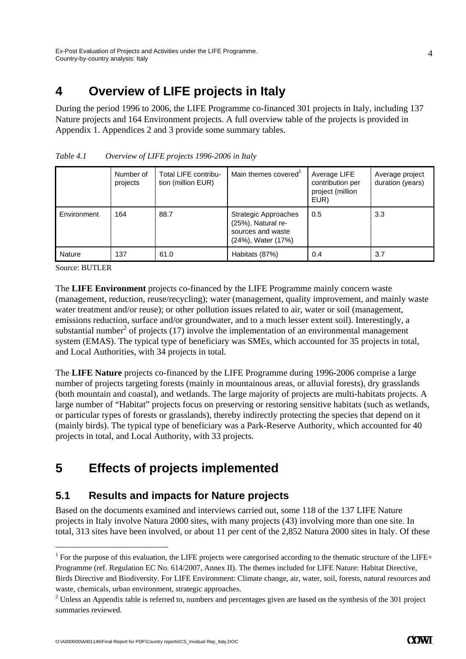# **4 Overview of LIFE projects in Italy**

During the period 1996 to 2006, the LIFE Programme co-financed 301 projects in Italy, including 137 Nature projects and 164 Environment projects. A full overview table of the projects is provided in Appendix 1. Appendices 2 and 3 provide some summary tables.

|             | Number of<br>projects | Total LIFE contribu-<br>tion (million EUR) | Main themes covered                                                                   | Average LIFE<br>contribution per<br>project (million<br>EUR) | Average project<br>duration (years) |
|-------------|-----------------------|--------------------------------------------|---------------------------------------------------------------------------------------|--------------------------------------------------------------|-------------------------------------|
| Environment | 164                   | 88.7                                       | Strategic Approaches<br>(25%), Natural re-<br>sources and waste<br>(24%), Water (17%) | 0.5                                                          | 3.3                                 |
| Nature      | 137                   | 61.0                                       | Habitats (87%)                                                                        | 0.4                                                          | 3.7                                 |

*Table 4.1 Overview of LIFE projects 1996-2006 in Italy* 

Source: BUTLER

-

The **LIFE Environment** projects co-financed by the LIFE Programme mainly concern waste (management, reduction, reuse/recycling); water (management, quality improvement, and mainly waste water treatment and/or reuse); or other pollution issues related to air, water or soil (management, emissions reduction, surface and/or groundwater, and to a much lesser extent soil). Interestingly, a substantial number<sup>2</sup> of projects (17) involve the implementation of an environmental management system (EMAS). The typical type of beneficiary was SMEs, which accounted for 35 projects in total, and Local Authorities, with 34 projects in total.

The **LIFE Nature** projects co-financed by the LIFE Programme during 1996-2006 comprise a large number of projects targeting forests (mainly in mountainous areas, or alluvial forests), dry grasslands (both mountain and coastal), and wetlands. The large majority of projects are multi-habitats projects. A large number of "Habitat" projects focus on preserving or restoring sensitive habitats (such as wetlands, or particular types of forests or grasslands), thereby indirectly protecting the species that depend on it (mainly birds). The typical type of beneficiary was a Park-Reserve Authority, which accounted for 40 projects in total, and Local Authority, with 33 projects.

# **5 Effects of projects implemented**

### **5.1 Results and impacts for Nature projects**

Based on the documents examined and interviews carried out, some 118 of the 137 LIFE Nature projects in Italy involve Natura 2000 sites, with many projects (43) involving more than one site. In total, 313 sites have been involved, or about 11 per cent of the 2,852 Natura 2000 sites in Italy. Of these

<sup>&</sup>lt;sup>1</sup> For the purpose of this evaluation, the LIFE projects were categorised according to the thematic structure of the LIFE+ Programme (ref. Regulation EC No. 614/2007, Annex II). The themes included for LIFE Nature: Habitat Directive, Birds Directive and Biodiversity. For LIFE Environment: Climate change, air, water, soil, forests, natural resources and waste, chemicals, urban environment, strategic approaches.

 $2$  Unless an Appendix table is referred to, numbers and percentages given are based on the synthesis of the 301 project summaries reviewed.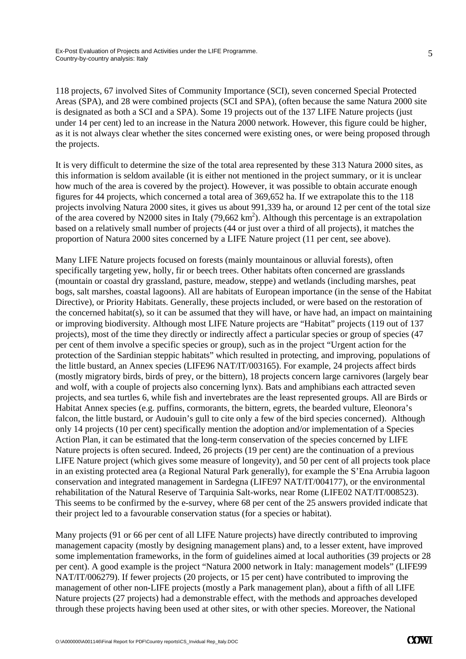118 projects, 67 involved Sites of Community Importance (SCI), seven concerned Special Protected Areas (SPA), and 28 were combined projects (SCI and SPA), (often because the same Natura 2000 site is designated as both a SCI and a SPA). Some 19 projects out of the 137 LIFE Nature projects (just under 14 per cent) led to an increase in the Natura 2000 network. However, this figure could be higher, as it is not always clear whether the sites concerned were existing ones, or were being proposed through the projects.

It is very difficult to determine the size of the total area represented by these 313 Natura 2000 sites, as this information is seldom available (it is either not mentioned in the project summary, or it is unclear how much of the area is covered by the project). However, it was possible to obtain accurate enough figures for 44 projects, which concerned a total area of 369,652 ha. If we extrapolate this to the 118 projects involving Natura 2000 sites, it gives us about 991,339 ha, or around 12 per cent of the total size of the area covered by N2000 sites in Italy  $(79,662 \text{ km}^2)$ . Although this percentage is an extrapolation based on a relatively small number of projects (44 or just over a third of all projects), it matches the proportion of Natura 2000 sites concerned by a LIFE Nature project (11 per cent, see above).

Many LIFE Nature projects focused on forests (mainly mountainous or alluvial forests), often specifically targeting yew, holly, fir or beech trees. Other habitats often concerned are grasslands (mountain or coastal dry grassland, pasture, meadow, steppe) and wetlands (including marshes, peat bogs, salt marshes, coastal lagoons). All are habitats of European importance (in the sense of the Habitat Directive), or Priority Habitats. Generally, these projects included, or were based on the restoration of the concerned habitat(s), so it can be assumed that they will have, or have had, an impact on maintaining or improving biodiversity. Although most LIFE Nature projects are "Habitat" projects (119 out of 137 projects), most of the time they directly or indirectly affect a particular species or group of species (47 per cent of them involve a specific species or group), such as in the project "Urgent action for the protection of the Sardinian steppic habitats" which resulted in protecting, and improving, populations of the little bustard, an Annex species (LIFE96 NAT/IT/003165). For example, 24 projects affect birds (mostly migratory birds, birds of prey, or the bittern), 18 projects concern large carnivores (largely bear and wolf, with a couple of projects also concerning lynx). Bats and amphibians each attracted seven projects, and sea turtles 6, while fish and invertebrates are the least represented groups. All are Birds or Habitat Annex species (e.g. puffins, cormorants, the bittern, egrets, the bearded vulture, Eleonora's falcon, the little bustard, or Audouin's gull to cite only a few of the bird species concerned). Although only 14 projects (10 per cent) specifically mention the adoption and/or implementation of a Species Action Plan, it can be estimated that the long-term conservation of the species concerned by LIFE Nature projects is often secured. Indeed, 26 projects (19 per cent) are the continuation of a previous LIFE Nature project (which gives some measure of longevity), and 50 per cent of all projects took place in an existing protected area (a Regional Natural Park generally), for example the S'Ena Arrubia lagoon conservation and integrated management in Sardegna (LIFE97 NAT/IT/004177), or the environmental rehabilitation of the Natural Reserve of Tarquinia Salt-works, near Rome (LIFE02 NAT/IT/008523). This seems to be confirmed by the e-survey, where 68 per cent of the 25 answers provided indicate that their project led to a favourable conservation status (for a species or habitat).

Many projects (91 or 66 per cent of all LIFE Nature projects) have directly contributed to improving management capacity (mostly by designing management plans) and, to a lesser extent, have improved some implementation frameworks, in the form of guidelines aimed at local authorities (39 projects or 28 per cent). A good example is the project "Natura 2000 network in Italy: management models" (LIFE99 NAT/IT/006279). If fewer projects (20 projects, or 15 per cent) have contributed to improving the management of other non-LIFE projects (mostly a Park management plan), about a fifth of all LIFE Nature projects (27 projects) had a demonstrable effect, with the methods and approaches developed through these projects having been used at other sites, or with other species. Moreover, the National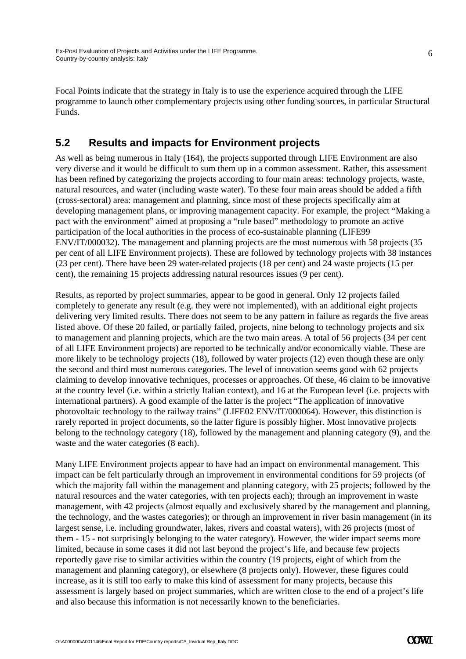Focal Points indicate that the strategy in Italy is to use the experience acquired through the LIFE programme to launch other complementary projects using other funding sources, in particular Structural Funds.

### **5.2 Results and impacts for Environment projects**

As well as being numerous in Italy (164), the projects supported through LIFE Environment are also very diverse and it would be difficult to sum them up in a common assessment. Rather, this assessment has been refined by categorizing the projects according to four main areas: technology projects, waste, natural resources, and water (including waste water). To these four main areas should be added a fifth (cross-sectoral) area: management and planning, since most of these projects specifically aim at developing management plans, or improving management capacity. For example, the project "Making a pact with the environment" aimed at proposing a "rule based" methodology to promote an active participation of the local authorities in the process of eco-sustainable planning (LIFE99 ENV/IT/000032). The management and planning projects are the most numerous with 58 projects (35 per cent of all LIFE Environment projects). These are followed by technology projects with 38 instances (23 per cent). There have been 29 water-related projects (18 per cent) and 24 waste projects (15 per cent), the remaining 15 projects addressing natural resources issues (9 per cent).

Results, as reported by project summaries, appear to be good in general. Only 12 projects failed completely to generate any result (e.g. they were not implemented), with an additional eight projects delivering very limited results. There does not seem to be any pattern in failure as regards the five areas listed above. Of these 20 failed, or partially failed, projects, nine belong to technology projects and six to management and planning projects, which are the two main areas. A total of 56 projects (34 per cent of all LIFE Environment projects) are reported to be technically and/or economically viable. These are more likely to be technology projects (18), followed by water projects (12) even though these are only the second and third most numerous categories. The level of innovation seems good with 62 projects claiming to develop innovative techniques, processes or approaches. Of these, 46 claim to be innovative at the country level (i.e. within a strictly Italian context), and 16 at the European level (i.e. projects with international partners). A good example of the latter is the project "The application of innovative photovoltaic technology to the railway trains" (LIFE02 ENV/IT/000064). However, this distinction is rarely reported in project documents, so the latter figure is possibly higher. Most innovative projects belong to the technology category (18), followed by the management and planning category (9), and the waste and the water categories (8 each).

Many LIFE Environment projects appear to have had an impact on environmental management. This impact can be felt particularly through an improvement in environmental conditions for 59 projects (of which the majority fall within the management and planning category, with 25 projects; followed by the natural resources and the water categories, with ten projects each); through an improvement in waste management, with 42 projects (almost equally and exclusively shared by the management and planning, the technology, and the wastes categories); or through an improvement in river basin management (in its largest sense, i.e. including groundwater, lakes, rivers and coastal waters), with 26 projects (most of them - 15 - not surprisingly belonging to the water category). However, the wider impact seems more limited, because in some cases it did not last beyond the project's life, and because few projects reportedly gave rise to similar activities within the country (19 projects, eight of which from the management and planning category), or elsewhere (8 projects only). However, these figures could increase, as it is still too early to make this kind of assessment for many projects, because this assessment is largely based on project summaries, which are written close to the end of a project's life and also because this information is not necessarily known to the beneficiaries.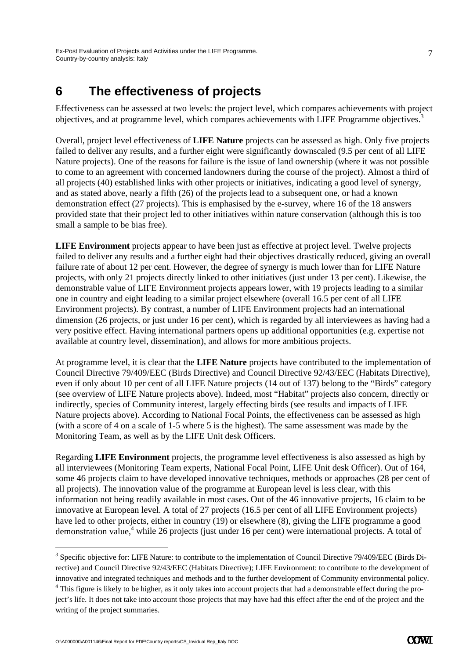### **6 The effectiveness of projects**

Effectiveness can be assessed at two levels: the project level, which compares achievements with project objectives, and at programme level, which compares achievements with LIFE Programme objectives.3

Overall, project level effectiveness of **LIFE Nature** projects can be assessed as high. Only five projects failed to deliver any results, and a further eight were significantly downscaled (9.5 per cent of all LIFE Nature projects). One of the reasons for failure is the issue of land ownership (where it was not possible to come to an agreement with concerned landowners during the course of the project). Almost a third of all projects (40) established links with other projects or initiatives, indicating a good level of synergy, and as stated above, nearly a fifth (26) of the projects lead to a subsequent one, or had a known demonstration effect (27 projects). This is emphasised by the e-survey, where 16 of the 18 answers provided state that their project led to other initiatives within nature conservation (although this is too small a sample to be bias free).

**LIFE Environment** projects appear to have been just as effective at project level. Twelve projects failed to deliver any results and a further eight had their objectives drastically reduced, giving an overall failure rate of about 12 per cent. However, the degree of synergy is much lower than for LIFE Nature projects, with only 21 projects directly linked to other initiatives (just under 13 per cent). Likewise, the demonstrable value of LIFE Environment projects appears lower, with 19 projects leading to a similar one in country and eight leading to a similar project elsewhere (overall 16.5 per cent of all LIFE Environment projects). By contrast, a number of LIFE Environment projects had an international dimension (26 projects, or just under 16 per cent), which is regarded by all interviewees as having had a very positive effect. Having international partners opens up additional opportunities (e.g. expertise not available at country level, dissemination), and allows for more ambitious projects.

At programme level, it is clear that the **LIFE Nature** projects have contributed to the implementation of Council Directive 79/409/EEC (Birds Directive) and Council Directive 92/43/EEC (Habitats Directive), even if only about 10 per cent of all LIFE Nature projects (14 out of 137) belong to the "Birds" category (see overview of LIFE Nature projects above). Indeed, most "Habitat" projects also concern, directly or indirectly, species of Community interest, largely effecting birds (see results and impacts of LIFE Nature projects above). According to National Focal Points, the effectiveness can be assessed as high (with a score of 4 on a scale of 1-5 where 5 is the highest). The same assessment was made by the Monitoring Team, as well as by the LIFE Unit desk Officers.

Regarding **LIFE Environment** projects, the programme level effectiveness is also assessed as high by all interviewees (Monitoring Team experts, National Focal Point, LIFE Unit desk Officer). Out of 164, some 46 projects claim to have developed innovative techniques, methods or approaches (28 per cent of all projects). The innovation value of the programme at European level is less clear, with this information not being readily available in most cases. Out of the 46 innovative projects, 16 claim to be innovative at European level. A total of 27 projects (16.5 per cent of all LIFE Environment projects) have led to other projects, either in country (19) or elsewhere (8), giving the LIFE programme a good demonstration value,<sup>4</sup> while 26 projects (just under 16 per cent) were international projects. A total of

-

<sup>&</sup>lt;sup>3</sup> Specific objective for: LIFE Nature: to contribute to the implementation of Council Directive 79/409/EEC (Birds Directive) and Council Directive 92/43/EEC (Habitats Directive); LIFE Environment: to contribute to the development of innovative and integrated techniques and methods and to the further development of Community environmental policy.  $4$  This figure is likely to be higher, as it only takes into account projects that had a demonstrable effect during the project's life. It does not take into account those projects that may have had this effect after the end of the project and the writing of the project summaries.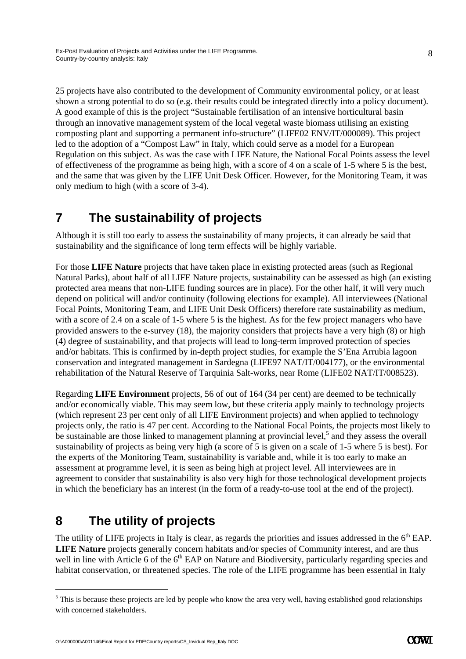25 projects have also contributed to the development of Community environmental policy, or at least shown a strong potential to do so (e.g. their results could be integrated directly into a policy document). A good example of this is the project "Sustainable fertilisation of an intensive horticultural basin through an innovative management system of the local vegetal waste biomass utilising an existing composting plant and supporting a permanent info-structure" (LIFE02 ENV/IT/000089). This project led to the adoption of a "Compost Law" in Italy, which could serve as a model for a European Regulation on this subject. As was the case with LIFE Nature, the National Focal Points assess the level of effectiveness of the programme as being high, with a score of 4 on a scale of 1-5 where 5 is the best, and the same that was given by the LIFE Unit Desk Officer. However, for the Monitoring Team, it was only medium to high (with a score of 3-4).

# **7 The sustainability of projects**

Although it is still too early to assess the sustainability of many projects, it can already be said that sustainability and the significance of long term effects will be highly variable.

For those **LIFE Nature** projects that have taken place in existing protected areas (such as Regional Natural Parks), about half of all LIFE Nature projects, sustainability can be assessed as high (an existing protected area means that non-LIFE funding sources are in place). For the other half, it will very much depend on political will and/or continuity (following elections for example). All interviewees (National Focal Points, Monitoring Team, and LIFE Unit Desk Officers) therefore rate sustainability as medium, with a score of 2.4 on a scale of 1-5 where 5 is the highest. As for the few project managers who have provided answers to the e-survey (18), the majority considers that projects have a very high (8) or high (4) degree of sustainability, and that projects will lead to long-term improved protection of species and/or habitats. This is confirmed by in-depth project studies, for example the S'Ena Arrubia lagoon conservation and integrated management in Sardegna (LIFE97 NAT/IT/004177), or the environmental rehabilitation of the Natural Reserve of Tarquinia Salt-works, near Rome (LIFE02 NAT/IT/008523).

Regarding **LIFE Environment** projects, 56 of out of 164 (34 per cent) are deemed to be technically and/or economically viable. This may seem low, but these criteria apply mainly to technology projects (which represent 23 per cent only of all LIFE Environment projects) and when applied to technology projects only, the ratio is 47 per cent. According to the National Focal Points, the projects most likely to be sustainable are those linked to management planning at provincial level,<sup>5</sup> and they assess the overall sustainability of projects as being very high (a score of 5 is given on a scale of 1-5 where 5 is best). For the experts of the Monitoring Team, sustainability is variable and, while it is too early to make an assessment at programme level, it is seen as being high at project level. All interviewees are in agreement to consider that sustainability is also very high for those technological development projects in which the beneficiary has an interest (in the form of a ready-to-use tool at the end of the project).

# **8 The utility of projects**

-

The utility of LIFE projects in Italy is clear, as regards the priorities and issues addressed in the  $6<sup>th</sup>$  EAP. **LIFE Nature** projects generally concern habitats and/or species of Community interest, and are thus well in line with Article 6 of the  $6<sup>th</sup>$  EAP on Nature and Biodiversity, particularly regarding species and habitat conservation, or threatened species. The role of the LIFE programme has been essential in Italy

 $<sup>5</sup>$  This is because these projects are led by people who know the area very well, having established good relationships</sup> with concerned stakeholders.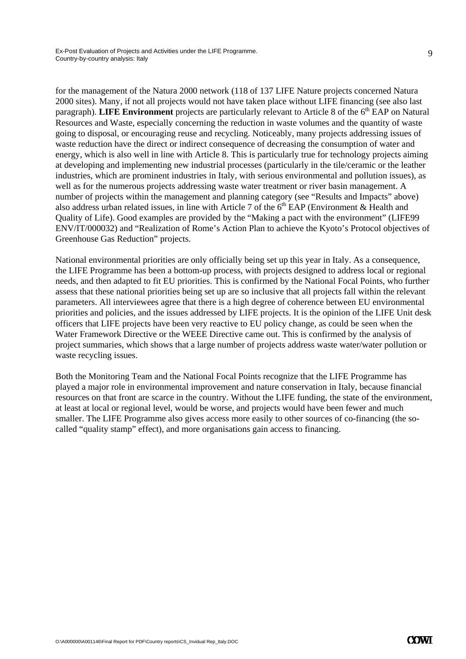for the management of the Natura 2000 network (118 of 137 LIFE Nature projects concerned Natura 2000 sites). Many, if not all projects would not have taken place without LIFE financing (see also last paragraph). **LIFE Environment** projects are particularly relevant to Article 8 of the 6<sup>th</sup> EAP on Natural Resources and Waste, especially concerning the reduction in waste volumes and the quantity of waste going to disposal, or encouraging reuse and recycling. Noticeably, many projects addressing issues of waste reduction have the direct or indirect consequence of decreasing the consumption of water and energy, which is also well in line with Article 8. This is particularly true for technology projects aiming

at developing and implementing new industrial processes (particularly in the tile/ceramic or the leather industries, which are prominent industries in Italy, with serious environmental and pollution issues), as well as for the numerous projects addressing waste water treatment or river basin management. A number of projects within the management and planning category (see "Results and Impacts" above) also address urban related issues, in line with Article 7 of the  $6<sup>th</sup>$  EAP (Environment & Health and Quality of Life). Good examples are provided by the "Making a pact with the environment" (LIFE99 ENV/IT/000032) and "Realization of Rome's Action Plan to achieve the Kyoto's Protocol objectives of Greenhouse Gas Reduction" projects.

National environmental priorities are only officially being set up this year in Italy. As a consequence, the LIFE Programme has been a bottom-up process, with projects designed to address local or regional needs, and then adapted to fit EU priorities. This is confirmed by the National Focal Points, who further assess that these national priorities being set up are so inclusive that all projects fall within the relevant parameters. All interviewees agree that there is a high degree of coherence between EU environmental priorities and policies, and the issues addressed by LIFE projects. It is the opinion of the LIFE Unit desk officers that LIFE projects have been very reactive to EU policy change, as could be seen when the Water Framework Directive or the WEEE Directive came out. This is confirmed by the analysis of project summaries, which shows that a large number of projects address waste water/water pollution or waste recycling issues.

Both the Monitoring Team and the National Focal Points recognize that the LIFE Programme has played a major role in environmental improvement and nature conservation in Italy, because financial resources on that front are scarce in the country. Without the LIFE funding, the state of the environment, at least at local or regional level, would be worse, and projects would have been fewer and much smaller. The LIFE Programme also gives access more easily to other sources of co-financing (the socalled "quality stamp" effect), and more organisations gain access to financing.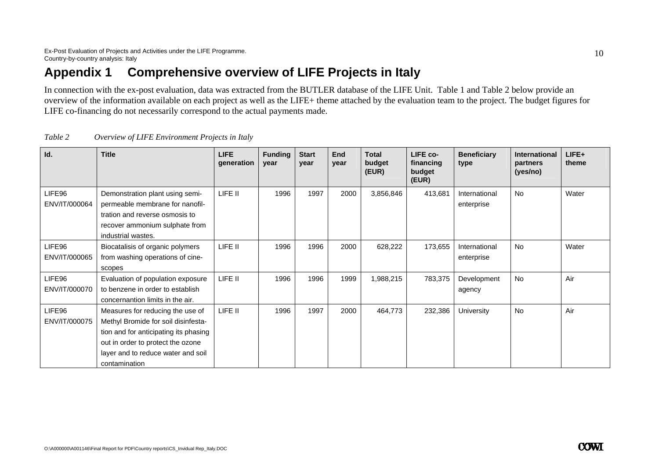## **Appendix 1 Comprehensive overview of LIFE Projects in Italy**

In connection with the ex-post evaluation, data was extracted from the BUTLER database of the LIFE Unit. Table 1 and Table 2 below provide an overview of the information available on each project as well as the LIFE+ theme attached by the evaluation team to the project. The budget figures for LIFE co-financing do not necessarily correspond to the actual payments made.

| Id.                     | <b>Title</b>                                                                                                                                                                                                 | LIFE.<br>generation | <b>Funding</b><br>year | <b>Start</b><br>year | End<br>year | <b>Total</b><br>budget<br>(EUR) | LIFE co-<br>financing<br>budget<br>(EUR) | <b>Beneficiary</b><br>type  | <b>International</b><br>partners<br>(yes/no) | $LIFE+$<br>theme |
|-------------------------|--------------------------------------------------------------------------------------------------------------------------------------------------------------------------------------------------------------|---------------------|------------------------|----------------------|-------------|---------------------------------|------------------------------------------|-----------------------------|----------------------------------------------|------------------|
| LIFE96<br>ENV/IT/000064 | Demonstration plant using semi-<br>permeable membrane for nanofil-<br>tration and reverse osmosis to<br>recover ammonium sulphate from<br>industrial wastes.                                                 | LIFE II             | 1996                   | 1997                 | 2000        | 3,856,846                       | 413,681                                  | International<br>enterprise | <b>No</b>                                    | Water            |
| LIFE96<br>ENV/IT/000065 | Biocatalisis of organic polymers<br>from washing operations of cine-<br>scopes                                                                                                                               | LIFE II             | 1996                   | 1996                 | 2000        | 628,222                         | 173,655                                  | International<br>enterprise | <b>No</b>                                    | Water            |
| LIFE96<br>ENV/IT/000070 | Evaluation of population exposure<br>to benzene in order to establish<br>concernantion limits in the air.                                                                                                    | LIFE II             | 1996                   | 1996                 | 1999        | 1,988,215                       | 783,375                                  | Development<br>agency       | <b>No</b>                                    | Air              |
| LIFE96<br>ENV/IT/000075 | Measures for reducing the use of<br>Methyl Bromide for soil disinfesta-<br>tion and for anticipating its phasing<br>out in order to protect the ozone<br>layer and to reduce water and soil<br>contamination | LIFE II             | 1996                   | 1997                 | 2000        | 464,773                         | 232,386                                  | University                  | <b>No</b>                                    | Air              |

| Table 2 |  | Overview of LIFE Environment Projects in Italy |  |
|---------|--|------------------------------------------------|--|
|         |  |                                                |  |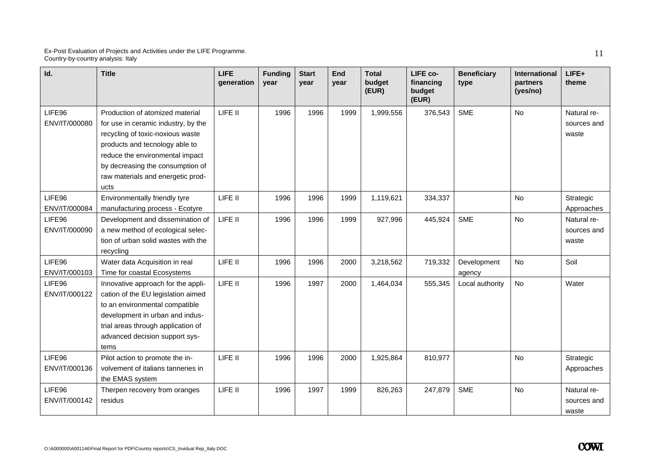| Id.                     | <b>Title</b>                                                                                                                                                                                                                                                     | <b>LIFE</b><br>generation | <b>Funding</b><br>year | <b>Start</b><br>vear | End<br>vear | <b>Total</b><br>budget<br>(EUR) | LIFE co-<br>financing<br>budget<br>(EUR) | <b>Beneficiary</b><br>type | International<br>partners<br>(yes/no) | LIFE+<br>theme                      |
|-------------------------|------------------------------------------------------------------------------------------------------------------------------------------------------------------------------------------------------------------------------------------------------------------|---------------------------|------------------------|----------------------|-------------|---------------------------------|------------------------------------------|----------------------------|---------------------------------------|-------------------------------------|
| LIFE96<br>ENV/IT/000080 | Production of atomized material<br>for use in ceramic industry, by the<br>recycling of toxic-noxious waste<br>products and tecnology able to<br>reduce the environmental impact<br>by decreasing the consumption of<br>raw materials and energetic prod-<br>ucts | LIFE II                   | 1996                   | 1996                 | 1999        | 1,999,556                       | 376,543                                  | <b>SME</b>                 | <b>No</b>                             | Natural re-<br>sources and<br>waste |
| LIFE96<br>ENV/IT/000084 | Environmentally friendly tyre<br>manufacturing process - Ecotyre                                                                                                                                                                                                 | LIFE II                   | 1996                   | 1996                 | 1999        | 1,119,621                       | 334,337                                  |                            | No                                    | Strategic<br>Approaches             |
| LIFE96<br>ENV/IT/000090 | Development and dissemination of<br>a new method of ecological selec-<br>tion of urban solid wastes with the<br>recycling                                                                                                                                        | LIFE II                   | 1996                   | 1996                 | 1999        | 927,996                         | 445,924                                  | <b>SME</b>                 | <b>No</b>                             | Natural re-<br>sources and<br>waste |
| LIFE96<br>ENV/IT/000103 | Water data Acquisition in real<br>Time for coastal Ecosystems                                                                                                                                                                                                    | LIFE II                   | 1996                   | 1996                 | 2000        | 3,218,562                       | 719,332                                  | Development<br>agency      | No                                    | Soil                                |
| LIFE96<br>ENV/IT/000122 | Innovative approach for the appli-<br>cation of the EU legislation aimed<br>to an environmental compatible<br>development in urban and indus-<br>trial areas through application of<br>advanced decision support sys-<br>tems                                    | LIFE II                   | 1996                   | 1997                 | 2000        | 1,464,034                       | 555,345                                  | Local authority            | <b>No</b>                             | Water                               |
| LIFE96<br>ENV/IT/000136 | Pilot action to promote the in-<br>volvement of italians tanneries in<br>the EMAS system                                                                                                                                                                         | LIFE II                   | 1996                   | 1996                 | 2000        | 1,925,864                       | 810,977                                  |                            | <b>No</b>                             | Strategic<br>Approaches             |
| LIFE96<br>ENV/IT/000142 | Therpen recovery from oranges<br>residus                                                                                                                                                                                                                         | LIFE II                   | 1996                   | 1997                 | 1999        | 826,263                         | 247,879                                  | <b>SME</b>                 | <b>No</b>                             | Natural re-<br>sources and<br>waste |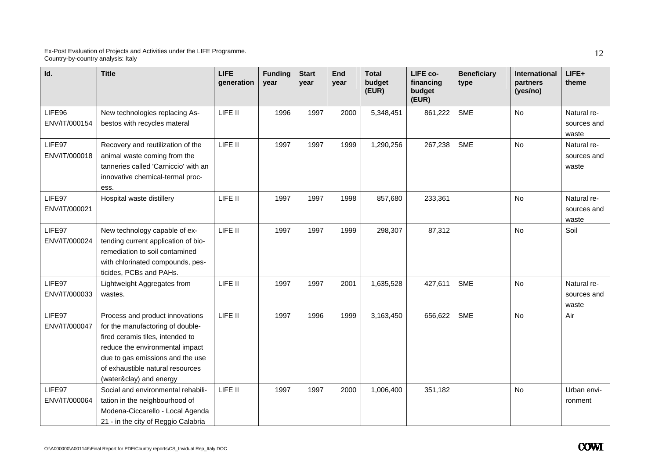| Id.                     | <b>Title</b>                                                                                                                                                                                                                                  | <b>LIFE</b><br>generation | <b>Funding</b><br>year | <b>Start</b><br>vear | End<br>vear | <b>Total</b><br>budget<br>(EUR) | LIFE co-<br>financing<br>budget<br>(EUR) | <b>Beneficiary</b><br>type | International<br>partners<br>(yes/no) | LIFE+<br>theme                      |
|-------------------------|-----------------------------------------------------------------------------------------------------------------------------------------------------------------------------------------------------------------------------------------------|---------------------------|------------------------|----------------------|-------------|---------------------------------|------------------------------------------|----------------------------|---------------------------------------|-------------------------------------|
| LIFE96<br>ENV/IT/000154 | New technologies replacing As-<br>bestos with recycles materal                                                                                                                                                                                | LIFE II                   | 1996                   | 1997                 | 2000        | 5,348,451                       | 861,222                                  | <b>SME</b>                 | <b>No</b>                             | Natural re-<br>sources and<br>waste |
| LIFE97<br>ENV/IT/000018 | Recovery and reutilization of the<br>animal waste coming from the<br>tanneries called 'Carniccio' with an<br>innovative chemical-termal proc-<br>ess.                                                                                         | LIFE II                   | 1997                   | 1997                 | 1999        | 1,290,256                       | 267,238                                  | <b>SME</b>                 | No                                    | Natural re-<br>sources and<br>waste |
| LIFE97<br>ENV/IT/000021 | Hospital waste distillery                                                                                                                                                                                                                     | LIFE II                   | 1997                   | 1997                 | 1998        | 857,680                         | 233,361                                  |                            | No                                    | Natural re-<br>sources and<br>waste |
| LIFE97<br>ENV/IT/000024 | New technology capable of ex-<br>tending current application of bio-<br>remediation to soil contamined<br>with chlorinated compounds, pes-<br>ticides, PCBs and PAHs.                                                                         | LIFE II                   | 1997                   | 1997                 | 1999        | 298,307                         | 87,312                                   |                            | No                                    | Soil                                |
| LIFE97<br>ENV/IT/000033 | Lightweight Aggregates from<br>wastes.                                                                                                                                                                                                        | LIFE II                   | 1997                   | 1997                 | 2001        | 1,635,528                       | 427,611                                  | <b>SME</b>                 | No                                    | Natural re-<br>sources and<br>waste |
| LIFE97<br>ENV/IT/000047 | Process and product innovations<br>for the manufactoring of double-<br>fired ceramis tiles, intended to<br>reduce the environmental impact<br>due to gas emissions and the use<br>of exhaustible natural resources<br>(water&clay) and energy | LIFE II                   | 1997                   | 1996                 | 1999        | 3,163,450                       | 656,622                                  | <b>SME</b>                 | <b>No</b>                             | Air                                 |
| LIFE97<br>ENV/IT/000064 | Social and environmental rehabili-<br>tation in the neighbourhood of<br>Modena-Ciccarello - Local Agenda<br>21 - in the city of Reggio Calabria                                                                                               | LIFE II                   | 1997                   | 1997                 | 2000        | 1,006,400                       | 351,182                                  |                            | No                                    | Urban envi-<br>ronment              |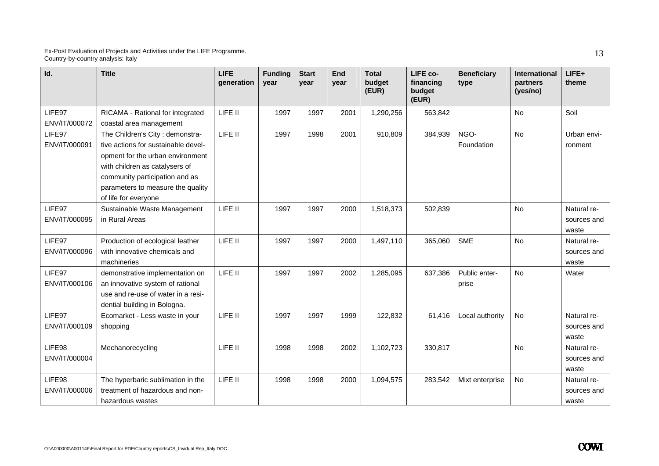| Id.                     | <b>Title</b>                                                                                                                                                                                                                                | <b>LIFE</b><br>generation | <b>Funding</b><br>vear | <b>Start</b><br>vear | End<br>year | <b>Total</b><br>budget<br>(EUR) | LIFE co-<br>financing<br>budget<br>(EUR) | <b>Beneficiary</b><br>type | <b>International</b><br>partners<br>(yes/no) | LIFE+<br>theme                      |
|-------------------------|---------------------------------------------------------------------------------------------------------------------------------------------------------------------------------------------------------------------------------------------|---------------------------|------------------------|----------------------|-------------|---------------------------------|------------------------------------------|----------------------------|----------------------------------------------|-------------------------------------|
| LIFE97<br>ENV/IT/000072 | RICAMA - Rational for integrated<br>coastal area management                                                                                                                                                                                 | LIFE II                   | 1997                   | 1997                 | 2001        | 1,290,256                       | 563,842                                  |                            | <b>No</b>                                    | Soil                                |
| LIFE97<br>ENV/IT/000091 | The Children's City: demonstra-<br>tive actions for sustainable devel-<br>opment for the urban environment<br>with children as catalysers of<br>community participation and as<br>parameters to measure the quality<br>of life for everyone | LIFE II                   | 1997                   | 1998                 | 2001        | 910,809                         | 384,939                                  | NGO-<br>Foundation         | <b>No</b>                                    | Urban envi-<br>ronment              |
| LIFE97<br>ENV/IT/000095 | Sustainable Waste Management<br>in Rural Areas                                                                                                                                                                                              | LIFE II                   | 1997                   | 1997                 | 2000        | 1,518,373                       | 502,839                                  |                            | <b>No</b>                                    | Natural re-<br>sources and<br>waste |
| LIFE97<br>ENV/IT/000096 | Production of ecological leather<br>with innovative chemicals and<br>machineries                                                                                                                                                            | LIFE II                   | 1997                   | 1997                 | 2000        | 1,497,110                       | 365,060                                  | <b>SME</b>                 | <b>No</b>                                    | Natural re-<br>sources and<br>waste |
| LIFE97<br>ENV/IT/000106 | demonstrative implementation on<br>an innovative system of rational<br>use and re-use of water in a resi-<br>dential building in Bologna.                                                                                                   | LIFE II                   | 1997                   | 1997                 | 2002        | 1,285,095                       | 637,386                                  | Public enter-<br>prise     | <b>No</b>                                    | Water                               |
| LIFE97<br>ENV/IT/000109 | Ecomarket - Less waste in your<br>shopping                                                                                                                                                                                                  | LIFE II                   | 1997                   | 1997                 | 1999        | 122,832                         | 61,416                                   | Local authority            | No                                           | Natural re-<br>sources and<br>waste |
| LIFE98<br>ENV/IT/000004 | Mechanorecycling                                                                                                                                                                                                                            | LIFE II                   | 1998                   | 1998                 | 2002        | 1,102,723                       | 330,817                                  |                            | <b>No</b>                                    | Natural re-<br>sources and<br>waste |
| LIFE98<br>ENV/IT/000006 | The hyperbaric sublimation in the<br>treatment of hazardous and non-<br>hazardous wastes                                                                                                                                                    | LIFE II                   | 1998                   | 1998                 | 2000        | 1,094,575                       | 283,542                                  | Mixt enterprise            | No                                           | Natural re-<br>sources and<br>waste |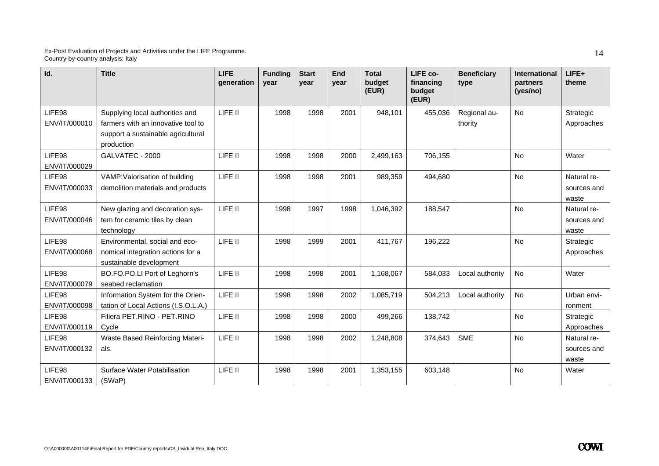| Id.                     | <b>Title</b>                                                                                                              | <b>LIFE</b><br>generation | <b>Funding</b><br>year | <b>Start</b><br>year | End<br>vear | <b>Total</b><br>budget<br>(EUR) | LIFE co-<br>financing<br>budget<br>(EUR) | <b>Beneficiary</b><br>type | <b>International</b><br>partners<br>(yes/no) | LIFE+<br>theme                      |
|-------------------------|---------------------------------------------------------------------------------------------------------------------------|---------------------------|------------------------|----------------------|-------------|---------------------------------|------------------------------------------|----------------------------|----------------------------------------------|-------------------------------------|
| LIFE98<br>ENV/IT/000010 | Supplying local authorities and<br>farmers with an innovative tool to<br>support a sustainable agricultural<br>production | LIFE II                   | 1998                   | 1998                 | 2001        | 948,101                         | 455,036                                  | Regional au-<br>thority    | <b>No</b>                                    | Strategic<br>Approaches             |
| LIFE98<br>ENV/IT/000029 | GALVATEC - 2000                                                                                                           | LIFE II                   | 1998                   | 1998                 | 2000        | 2,499,163                       | 706,155                                  |                            | <b>No</b>                                    | Water                               |
| LIFE98<br>ENV/IT/000033 | VAMP: Valorisation of building<br>demolition materials and products                                                       | LIFE II                   | 1998                   | 1998                 | 2001        | 989,359                         | 494,680                                  |                            | No                                           | Natural re-<br>sources and<br>waste |
| LIFE98<br>ENV/IT/000046 | New glazing and decoration sys-<br>tem for ceramic tiles by clean<br>technology                                           | LIFE II                   | 1998                   | 1997                 | 1998        | 1,046,392                       | 188,547                                  |                            | <b>No</b>                                    | Natural re-<br>sources and<br>waste |
| LIFE98<br>ENV/IT/000068 | Environmental, social and eco-<br>nomical integration actions for a<br>sustainable development                            | LIFE II                   | 1998                   | 1999                 | 2001        | 411,767                         | 196,222                                  |                            | <b>No</b>                                    | Strategic<br>Approaches             |
| LIFE98<br>ENV/IT/000079 | BO.FO.PO.LI Port of Leghorn's<br>seabed reclamation                                                                       | LIFE II                   | 1998                   | 1998                 | 2001        | 1,168,067                       | 584,033                                  | Local authority            | <b>No</b>                                    | Water                               |
| LIFE98<br>ENV/IT/000098 | Information System for the Orien-<br>tation of Local Actions (I.S.O.L.A.)                                                 | LIFE II                   | 1998                   | 1998                 | 2002        | 1,085,719                       | 504,213                                  | Local authority            | <b>No</b>                                    | Urban envi-<br>ronment              |
| LIFE98<br>ENV/IT/000119 | Filiera PET.RINO - PET.RINO<br>Cycle                                                                                      | LIFE II                   | 1998                   | 1998                 | 2000        | 499,266                         | 138,742                                  |                            | <b>No</b>                                    | Strategic<br>Approaches             |
| LIFE98<br>ENV/IT/000132 | <b>Waste Based Reinforcing Materi-</b><br>als.                                                                            | LIFE II                   | 1998                   | 1998                 | 2002        | 1,248,808                       | 374,643                                  | <b>SME</b>                 | No                                           | Natural re-<br>sources and<br>waste |
| LIFE98<br>ENV/IT/000133 | <b>Surface Water Potabilisation</b><br>(SWaP)                                                                             | LIFE II                   | 1998                   | 1998                 | 2001        | 1,353,155                       | 603,148                                  |                            | <b>No</b>                                    | Water                               |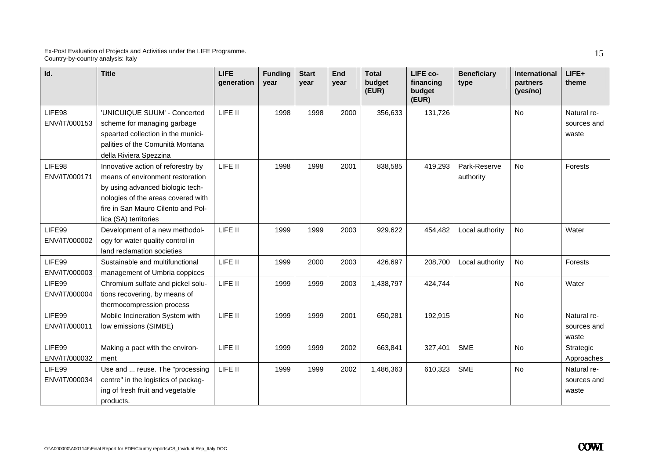| Id.                     | <b>Title</b>                                                                                                                                                                                                    | <b>LIFE</b><br>generation | <b>Funding</b><br>year | <b>Start</b><br>year | <b>End</b><br>vear | <b>Total</b><br>budget<br>(EUR) | LIFE co-<br>financing<br>budget<br>(EUR) | <b>Beneficiary</b><br>type | <b>International</b><br>partners<br>(yes/no) | $LIFE+$<br>theme                    |
|-------------------------|-----------------------------------------------------------------------------------------------------------------------------------------------------------------------------------------------------------------|---------------------------|------------------------|----------------------|--------------------|---------------------------------|------------------------------------------|----------------------------|----------------------------------------------|-------------------------------------|
| LIFE98<br>ENV/IT/000153 | 'UNICUIQUE SUUM' - Concerted<br>scheme for managing garbage<br>spearted collection in the munici-<br>palities of the Comunità Montana<br>della Riviera Spezzina                                                 | LIFE II                   | 1998                   | 1998                 | 2000               | 356,633                         | 131,726                                  |                            | <b>No</b>                                    | Natural re-<br>sources and<br>waste |
| LIFE98<br>ENV/IT/000171 | Innovative action of reforestry by<br>means of environment restoration<br>by using advanced biologic tech-<br>nologies of the areas covered with<br>fire in San Mauro Cilento and Pol-<br>lica (SA) territories | LIFE II                   | 1998                   | 1998                 | 2001               | 838,585                         | 419,293                                  | Park-Reserve<br>authority  | <b>No</b>                                    | Forests                             |
| LIFE99<br>ENV/IT/000002 | Development of a new methodol-<br>ogy for water quality control in<br>land reclamation societies                                                                                                                | LIFE II                   | 1999                   | 1999                 | 2003               | 929,622                         | 454,482                                  | Local authority            | No                                           | Water                               |
| LIFE99<br>ENV/IT/000003 | Sustainable and multifunctional<br>management of Umbria coppices                                                                                                                                                | LIFE II                   | 1999                   | 2000                 | 2003               | 426,697                         | 208,700                                  | Local authority            | No                                           | Forests                             |
| LIFE99<br>ENV/IT/000004 | Chromium sulfate and pickel solu-<br>tions recovering, by means of<br>thermocompression process                                                                                                                 | LIFE II                   | 1999                   | 1999                 | 2003               | 1,438,797                       | 424,744                                  |                            | No                                           | Water                               |
| LIFE99<br>ENV/IT/000011 | Mobile Incineration System with<br>low emissions (SIMBE)                                                                                                                                                        | LIFE II                   | 1999                   | 1999                 | 2001               | 650,281                         | 192,915                                  |                            | <b>No</b>                                    | Natural re-<br>sources and<br>waste |
| LIFE99<br>ENV/IT/000032 | Making a pact with the environ-<br>ment                                                                                                                                                                         | LIFE II                   | 1999                   | 1999                 | 2002               | 663,841                         | 327,401                                  | <b>SME</b>                 | No                                           | Strategic<br>Approaches             |
| LIFE99<br>ENV/IT/000034 | Use and  reuse. The "processing<br>centre" in the logistics of packag-<br>ing of fresh fruit and vegetable<br>products.                                                                                         | LIFE II                   | 1999                   | 1999                 | 2002               | 1,486,363                       | 610,323                                  | <b>SME</b>                 | <b>No</b>                                    | Natural re-<br>sources and<br>waste |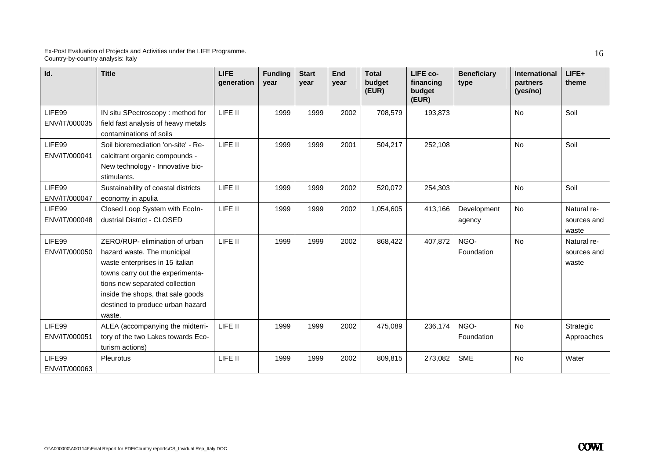| Id.                     | <b>Title</b>                                                                                                                                                                                                                                              | <b>LIFE</b><br>generation | <b>Funding</b><br>vear | <b>Start</b><br>year | End<br>year | <b>Total</b><br>budget<br>(EUR) | LIFE co-<br>financing<br>budget<br>(EUR) | <b>Beneficiary</b><br>type | <b>International</b><br>partners<br>(yes/no) | LIFE+<br>theme                      |
|-------------------------|-----------------------------------------------------------------------------------------------------------------------------------------------------------------------------------------------------------------------------------------------------------|---------------------------|------------------------|----------------------|-------------|---------------------------------|------------------------------------------|----------------------------|----------------------------------------------|-------------------------------------|
| LIFE99<br>ENV/IT/000035 | IN situ SPectroscopy: method for<br>field fast analysis of heavy metals<br>contaminations of soils                                                                                                                                                        | LIFE II                   | 1999                   | 1999                 | 2002        | 708,579                         | 193,873                                  |                            | <b>No</b>                                    | Soil                                |
| LIFE99<br>ENV/IT/000041 | Soil bioremediation 'on-site' - Re-<br>calcitrant organic compounds -<br>New technology - Innovative bio-<br>stimulants.                                                                                                                                  | LIFE II                   | 1999                   | 1999                 | 2001        | 504,217                         | 252,108                                  |                            | <b>No</b>                                    | Soil                                |
| LIFE99<br>ENV/IT/000047 | Sustainability of coastal districts<br>economy in apulia                                                                                                                                                                                                  | LIFE II                   | 1999                   | 1999                 | 2002        | 520,072                         | 254,303                                  |                            | No                                           | Soil                                |
| LIFE99<br>ENV/IT/000048 | Closed Loop System with Ecoln-<br>dustrial District - CLOSED                                                                                                                                                                                              | LIFE II                   | 1999                   | 1999                 | 2002        | 1,054,605                       | 413,166                                  | Development<br>agency      | <b>No</b>                                    | Natural re-<br>sources and<br>waste |
| LIFE99<br>ENV/IT/000050 | ZERO/RUP- elimination of urban<br>hazard waste. The municipal<br>waste enterprises in 15 italian<br>towns carry out the experimenta-<br>tions new separated collection<br>inside the shops, that sale goods<br>destined to produce urban hazard<br>waste. | LIFE II                   | 1999                   | 1999                 | 2002        | 868,422                         | 407,872                                  | NGO-<br>Foundation         | <b>No</b>                                    | Natural re-<br>sources and<br>waste |
| LIFE99<br>ENV/IT/000051 | ALEA (accompanying the midterri-<br>tory of the two Lakes towards Eco-<br>turism actions)                                                                                                                                                                 | LIFE II                   | 1999                   | 1999                 | 2002        | 475,089                         | 236,174                                  | NGO-<br>Foundation         | No                                           | Strategic<br>Approaches             |
| LIFE99<br>ENV/IT/000063 | Pleurotus                                                                                                                                                                                                                                                 | LIFE II                   | 1999                   | 1999                 | 2002        | 809,815                         | 273,082                                  | <b>SME</b>                 | No                                           | Water                               |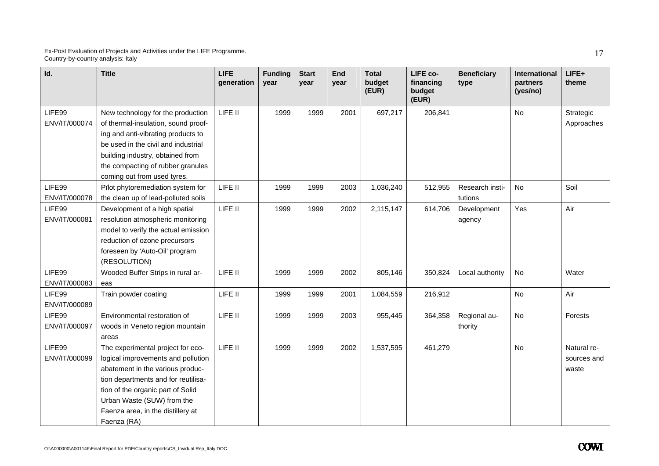| Id.                     | <b>Title</b>                                                                                                                                                                                                                                                              | <b>LIFE</b><br>generation | <b>Funding</b><br>year | <b>Start</b><br>year | End<br>vear | <b>Total</b><br>budget<br>(EUR) | LIFE co-<br>financing<br>budget<br>(EUR) | <b>Beneficiary</b><br>type | <b>International</b><br>partners<br>(yes/no) | LIFE+<br>theme                      |
|-------------------------|---------------------------------------------------------------------------------------------------------------------------------------------------------------------------------------------------------------------------------------------------------------------------|---------------------------|------------------------|----------------------|-------------|---------------------------------|------------------------------------------|----------------------------|----------------------------------------------|-------------------------------------|
| LIFE99<br>ENV/IT/000074 | New technology for the production<br>of thermal-insulation, sound proof-<br>ing and anti-vibrating products to<br>be used in the civil and industrial<br>building industry, obtained from<br>the compacting of rubber granules<br>coming out from used tyres.             | LIFE II                   | 1999                   | 1999                 | 2001        | 697,217                         | 206,841                                  |                            | No                                           | Strategic<br>Approaches             |
| LIFE99<br>ENV/IT/000078 | Pïlot phytoremediation system for<br>the clean up of lead-polluted soils                                                                                                                                                                                                  | LIFE II                   | 1999                   | 1999                 | 2003        | 1,036,240                       | 512,955                                  | Research insti-<br>tutions | <b>No</b>                                    | Soil                                |
| LIFE99<br>ENV/IT/000081 | Development of a high spatial<br>resolution atmospheric monitoring<br>model to verify the actual emission<br>reduction of ozone precursors<br>foreseen by 'Auto-Oil' program<br>(RESOLUTION)                                                                              | LIFE II                   | 1999                   | 1999                 | 2002        | 2,115,147                       | 614,706                                  | Development<br>agency      | Yes                                          | Air                                 |
| LIFE99<br>ENV/IT/000083 | Wooded Buffer Strips in rural ar-<br>eas                                                                                                                                                                                                                                  | LIFE II                   | 1999                   | 1999                 | 2002        | 805,146                         | 350,824                                  | Local authority            | <b>No</b>                                    | Water                               |
| LIFE99<br>ENV/IT/000089 | Train powder coating                                                                                                                                                                                                                                                      | LIFE II                   | 1999                   | 1999                 | 2001        | 1,084,559                       | 216,912                                  |                            | No                                           | Air                                 |
| LIFE99<br>ENV/IT/000097 | Environmental restoration of<br>woods in Veneto region mountain<br>areas                                                                                                                                                                                                  | LIFE II                   | 1999                   | 1999                 | 2003        | 955,445                         | 364,358                                  | Regional au-<br>thority    | No                                           | Forests                             |
| LIFE99<br>ENV/IT/000099 | The experimental project for eco-<br>logical improvements and pollution<br>abatement in the various produc-<br>tion departments and for reutilisa-<br>tion of the organic part of Solid<br>Urban Waste (SUW) from the<br>Faenza area, in the distillery at<br>Faenza (RA) | LIFE II                   | 1999                   | 1999                 | 2002        | 1,537,595                       | 461,279                                  |                            | <b>No</b>                                    | Natural re-<br>sources and<br>waste |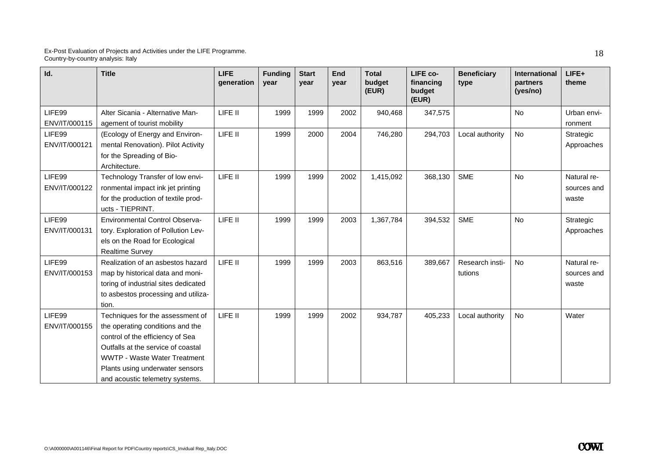| Id.                     | <b>Title</b>                                                                                                                                                                                                                                                | <b>LIFE</b><br>generation | <b>Funding</b><br>vear | <b>Start</b><br>year | End<br>year | <b>Total</b><br>budget<br>(EUR) | LIFE co-<br>financing<br>budget<br>(EUR) | <b>Beneficiary</b><br>type | <b>International</b><br>partners<br>(yes/no) | $LIFE+$<br>theme                    |
|-------------------------|-------------------------------------------------------------------------------------------------------------------------------------------------------------------------------------------------------------------------------------------------------------|---------------------------|------------------------|----------------------|-------------|---------------------------------|------------------------------------------|----------------------------|----------------------------------------------|-------------------------------------|
| LIFE99<br>ENV/IT/000115 | Alter Sicania - Alternative Man-<br>agement of tourist mobility                                                                                                                                                                                             | LIFE II                   | 1999                   | 1999                 | 2002        | 940,468                         | 347,575                                  |                            | <b>No</b>                                    | Urban envi-<br>ronment              |
| LIFE99<br>ENV/IT/000121 | (Ecology of Energy and Environ-<br>mental Renovation). Pilot Activity<br>for the Spreading of Bio-<br>Architecture.                                                                                                                                         | LIFE II                   | 1999                   | 2000                 | 2004        | 746,280                         | 294,703                                  | Local authority            | No                                           | Strategic<br>Approaches             |
| LIFE99<br>ENV/IT/000122 | Technology Transfer of low envi-<br>ronmental impact ink jet printing<br>for the production of textile prod-<br>ucts - TIEPRINT.                                                                                                                            | LIFE II                   | 1999                   | 1999                 | 2002        | 1,415,092                       | 368,130                                  | <b>SME</b>                 | <b>No</b>                                    | Natural re-<br>sources and<br>waste |
| LIFE99<br>ENV/IT/000131 | <b>Environmental Control Observa-</b><br>tory. Exploration of Pollution Lev-<br>els on the Road for Ecological<br><b>Realtime Survey</b>                                                                                                                    | LIFE II                   | 1999                   | 1999                 | 2003        | 1,367,784                       | 394,532                                  | <b>SME</b>                 | <b>No</b>                                    | Strategic<br>Approaches             |
| LIFE99<br>ENV/IT/000153 | Realization of an asbestos hazard<br>map by historical data and moni-<br>toring of industrial sites dedicated<br>to asbestos processing and utiliza-<br>tion.                                                                                               | LIFE II                   | 1999                   | 1999                 | 2003        | 863,516                         | 389,667                                  | Research insti-<br>tutions | <b>No</b>                                    | Natural re-<br>sources and<br>waste |
| LIFE99<br>ENV/IT/000155 | Techniques for the assessment of<br>the operating conditions and the<br>control of the efficiency of Sea<br>Outfalls at the service of coastal<br><b>WWTP - Waste Water Treatment</b><br>Plants using underwater sensors<br>and acoustic telemetry systems. | LIFE II                   | 1999                   | 1999                 | 2002        | 934,787                         | 405,233                                  | Local authority            | <b>No</b>                                    | Water                               |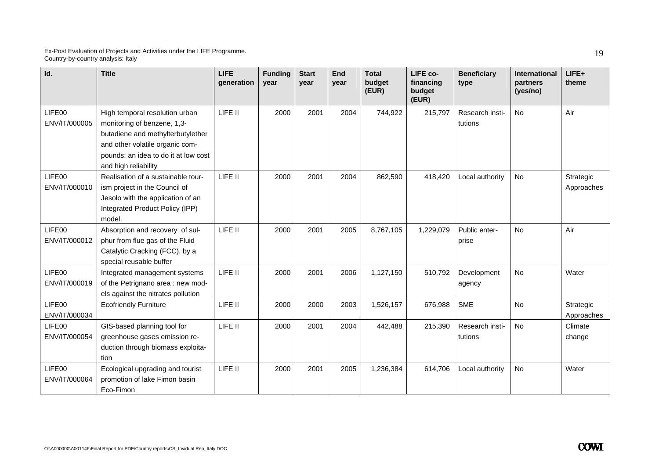| Id.                     | <b>Title</b>                                                                                                                                                                                          | <b>LIFE</b><br>generation | <b>Funding</b><br>year | <b>Start</b><br>year | End<br>vear | <b>Total</b><br>budget<br>(EUR) | LIFE co-<br>financing<br>budget<br>(EUR) | <b>Beneficiary</b><br>type | <b>International</b><br>partners<br>(yes/no) | $LIFE+$<br>theme        |
|-------------------------|-------------------------------------------------------------------------------------------------------------------------------------------------------------------------------------------------------|---------------------------|------------------------|----------------------|-------------|---------------------------------|------------------------------------------|----------------------------|----------------------------------------------|-------------------------|
| LIFE00<br>ENV/IT/000005 | High temporal resolution urban<br>monitoring of benzene, 1,3-<br>butadiene and methylterbutylether<br>and other volatile organic com-<br>pounds: an idea to do it at low cost<br>and high reliability | LIFE II                   | 2000                   | 2001                 | 2004        | 744,922                         | 215,797                                  | Research insti-<br>tutions | <b>No</b>                                    | Air                     |
| LIFE00<br>ENV/IT/000010 | Realisation of a sustainable tour-<br>ism project in the Council of<br>Jesolo with the application of an<br>Integrated Product Policy (IPP)<br>model.                                                 | LIFE II                   | 2000                   | 2001                 | 2004        | 862,590                         | 418,420                                  | Local authority            | <b>No</b>                                    | Strategic<br>Approaches |
| LIFE00<br>ENV/IT/000012 | Absorption and recovery of sul-<br>phur from flue gas of the Fluid<br>Catalytic Cracking (FCC), by a<br>special reusable buffer                                                                       | LIFE II                   | 2000                   | 2001                 | 2005        | 8,767,105                       | 1,229,079                                | Public enter-<br>prise     | <b>No</b>                                    | Air                     |
| LIFE00<br>ENV/IT/000019 | Integrated management systems<br>of the Petrignano area : new mod-<br>els against the nitrates pollution                                                                                              | LIFE II                   | 2000                   | 2001                 | 2006        | 1,127,150                       | 510,792                                  | Development<br>agency      | No                                           | Water                   |
| LIFE00<br>ENV/IT/000034 | <b>Ecofriendly Furniture</b>                                                                                                                                                                          | LIFE II                   | 2000                   | 2000                 | 2003        | 1,526,157                       | 676,988                                  | <b>SME</b>                 | <b>No</b>                                    | Strategic<br>Approaches |
| LIFE00<br>ENV/IT/000054 | GIS-based planning tool for<br>greenhouse gases emission re-<br>duction through biomass exploita-<br>tion                                                                                             | LIFE II                   | 2000                   | 2001                 | 2004        | 442,488                         | 215,390                                  | Research insti-<br>tutions | No                                           | Climate<br>change       |
| LIFE00<br>ENV/IT/000064 | Ecological upgrading and tourist<br>promotion of lake Fimon basin<br>Eco-Fimon                                                                                                                        | LIFE II                   | 2000                   | 2001                 | 2005        | 1,236,384                       | 614,706                                  | Local authority            | <b>No</b>                                    | Water                   |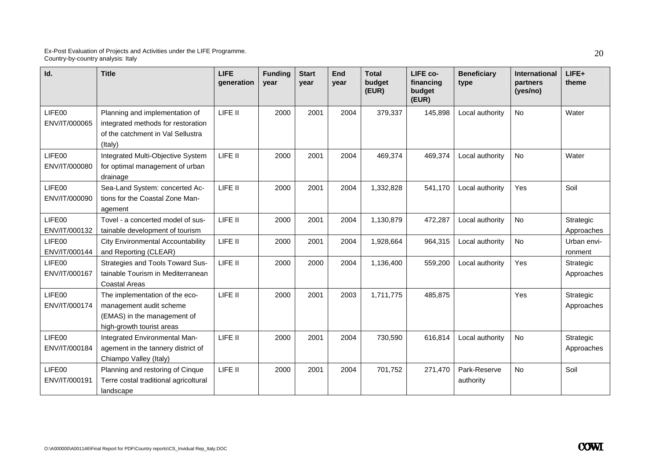| Id.                     | <b>Title</b>                                                                                                          | <b>LIFE</b><br>generation | <b>Funding</b><br>year | <b>Start</b><br>year | End<br>vear | <b>Total</b><br>budget<br>(EUR) | LIFE co-<br>financing<br>budget<br>(EUR) | <b>Beneficiary</b><br>type | International<br>partners<br>(yes/no) | $LIFE+$<br>theme        |
|-------------------------|-----------------------------------------------------------------------------------------------------------------------|---------------------------|------------------------|----------------------|-------------|---------------------------------|------------------------------------------|----------------------------|---------------------------------------|-------------------------|
| LIFE00<br>ENV/IT/000065 | Planning and implementation of<br>integrated methods for restoration<br>of the catchment in Val Sellustra<br>(Italy)  | LIFE II                   | 2000                   | 2001                 | 2004        | 379,337                         | 145,898                                  | Local authority            | <b>No</b>                             | Water                   |
| LIFE00<br>ENV/IT/000080 | Integrated Multi-Objective System<br>for optimal management of urban<br>drainage                                      | LIFE II                   | 2000                   | 2001                 | 2004        | 469,374                         | 469,374                                  | Local authority            | <b>No</b>                             | Water                   |
| LIFE00<br>ENV/IT/000090 | Sea-Land System: concerted Ac-<br>tions for the Coastal Zone Man-<br>agement                                          | LIFE II                   | 2000                   | 2001                 | 2004        | 1,332,828                       | 541,170                                  | Local authority            | <b>Yes</b>                            | Soil                    |
| LIFE00<br>ENV/IT/000132 | Tovel - a concerted model of sus-<br>tainable development of tourism                                                  | LIFE II                   | 2000                   | 2001                 | 2004        | 1,130,879                       | 472,287                                  | Local authority            | <b>No</b>                             | Strategic<br>Approaches |
| LIFE00<br>ENV/IT/000144 | <b>City Environmental Accountability</b><br>and Reporting (CLEAR)                                                     | LIFE II                   | 2000                   | 2001                 | 2004        | 1,928,664                       | 964,315                                  | Local authority            | <b>No</b>                             | Urban envi-<br>ronment  |
| LIFE00<br>ENV/IT/000167 | <b>Strategies and Tools Toward Sus-</b><br>tainable Tourism in Mediterranean<br><b>Coastal Areas</b>                  | LIFE II                   | 2000                   | 2000                 | 2004        | 1,136,400                       | 559,200                                  | Local authority            | Yes                                   | Strategic<br>Approaches |
| LIFE00<br>ENV/IT/000174 | The implementation of the eco-<br>management audit scheme<br>(EMAS) in the management of<br>high-growth tourist areas | LIFE II                   | 2000                   | 2001                 | 2003        | 1,711,775                       | 485,875                                  |                            | Yes                                   | Strategic<br>Approaches |
| LIFE00<br>ENV/IT/000184 | Integrated Environmental Man-<br>agement in the tannery district of<br>Chiampo Valley (Italy)                         | LIFE II                   | 2000                   | 2001                 | 2004        | 730,590                         | 616,814                                  | Local authority            | No                                    | Strategic<br>Approaches |
| LIFE00<br>ENV/IT/000191 | Planning and restoring of Cinque<br>Terre costal traditional agricoltural<br>landscape                                | LIFE II                   | 2000                   | 2001                 | 2004        | 701,752                         | 271,470                                  | Park-Reserve<br>authority  | No                                    | Soil                    |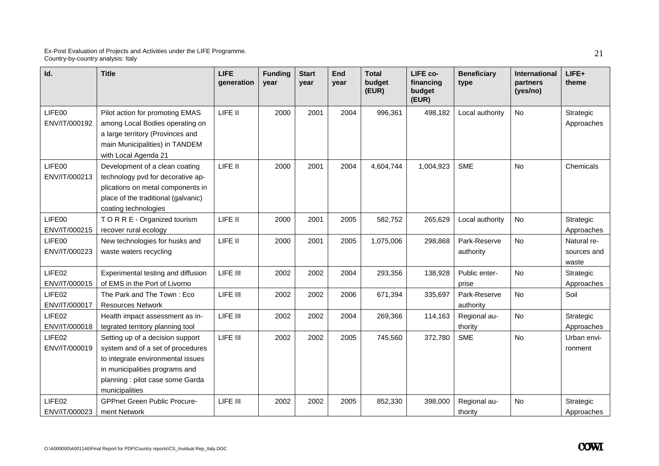| Id.                     | <b>Title</b>                                                                                                                                                                                       | <b>LIFE</b><br>generation | <b>Funding</b><br>year | <b>Start</b><br>year | End<br>year | <b>Total</b><br>budget<br>(EUR) | LIFE co-<br>financing<br>budget<br>(EUR) | <b>Beneficiary</b><br>type | <b>International</b><br>partners<br>(yes/no) | LIFE+<br>theme                      |
|-------------------------|----------------------------------------------------------------------------------------------------------------------------------------------------------------------------------------------------|---------------------------|------------------------|----------------------|-------------|---------------------------------|------------------------------------------|----------------------------|----------------------------------------------|-------------------------------------|
| LIFE00<br>ENV/IT/000192 | Pilot action for promoting EMAS<br>among Local Bodies operating on<br>a large territory (Provinces and<br>main Municipalities) in TANDEM<br>with Local Agenda 21                                   | LIFE II                   | 2000                   | 2001                 | 2004        | 996,361                         | 498,182                                  | Local authority            | No                                           | Strategic<br>Approaches             |
| LIFE00<br>ENV/IT/000213 | Development of a clean coating<br>technology pvd for decorative ap-<br>plications on metal components in<br>place of the traditional (galvanic)<br>coating technologies                            | LIFE II                   | 2000                   | 2001                 | 2004        | 4,604,744                       | 1,004,923                                | <b>SME</b>                 | No                                           | Chemicals                           |
| LIFE00<br>ENV/IT/000215 | T O R R E - Organized tourism<br>recover rural ecology                                                                                                                                             | LIFE II                   | 2000                   | 2001                 | 2005        | 582,752                         | 265,629                                  | Local authority            | No                                           | Strategic<br>Approaches             |
| LIFE00<br>ENV/IT/000223 | New technologies for husks and<br>waste waters recycling                                                                                                                                           | LIFE II                   | 2000                   | 2001                 | 2005        | 1,075,006                       | 298,868                                  | Park-Reserve<br>authority  | No                                           | Natural re-<br>sources and<br>waste |
| LIFE02<br>ENV/IT/000015 | Experimental testing and diffusion<br>of EMS in the Port of Livorno                                                                                                                                | LIFE III                  | 2002                   | 2002                 | 2004        | 293,356                         | 138,928                                  | Public enter-<br>prise     | No                                           | Strategic<br>Approaches             |
| LIFE02<br>ENV/IT/000017 | The Park and The Town: Eco<br><b>Resources Network</b>                                                                                                                                             | LIFE III                  | 2002                   | 2002                 | 2006        | 671,394                         | 335,697                                  | Park-Reserve<br>authority  | No                                           | Soil                                |
| LIFE02<br>ENV/IT/000018 | Health impact assessment as in-<br>tegrated territory planning tool                                                                                                                                | LIFE III                  | 2002                   | 2002                 | 2004        | 269,366                         | 114,163                                  | Regional au-<br>thority    | No                                           | Strategic<br>Approaches             |
| LIFE02<br>ENV/IT/000019 | Setting up of a decision support<br>system and of a set of procedures<br>to integrate environmental issues<br>in municipalities programs and<br>planning : pilot case some Garda<br>municipalities | LIFE III                  | 2002                   | 2002                 | 2005        | 745,560                         | 372,780                                  | <b>SME</b>                 | No                                           | Urban envi-<br>ronment              |
| LIFE02<br>ENV/IT/000023 | <b>GPPnet Green Public Procure-</b><br>ment Network                                                                                                                                                | LIFE III                  | 2002                   | 2002                 | 2005        | 852,330                         | 398,000                                  | Regional au-<br>thority    | No                                           | Strategic<br>Approaches             |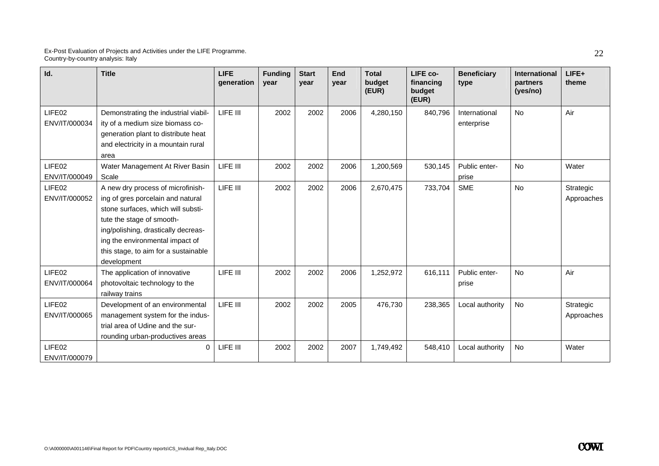| Id.                                 | <b>Title</b>                                                                                                                                                                                                                                                               | <b>LIFE</b><br>generation | <b>Funding</b><br>year | <b>Start</b><br>year | <b>End</b><br>year | <b>Total</b><br>budget<br>(EUR) | LIFE co-<br>financing<br>budget<br>(EUR) | <b>Beneficiary</b><br>type  | <b>International</b><br>partners<br>(yes/no) | LIFE+<br>theme          |
|-------------------------------------|----------------------------------------------------------------------------------------------------------------------------------------------------------------------------------------------------------------------------------------------------------------------------|---------------------------|------------------------|----------------------|--------------------|---------------------------------|------------------------------------------|-----------------------------|----------------------------------------------|-------------------------|
| LIFE02<br>ENV/IT/000034             | Demonstrating the industrial viabil-<br>ity of a medium size biomass co-<br>generation plant to distribute heat<br>and electricity in a mountain rural<br>area                                                                                                             | LIFE III                  | 2002                   | 2002                 | 2006               | 4,280,150                       | 840,796                                  | International<br>enterprise | <b>No</b>                                    | Air                     |
| LIFE02<br>ENV/IT/000049             | Water Management At River Basin<br>Scale                                                                                                                                                                                                                                   | LIFE III                  | 2002                   | 2002                 | 2006               | 1,200,569                       | 530,145                                  | Public enter-<br>prise      | No                                           | Water                   |
| LIFE <sub>02</sub><br>ENV/IT/000052 | A new dry process of microfinish-<br>ing of gres porcelain and natural<br>stone surfaces, which will substi-<br>tute the stage of smooth-<br>ing/polishing, drastically decreas-<br>ing the environmental impact of<br>this stage, to aim for a sustainable<br>development | LIFE III                  | 2002                   | 2002                 | 2006               | 2,670,475                       | 733,704                                  | <b>SME</b>                  | <b>No</b>                                    | Strategic<br>Approaches |
| LIFE02<br>ENV/IT/000064             | The application of innovative<br>photovoltaic technology to the<br>railway trains                                                                                                                                                                                          | LIFE III                  | 2002                   | 2002                 | 2006               | 1,252,972                       | 616,111                                  | Public enter-<br>prise      | No                                           | Air                     |
| LIFE <sub>02</sub><br>ENV/IT/000065 | Development of an environmental<br>management system for the indus-<br>trial area of Udine and the sur-<br>rounding urban-productives areas                                                                                                                                | LIFE III                  | 2002                   | 2002                 | 2005               | 476,730                         | 238,365                                  | Local authority             | <b>No</b>                                    | Strategic<br>Approaches |
| LIFE02<br>ENV/IT/000079             | 0                                                                                                                                                                                                                                                                          | LIFE III                  | 2002                   | 2002                 | 2007               | 1,749,492                       | 548.410                                  | Local authority             | No                                           | Water                   |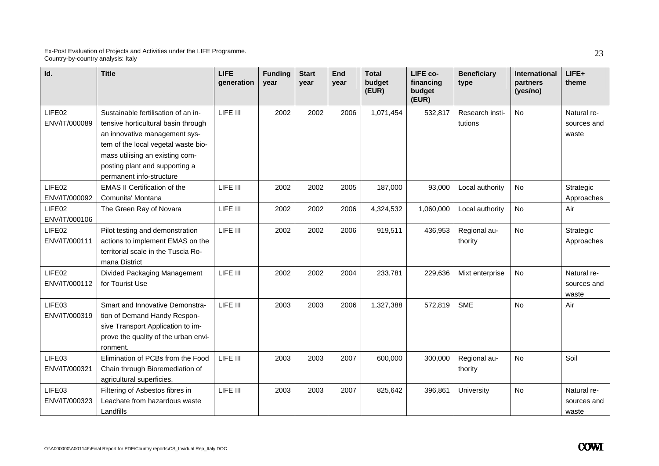| Id.                                 | <b>Title</b>                                                                                                                                                                                                                                        | <b>LIFE</b><br>generation | <b>Funding</b><br>year | <b>Start</b><br>vear | End<br>vear | <b>Total</b><br>budget<br>(EUR) | LIFE co-<br>financing<br>budget<br>(EUR) | <b>Beneficiary</b><br>type | International<br>partners<br>(yes/no) | LIFE+<br>theme                      |
|-------------------------------------|-----------------------------------------------------------------------------------------------------------------------------------------------------------------------------------------------------------------------------------------------------|---------------------------|------------------------|----------------------|-------------|---------------------------------|------------------------------------------|----------------------------|---------------------------------------|-------------------------------------|
| LIFE02<br>ENV/IT/000089             | Sustainable fertilisation of an in-<br>tensive horticultural basin through<br>an innovative management sys-<br>tem of the local vegetal waste bio-<br>mass utilising an existing com-<br>posting plant and supporting a<br>permanent info-structure | LIFE III                  | 2002                   | 2002                 | 2006        | 1,071,454                       | 532,817                                  | Research insti-<br>tutions | <b>No</b>                             | Natural re-<br>sources and<br>waste |
| LIFE02<br>ENV/IT/000092             | <b>EMAS II Certification of the</b><br>Comunita' Montana                                                                                                                                                                                            | LIFE III                  | 2002                   | 2002                 | 2005        | 187,000                         | 93,000                                   | Local authority            | No                                    | Strategic<br>Approaches             |
| LIFE <sub>02</sub><br>ENV/IT/000106 | The Green Ray of Novara                                                                                                                                                                                                                             | LIFE III                  | 2002                   | 2002                 | 2006        | 4,324,532                       | 1,060,000                                | Local authority            | <b>No</b>                             | Air                                 |
| LIFE02<br>ENV/IT/000111             | Pilot testing and demonstration<br>actions to implement EMAS on the<br>territorial scale in the Tuscia Ro-<br>mana District                                                                                                                         | LIFE III                  | 2002                   | 2002                 | 2006        | 919,511                         | 436,953                                  | Regional au-<br>thority    | <b>No</b>                             | Strategic<br>Approaches             |
| LIFE02<br>ENV/IT/000112             | Divided Packaging Management<br>for Tourist Use                                                                                                                                                                                                     | LIFE III                  | 2002                   | 2002                 | 2004        | 233,781                         | 229,636                                  | Mixt enterprise            | <b>No</b>                             | Natural re-<br>sources and<br>waste |
| LIFE03<br>ENV/IT/000319             | Smart and Innovative Demonstra-<br>tion of Demand Handy Respon-<br>sive Transport Application to im-<br>prove the quality of the urban envi-<br>ronment.                                                                                            | LIFE III                  | 2003                   | 2003                 | 2006        | 1,327,388                       | 572,819                                  | <b>SME</b>                 | <b>No</b>                             | Air                                 |
| LIFE03<br>ENV/IT/000321             | Elimination of PCBs from the Food<br>Chain through Bioremediation of<br>agricultural superficies.                                                                                                                                                   | LIFE III                  | 2003                   | 2003                 | 2007        | 600,000                         | 300,000                                  | Regional au-<br>thority    | <b>No</b>                             | Soil                                |
| LIFE03<br>ENV/IT/000323             | Filtering of Asbestos fibres in<br>Leachate from hazardous waste<br>Landfills                                                                                                                                                                       | LIFE III                  | 2003                   | 2003                 | 2007        | 825,642                         | 396,861                                  | University                 | No                                    | Natural re-<br>sources and<br>waste |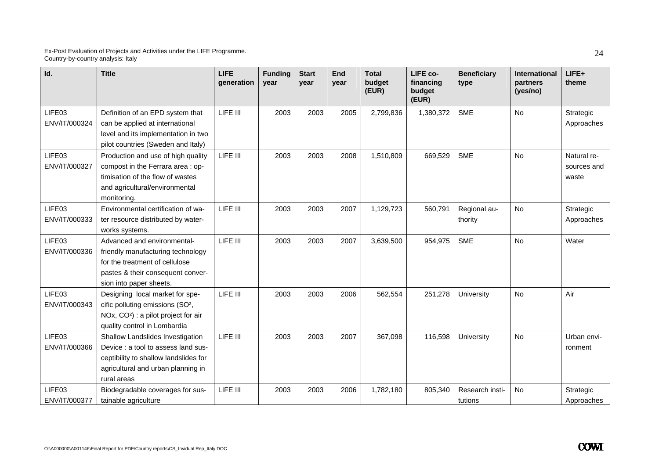| Id.                     | <b>Title</b>                                                                                                                                                          | <b>LIFE</b><br>generation | <b>Funding</b><br>vear | <b>Start</b><br>vear | <b>End</b><br>year | <b>Total</b><br>budget<br>(EUR) | LIFE co-<br>financing<br>budget<br>(EUR) | <b>Beneficiary</b><br>type | <b>International</b><br>partners<br>(yes/no) | LIFE+<br>theme                      |
|-------------------------|-----------------------------------------------------------------------------------------------------------------------------------------------------------------------|---------------------------|------------------------|----------------------|--------------------|---------------------------------|------------------------------------------|----------------------------|----------------------------------------------|-------------------------------------|
| LIFE03<br>ENV/IT/000324 | Definition of an EPD system that<br>can be applied at international<br>level and its implementation in two<br>pilot countries (Sweden and Italy)                      | LIFE III                  | 2003                   | 2003                 | 2005               | 2,799,836                       | 1,380,372                                | <b>SME</b>                 | <b>No</b>                                    | Strategic<br>Approaches             |
| LIFE03<br>ENV/IT/000327 | Production and use of high quality<br>compost in the Ferrara area : op-<br>timisation of the flow of wastes<br>and agricultural/environmental<br>monitoring.          | LIFE III                  | 2003                   | 2003                 | 2008               | 1,510,809                       | 669,529                                  | <b>SME</b>                 | No                                           | Natural re-<br>sources and<br>waste |
| LIFE03<br>ENV/IT/000333 | Environmental certification of wa-<br>ter resource distributed by water-<br>works systems.                                                                            | LIFE III                  | 2003                   | 2003                 | 2007               | 1,129,723                       | 560,791                                  | Regional au-<br>thority    | <b>No</b>                                    | Strategic<br>Approaches             |
| LIFE03<br>ENV/IT/000336 | Advanced and environmental-<br>friendly manufacturing technology<br>for the treatment of cellulose<br>pastes & their consequent conver-<br>sion into paper sheets.    | LIFE III                  | 2003                   | 2003                 | 2007               | 3,639,500                       | 954,975                                  | <b>SME</b>                 | <b>No</b>                                    | Water                               |
| LIFE03<br>ENV/IT/000343 | Designing local market for spe-<br>cific polluting emissions (SO <sup>2</sup> ,<br>NOx, CO <sup>2</sup> ) : a pilot project for air<br>quality control in Lombardia   | LIFE III                  | 2003                   | 2003                 | 2006               | 562,554                         | 251,278                                  | University                 | <b>No</b>                                    | Air                                 |
| LIFE03<br>ENV/IT/000366 | Shallow Landslides Investigation<br>Device : a tool to assess land sus-<br>ceptibility to shallow landslides for<br>agricultural and urban planning in<br>rural areas | LIFE III                  | 2003                   | 2003                 | 2007               | 367,098                         | 116,598                                  | University                 | No                                           | Urban envi-<br>ronment              |
| LIFE03<br>ENV/IT/000377 | Biodegradable coverages for sus-<br>tainable agriculture                                                                                                              | LIFE III                  | 2003                   | 2003                 | 2006               | 1,782,180                       | 805,340                                  | Research insti-<br>tutions | No                                           | Strategic<br>Approaches             |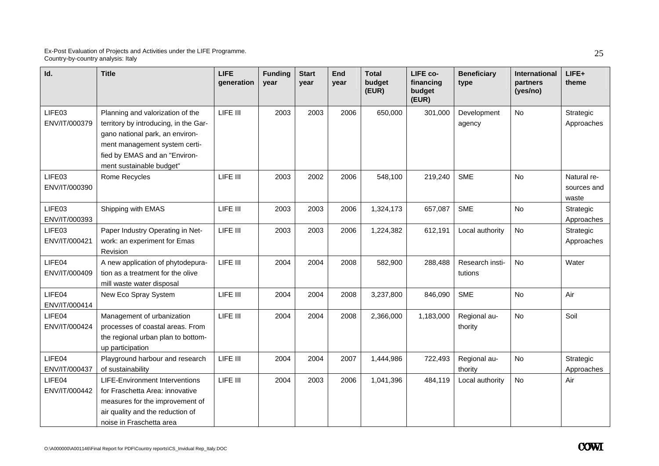| Id.                     | <b>Title</b>                                                                                                                                                                                               | <b>LIFE</b><br>generation | <b>Funding</b><br>vear | <b>Start</b><br>vear | <b>End</b><br>vear | <b>Total</b><br>budget<br>(EUR) | LIFE co-<br>financing<br>budget<br>(EUR) | <b>Beneficiary</b><br>type | International<br>partners<br>(yes/no) | $LIFE+$<br>theme                    |
|-------------------------|------------------------------------------------------------------------------------------------------------------------------------------------------------------------------------------------------------|---------------------------|------------------------|----------------------|--------------------|---------------------------------|------------------------------------------|----------------------------|---------------------------------------|-------------------------------------|
| LIFE03<br>ENV/IT/000379 | Planning and valorization of the<br>territory by introducing, in the Gar-<br>gano national park, an environ-<br>ment management system certi-<br>fied by EMAS and an "Environ-<br>ment sustainable budget" | LIFE III                  | 2003                   | 2003                 | 2006               | 650,000                         | 301,000                                  | Development<br>agency      | <b>No</b>                             | Strategic<br>Approaches             |
| LIFE03<br>ENV/IT/000390 | Rome Recycles                                                                                                                                                                                              | LIFE III                  | 2003                   | 2002                 | 2006               | 548,100                         | 219,240                                  | <b>SME</b>                 | No                                    | Natural re-<br>sources and<br>waste |
| LIFE03<br>ENV/IT/000393 | Shipping with EMAS                                                                                                                                                                                         | LIFE III                  | 2003                   | 2003                 | 2006               | 1,324,173                       | 657,087                                  | <b>SME</b>                 | <b>No</b>                             | Strategic<br>Approaches             |
| LIFE03<br>ENV/IT/000421 | Paper Industry Operating in Net-<br>work: an experiment for Emas<br>Revision                                                                                                                               | LIFE III                  | 2003                   | 2003                 | 2006               | 1,224,382                       | 612,191                                  | Local authority            | <b>No</b>                             | Strategic<br>Approaches             |
| LIFE04<br>ENV/IT/000409 | A new application of phytodepura-<br>tion as a treatment for the olive<br>mill waste water disposal                                                                                                        | LIFE III                  | 2004                   | 2004                 | 2008               | 582,900                         | 288,488                                  | Research insti-<br>tutions | <b>No</b>                             | Water                               |
| LIFE04<br>ENV/IT/000414 | New Eco Spray System                                                                                                                                                                                       | LIFE III                  | 2004                   | 2004                 | 2008               | 3,237,800                       | 846,090                                  | <b>SME</b>                 | <b>No</b>                             | Air                                 |
| LIFE04<br>ENV/IT/000424 | Management of urbanization<br>processes of coastal areas. From<br>the regional urban plan to bottom-<br>up participation                                                                                   | LIFE III                  | 2004                   | 2004                 | 2008               | 2,366,000                       | 1,183,000                                | Regional au-<br>thority    | <b>No</b>                             | Soil                                |
| LIFE04<br>ENV/IT/000437 | Playground harbour and research<br>of sustainability                                                                                                                                                       | LIFE III                  | 2004                   | 2004                 | 2007               | 1,444,986                       | 722,493                                  | Regional au-<br>thority    | No                                    | Strategic<br>Approaches             |
| LIFE04<br>ENV/IT/000442 | <b>LIFE-Environment Interventions</b><br>for Fraschetta Area: innovative<br>measures for the improvement of<br>air quality and the reduction of<br>noise in Fraschetta area                                | LIFE III                  | 2004                   | 2003                 | 2006               | 1,041,396                       | 484,119                                  | Local authority            | No                                    | Air                                 |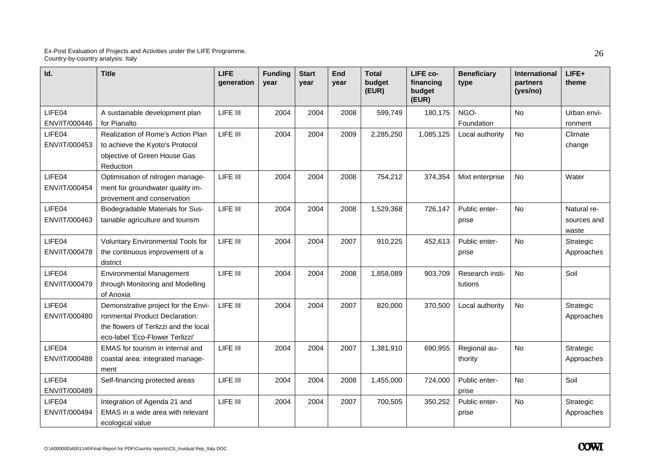| Id.                     | <b>Title</b>                                                                                                                                      | <b>LIFE</b><br>generation | <b>Funding</b><br>year | <b>Start</b><br>vear | End<br>vear | <b>Total</b><br>budget<br>(EUR) | LIFE co-<br>financing<br>budget<br>(EUR) | <b>Beneficiary</b><br>type | <b>International</b><br>partners<br>(yes/no) | LIFE+<br>theme                      |
|-------------------------|---------------------------------------------------------------------------------------------------------------------------------------------------|---------------------------|------------------------|----------------------|-------------|---------------------------------|------------------------------------------|----------------------------|----------------------------------------------|-------------------------------------|
| LIFE04<br>ENV/IT/000446 | A sustainable development plan<br>for Pianalto                                                                                                    | LIFE III                  | 2004                   | 2004                 | 2008        | 599,749                         | 180,175                                  | NGO-<br>Foundation         | <b>No</b>                                    | Urban envi-<br>ronment              |
| LIFE04<br>ENV/IT/000453 | Realization of Rome's Action Plan<br>to achieve the Kyoto's Protocol<br>objective of Green House Gas<br>Reduction                                 | LIFE III                  | 2004                   | 2004                 | 2009        | 2,285,250                       | 1,085,125                                | Local authority            | <b>No</b>                                    | Climate<br>change                   |
| LIFE04<br>ENV/IT/000454 | Optimisation of nitrogen manage-<br>ment for groundwater quality im-<br>provement and conservation                                                | LIFE III                  | 2004                   | 2004                 | 2008        | 754,212                         | 374,354                                  | Mixt enterprise            | No                                           | Water                               |
| LIFE04<br>ENV/IT/000463 | Biodegradable Materials for Sus-<br>tainable agriculture and tourism                                                                              | LIFE III                  | 2004                   | 2004                 | 2008        | 1,529,368                       | 726,147                                  | Public enter-<br>prise     | <b>No</b>                                    | Natural re-<br>sources and<br>waste |
| LIFE04<br>ENV/IT/000478 | <b>Voluntary Environmental Tools for</b><br>the continuous improvement of a<br>district                                                           | LIFE III                  | 2004                   | 2004                 | 2007        | 910,225                         | 452,613                                  | Public enter-<br>prise     | <b>No</b>                                    | Strategic<br>Approaches             |
| LIFE04<br>ENV/IT/000479 | <b>Environmental Management</b><br>through Monitoring and Modelling<br>of Anoxia                                                                  | LIFE III                  | 2004                   | 2004                 | 2008        | 1,858,089                       | 903,709                                  | Research insti-<br>tutions | No                                           | Soil                                |
| LIFE04<br>ENV/IT/000480 | Demonstrative project for the Envi-<br>ronmental Product Declaration:<br>the flowers of Terlizzi and the local<br>eco-label 'Eco-Flower Terlizzi' | LIFE III                  | 2004                   | 2004                 | 2007        | 820,000                         | 370,500                                  | Local authority            | <b>No</b>                                    | Strategic<br>Approaches             |
| LIFE04<br>ENV/IT/000488 | EMAS for tourism in internal and<br>coastal area: integrated manage-<br>ment                                                                      | LIFE III                  | 2004                   | 2004                 | 2007        | 1,381,910                       | 690,955                                  | Regional au-<br>thority    | <b>No</b>                                    | Strategic<br>Approaches             |
| LIFE04<br>ENV/IT/000489 | Self-financing protected areas                                                                                                                    | LIFE III                  | 2004                   | 2004                 | 2008        | 1,455,000                       | 724,000                                  | Public enter-<br>prise     | No                                           | Soil                                |
| LIFE04<br>ENV/IT/000494 | Integration of Agenda 21 and<br>EMAS in a wide area with relevant<br>ecological value                                                             | LIFE III                  | 2004                   | 2004                 | 2007        | 700,505                         | 350,252                                  | Public enter-<br>prise     | <b>No</b>                                    | Strategic<br>Approaches             |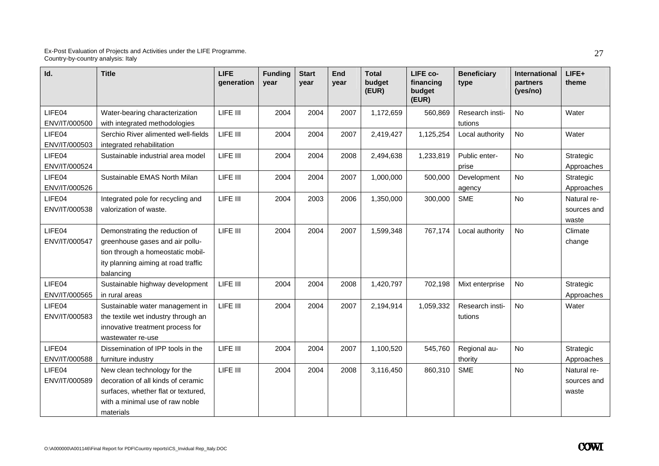| Id.           | <b>Title</b>                        | <b>LIFE</b><br>generation | <b>Funding</b><br>year | <b>Start</b><br>year | <b>End</b><br>year | <b>Total</b><br>budget<br>(EUR) | LIFE co-<br>financing<br>budget<br>(EUR) | <b>Beneficiary</b><br>type | <b>International</b><br>partners<br>(yes/no) | LIFE+<br>theme |
|---------------|-------------------------------------|---------------------------|------------------------|----------------------|--------------------|---------------------------------|------------------------------------------|----------------------------|----------------------------------------------|----------------|
| LIFE04        | Water-bearing characterization      | LIFE III                  | 2004                   | 2004                 | 2007               | 1,172,659                       | 560,869                                  | Research insti-            | No                                           | Water          |
| ENV/IT/000500 | with integrated methodologies       |                           |                        |                      |                    |                                 |                                          | tutions                    |                                              |                |
| LIFE04        | Serchio River alimented well-fields | LIFE III                  | 2004                   | 2004                 | 2007               | 2,419,427                       | 1,125,254                                | Local authority            | No                                           | Water          |
| ENV/IT/000503 | integrated rehabilitation           |                           |                        |                      |                    |                                 |                                          |                            |                                              |                |
| LIFE04        | Sustainable industrial area model   | LIFE III                  | 2004                   | 2004                 | 2008               | 2,494,638                       | 1,233,819                                | Public enter-              | No                                           | Strategic      |
| ENV/IT/000524 |                                     |                           |                        |                      |                    |                                 |                                          | prise                      |                                              | Approaches     |
| LIFE04        | Sustainable EMAS North Milan        | LIFE III                  | 2004                   | 2004                 | 2007               | 1,000,000                       | 500,000                                  | Development                | No                                           | Strategic      |
| ENV/IT/000526 |                                     |                           |                        |                      |                    |                                 |                                          | agency                     |                                              | Approaches     |
| LIFE04        | Integrated pole for recycling and   | LIFE III                  | 2004                   | 2003                 | 2006               | 1,350,000                       | 300,000                                  | <b>SME</b>                 | No                                           | Natural re-    |
| ENV/IT/000538 | valorization of waste.              |                           |                        |                      |                    |                                 |                                          |                            |                                              | sources and    |
|               |                                     |                           |                        |                      |                    |                                 |                                          |                            |                                              | waste          |
| LIFE04        | Demonstrating the reduction of      | LIFE III                  | 2004                   | 2004                 | 2007               | 1,599,348                       | 767,174                                  | Local authority            | No                                           | Climate        |
| ENV/IT/000547 | greenhouse gases and air pollu-     |                           |                        |                      |                    |                                 |                                          |                            |                                              | change         |
|               | tion through a homeostatic mobil-   |                           |                        |                      |                    |                                 |                                          |                            |                                              |                |
|               | ity planning aiming at road traffic |                           |                        |                      |                    |                                 |                                          |                            |                                              |                |
|               | balancing                           |                           |                        |                      |                    |                                 |                                          |                            |                                              |                |
| LIFE04        | Sustainable highway development     | LIFE III                  | 2004                   | 2004                 | 2008               | 1,420,797                       | 702,198                                  | Mixt enterprise            | No                                           | Strategic      |
| ENV/IT/000565 | in rural areas                      |                           |                        |                      |                    |                                 |                                          |                            |                                              | Approaches     |
| LIFE04        | Sustainable water management in     | LIFE III                  | 2004                   | 2004                 | 2007               | 2,194,914                       | 1,059,332                                | Research insti-            | <b>No</b>                                    | Water          |
| ENV/IT/000583 | the textile wet industry through an |                           |                        |                      |                    |                                 |                                          | tutions                    |                                              |                |
|               | innovative treatment process for    |                           |                        |                      |                    |                                 |                                          |                            |                                              |                |
|               | wastewater re-use                   |                           |                        |                      |                    |                                 |                                          |                            |                                              |                |
| LIFE04        | Dissemination of IPP tools in the   | LIFE III                  | 2004                   | 2004                 | 2007               | 1,100,520                       | 545,760                                  | Regional au-               | No                                           | Strategic      |
| ENV/IT/000588 | furniture industry                  |                           |                        |                      |                    |                                 |                                          | thority                    |                                              | Approaches     |
| LIFE04        | New clean technology for the        | LIFE III                  | 2004                   | 2004                 | 2008               | 3,116,450                       | 860,310                                  | <b>SME</b>                 | No                                           | Natural re-    |
| ENV/IT/000589 | decoration of all kinds of ceramic  |                           |                        |                      |                    |                                 |                                          |                            |                                              | sources and    |
|               | surfaces, whether flat or textured, |                           |                        |                      |                    |                                 |                                          |                            |                                              | waste          |
|               | with a minimal use of raw noble     |                           |                        |                      |                    |                                 |                                          |                            |                                              |                |
|               | materials                           |                           |                        |                      |                    |                                 |                                          |                            |                                              |                |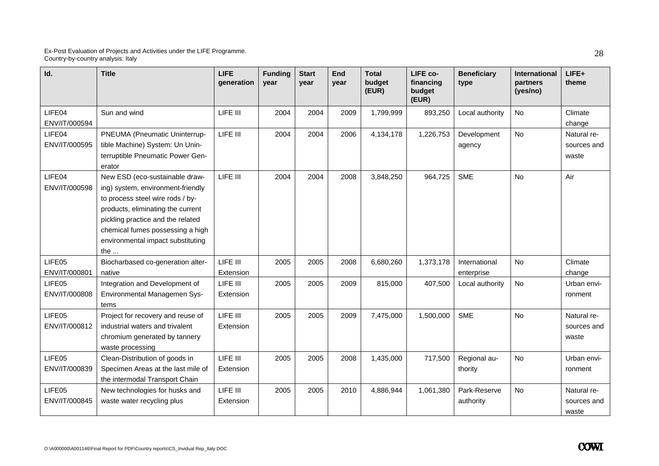| Id.                     | <b>Title</b>                                                                                                                                                                                                                                                              | <b>LIFE</b><br>generation | <b>Funding</b><br>year | <b>Start</b><br>year | <b>End</b><br>year | <b>Total</b><br>budget<br>(EUR) | LIFE co-<br>financing<br>budget<br>(EUR) | <b>Beneficiary</b><br>type  | International<br>partners<br>(yes/no) | LIFE+<br>theme                      |
|-------------------------|---------------------------------------------------------------------------------------------------------------------------------------------------------------------------------------------------------------------------------------------------------------------------|---------------------------|------------------------|----------------------|--------------------|---------------------------------|------------------------------------------|-----------------------------|---------------------------------------|-------------------------------------|
| LIFE04<br>ENV/IT/000594 | Sun and wind                                                                                                                                                                                                                                                              | LIFE III                  | 2004                   | 2004                 | 2009               | 1,799,999                       | 893,250                                  | Local authority             | No                                    | Climate<br>change                   |
| LIFE04<br>ENV/IT/000595 | PNEUMA (Pneumatic Uninterrup-<br>tible Machine) System: Un Unin-<br>terruptible Pneumatic Power Gen-<br>erator                                                                                                                                                            | LIFE III                  | 2004                   | 2004                 | 2006               | 4,134,178                       | 1,226,753                                | Development<br>agency       | No                                    | Natural re-<br>sources and<br>waste |
| LIFE04<br>ENV/IT/000598 | New ESD (eco-sustainable draw-<br>ing) system, environment-friendly<br>to process steel wire rods / by-<br>products, eliminating the current<br>pickling practice and the related<br>chemical fumes possessing a high<br>environmental impact substituting<br>the $\dots$ | LIFE III                  | 2004                   | 2004                 | 2008               | 3,848,250                       | 964,725                                  | <b>SME</b>                  | No                                    | Air                                 |
| LIFE05<br>ENV/IT/000801 | Biocharbased co-generation alter-<br>native                                                                                                                                                                                                                               | LIFE III<br>Extension     | 2005                   | 2005                 | 2008               | 6,680,260                       | 1,373,178                                | International<br>enterprise | No                                    | Climate<br>change                   |
| LIFE05<br>ENV/IT/000808 | Integration and Development of<br>Environmental Managemen Sys-<br>tems                                                                                                                                                                                                    | LIFE III<br>Extension     | 2005                   | 2005                 | 2009               | 815,000                         | 407,500                                  | Local authority             | No                                    | Urban envi-<br>ronment              |
| LIFE05<br>ENV/IT/000812 | Project for recovery and reuse of<br>industrial waters and trivalent<br>chromium generated by tannery<br>waste processing                                                                                                                                                 | LIFE III<br>Extension     | 2005                   | 2005                 | 2009               | 7,475,000                       | 1,500,000                                | <b>SME</b>                  | No                                    | Natural re-<br>sources and<br>waste |
| LIFE05<br>ENV/IT/000839 | Clean-Distribution of goods in<br>Specimen Areas at the last mile of<br>the intermodal Transport Chain                                                                                                                                                                    | LIFE III<br>Extension     | 2005                   | 2005                 | 2008               | 1,435,000                       | 717,500                                  | Regional au-<br>thority     | No                                    | Urban envi-<br>ronment              |
| LIFE05<br>ENV/IT/000845 | New technologies for husks and<br>waste water recycling plus                                                                                                                                                                                                              | LIFE III<br>Extension     | 2005                   | 2005                 | 2010               | 4,886,944                       | 1,061,380                                | Park-Reserve<br>authority   | No                                    | Natural re-<br>sources and<br>waste |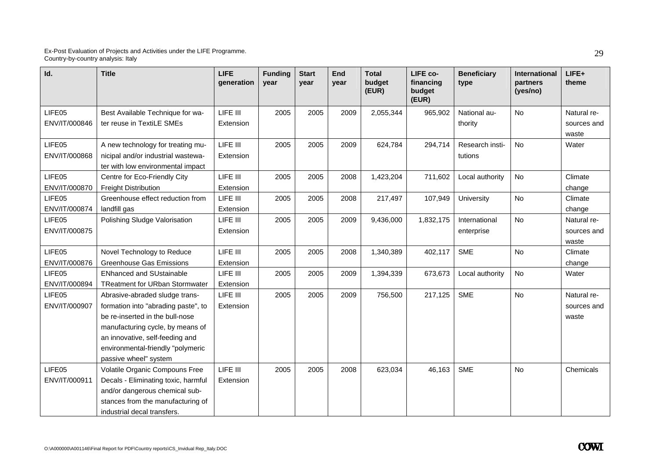| Id.           | <b>Title</b>                                                  | <b>LIFE</b><br>generation | <b>Funding</b><br>year | <b>Start</b><br>year | End<br>vear | <b>Total</b><br>budget<br>(EUR) | LIFE co-<br>financing<br>budget<br>(EUR) | <b>Beneficiary</b><br>type | <b>International</b><br>partners<br>(yes/no) | $LIFE+$<br>theme |
|---------------|---------------------------------------------------------------|---------------------------|------------------------|----------------------|-------------|---------------------------------|------------------------------------------|----------------------------|----------------------------------------------|------------------|
| LIFE05        | Best Available Technique for wa-                              | LIFE III                  | 2005                   | 2005                 | 2009        | 2,055,344                       | 965,902                                  | National au-               | <b>No</b>                                    | Natural re-      |
| ENV/IT/000846 | ter reuse in TextiLE SMEs                                     | Extension                 |                        |                      |             |                                 |                                          | thority                    |                                              | sources and      |
|               |                                                               |                           |                        |                      |             |                                 |                                          |                            |                                              | waste            |
| LIFE05        | A new technology for treating mu-                             | LIFE III                  | 2005                   | 2005                 | 2009        | 624,784                         | 294,714                                  | Research insti-            | <b>No</b>                                    | Water            |
| ENV/IT/000868 | nicipal and/or industrial wastewa-                            | Extension                 |                        |                      |             |                                 |                                          | tutions                    |                                              |                  |
|               | ter with low environmental impact                             |                           |                        |                      |             |                                 |                                          |                            |                                              |                  |
| LIFE05        | Centre for Eco-Friendly City                                  | LIFE III                  | 2005                   | 2005                 | 2008        | 1,423,204                       | 711,602                                  | Local authority            | No                                           | Climate          |
| ENV/IT/000870 | <b>Freight Distribution</b>                                   | Extension                 |                        |                      |             |                                 |                                          |                            |                                              | change           |
| LIFE05        | Greenhouse effect reduction from                              | LIFE III                  | 2005                   | 2005                 | 2008        | 217,497                         | 107,949                                  | University                 | <b>No</b>                                    | Climate          |
| ENV/IT/000874 | landfill gas                                                  | Extension                 |                        |                      |             |                                 |                                          |                            |                                              | change           |
| LIFE05        | Polishing Sludge Valorisation                                 | LIFE III                  | 2005                   | 2005                 | 2009        | 9,436,000                       | 1,832,175                                | International              | No                                           | Natural re-      |
| ENV/IT/000875 |                                                               | Extension                 |                        |                      |             |                                 |                                          | enterprise                 |                                              | sources and      |
| LIFE05        |                                                               | LIFE III                  |                        |                      |             | 1,340,389                       |                                          | <b>SME</b>                 | <b>No</b>                                    | waste            |
| ENV/IT/000876 | Novel Technology to Reduce<br><b>Greenhouse Gas Emissions</b> |                           | 2005                   | 2005                 | 2008        |                                 | 402,117                                  |                            |                                              | Climate          |
| LIFE05        | <b>ENhanced and SUstainable</b>                               | Extension<br>LIFE III     | 2005                   | 2005                 | 2009        | 1,394,339                       | 673,673                                  |                            | <b>No</b>                                    | change<br>Water  |
| ENV/IT/000894 | <b>TReatment for URban Stormwater</b>                         | Extension                 |                        |                      |             |                                 |                                          | Local authority            |                                              |                  |
| LIFE05        | Abrasive-abraded sludge trans-                                | LIFE III                  | 2005                   | 2005                 | 2009        | 756,500                         | 217,125                                  | <b>SME</b>                 | <b>No</b>                                    | Natural re-      |
| ENV/IT/000907 | formation into "abrading paste", to                           | Extension                 |                        |                      |             |                                 |                                          |                            |                                              | sources and      |
|               | be re-inserted in the bull-nose                               |                           |                        |                      |             |                                 |                                          |                            |                                              | waste            |
|               | manufacturing cycle, by means of                              |                           |                        |                      |             |                                 |                                          |                            |                                              |                  |
|               | an innovative, self-feeding and                               |                           |                        |                      |             |                                 |                                          |                            |                                              |                  |
|               | environmental-friendly "polymeric                             |                           |                        |                      |             |                                 |                                          |                            |                                              |                  |
|               | passive wheel" system                                         |                           |                        |                      |             |                                 |                                          |                            |                                              |                  |
| LIFE05        | Volatile Organic Compouns Free                                | LIFE III                  | 2005                   | 2005                 | 2008        | 623,034                         | 46,163                                   | <b>SME</b>                 | No                                           | Chemicals        |
| ENV/IT/000911 | Decals - Eliminating toxic, harmful                           | Extension                 |                        |                      |             |                                 |                                          |                            |                                              |                  |
|               | and/or dangerous chemical sub-                                |                           |                        |                      |             |                                 |                                          |                            |                                              |                  |
|               | stances from the manufacturing of                             |                           |                        |                      |             |                                 |                                          |                            |                                              |                  |
|               | industrial decal transfers.                                   |                           |                        |                      |             |                                 |                                          |                            |                                              |                  |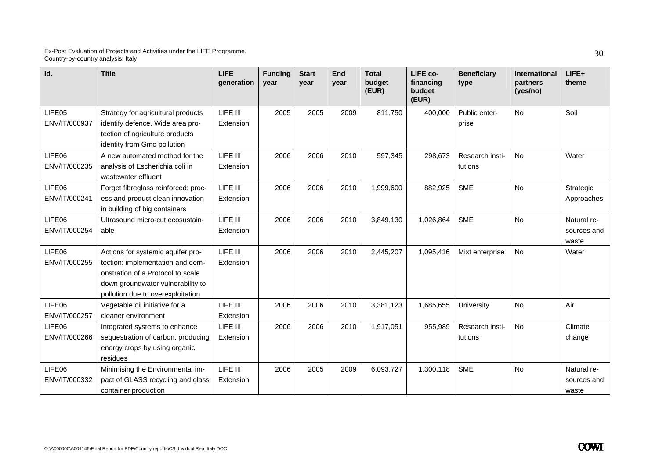| Id.                     | <b>Title</b>                                                                                                                                                                         | <b>LIFE</b><br>generation | <b>Funding</b><br>year | <b>Start</b><br>year | <b>End</b><br>year | <b>Total</b><br>budget<br>(EUR) | LIFE co-<br>financing<br>budget<br>(EUR) | <b>Beneficiary</b><br>type | <b>International</b><br>partners<br>(yes/no) | LIFE+<br>theme                      |
|-------------------------|--------------------------------------------------------------------------------------------------------------------------------------------------------------------------------------|---------------------------|------------------------|----------------------|--------------------|---------------------------------|------------------------------------------|----------------------------|----------------------------------------------|-------------------------------------|
| LIFE05<br>ENV/IT/000937 | Strategy for agricultural products<br>identify defence. Wide area pro-<br>tection of agriculture products<br>identity from Gmo pollution                                             | LIFE III<br>Extension     | 2005                   | 2005                 | 2009               | 811,750                         | 400,000                                  | Public enter-<br>prise     | No                                           | Soil                                |
| LIFE06<br>ENV/IT/000235 | A new automated method for the<br>analysis of Escherichia coli in<br>wastewater effluent                                                                                             | LIFE III<br>Extension     | 2006                   | 2006                 | 2010               | 597,345                         | 298,673                                  | Research insti-<br>tutions | No                                           | Water                               |
| LIFE06<br>ENV/IT/000241 | Forget fibreglass reinforced: proc-<br>ess and product clean innovation<br>in building of big containers                                                                             | LIFE III<br>Extension     | 2006                   | 2006                 | 2010               | 1,999,600                       | 882,925                                  | <b>SME</b>                 | No                                           | Strategic<br>Approaches             |
| LIFE06<br>ENV/IT/000254 | Ultrasound micro-cut ecosustain-<br>able                                                                                                                                             | LIFE III<br>Extension     | 2006                   | 2006                 | 2010               | 3,849,130                       | 1,026,864                                | <b>SME</b>                 | <b>No</b>                                    | Natural re-<br>sources and<br>waste |
| LIFE06<br>ENV/IT/000255 | Actions for systemic aquifer pro-<br>tection: implementation and dem-<br>onstration of a Protocol to scale<br>down groundwater vulnerability to<br>pollution due to overexploitation | LIFE III<br>Extension     | 2006                   | 2006                 | 2010               | 2,445,207                       | 1,095,416                                | Mixt enterprise            | <b>No</b>                                    | Water                               |
| LIFE06<br>ENV/IT/000257 | Vegetable oil initiative for a<br>cleaner environment                                                                                                                                | LIFE III<br>Extension     | 2006                   | 2006                 | 2010               | 3,381,123                       | 1,685,655                                | University                 | <b>No</b>                                    | Air                                 |
| LIFE06<br>ENV/IT/000266 | Integrated systems to enhance<br>sequestration of carbon, producing<br>energy crops by using organic<br>residues                                                                     | LIFE III<br>Extension     | 2006                   | 2006                 | 2010               | 1,917,051                       | 955,989                                  | Research insti-<br>tutions | <b>No</b>                                    | Climate<br>change                   |
| LIFE06<br>ENV/IT/000332 | Minimising the Environmental im-<br>pact of GLASS recycling and glass<br>container production                                                                                        | LIFE III<br>Extension     | 2006                   | 2005                 | 2009               | 6,093,727                       | 1,300,118                                | <b>SME</b>                 | No                                           | Natural re-<br>sources and<br>waste |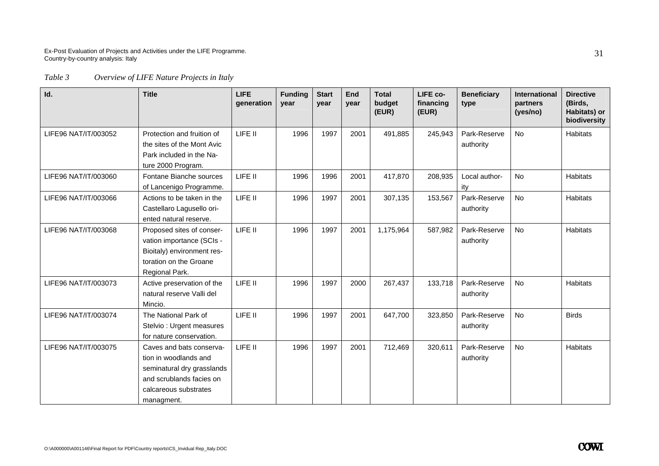### *Table 3 Overview of LIFE Nature Projects in Italy*

| Id.                  | <b>Title</b>                                                                                                                                       | <b>LIFE</b><br>generation | <b>Funding</b><br>year | <b>Start</b><br>year | End<br>year | <b>Total</b><br>budget<br>(EUR) | LIFE co-<br>financing<br>(EUR) | <b>Beneficiary</b><br>type | International<br>partners<br>(yes/no) | <b>Directive</b><br>(Birds,<br>Habitats) or<br>biodiversity |
|----------------------|----------------------------------------------------------------------------------------------------------------------------------------------------|---------------------------|------------------------|----------------------|-------------|---------------------------------|--------------------------------|----------------------------|---------------------------------------|-------------------------------------------------------------|
| LIFE96 NAT/IT/003052 | Protection and fruition of<br>the sites of the Mont Avic<br>Park included in the Na-<br>ture 2000 Program.                                         | LIFE II                   | 1996                   | 1997                 | 2001        | 491,885                         | 245,943                        | Park-Reserve<br>authority  | <b>No</b>                             | Habitats                                                    |
| LIFE96 NAT/IT/003060 | Fontane Bianche sources<br>of Lancenigo Programme.                                                                                                 | LIFE II                   | 1996                   | 1996                 | 2001        | 417,870                         | 208,935                        | Local author-<br>ity       | No                                    | <b>Habitats</b>                                             |
| LIFE96 NAT/IT/003066 | Actions to be taken in the<br>Castellaro Lagusello ori-<br>ented natural reserve.                                                                  | LIFE II                   | 1996                   | 1997                 | 2001        | 307,135                         | 153,567                        | Park-Reserve<br>authority  | <b>No</b>                             | <b>Habitats</b>                                             |
| LIFE96 NAT/IT/003068 | Proposed sites of conser-<br>vation importance (SCIs -<br>Bioitaly) environment res-<br>toration on the Groane<br>Regional Park.                   | LIFE II                   | 1996                   | 1997                 | 2001        | 1,175,964                       | 587,982                        | Park-Reserve<br>authority  | <b>No</b>                             | <b>Habitats</b>                                             |
| LIFE96 NAT/IT/003073 | Active preservation of the<br>natural reserve Valli del<br>Mincio.                                                                                 | LIFE II                   | 1996                   | 1997                 | 2000        | 267,437                         | 133,718                        | Park-Reserve<br>authority  | <b>No</b>                             | <b>Habitats</b>                                             |
| LIFE96 NAT/IT/003074 | The National Park of<br>Stelvio: Urgent measures<br>for nature conservation.                                                                       | LIFE II                   | 1996                   | 1997                 | 2001        | 647,700                         | 323,850                        | Park-Reserve<br>authority  | <b>No</b>                             | <b>Birds</b>                                                |
| LIFE96 NAT/IT/003075 | Caves and bats conserva-<br>tion in woodlands and<br>seminatural dry grasslands<br>and scrublands facies on<br>calcareous substrates<br>managment. | LIFE II                   | 1996                   | 1997                 | 2001        | 712,469                         | 320,611                        | Park-Reserve<br>authority  | No                                    | Habitats                                                    |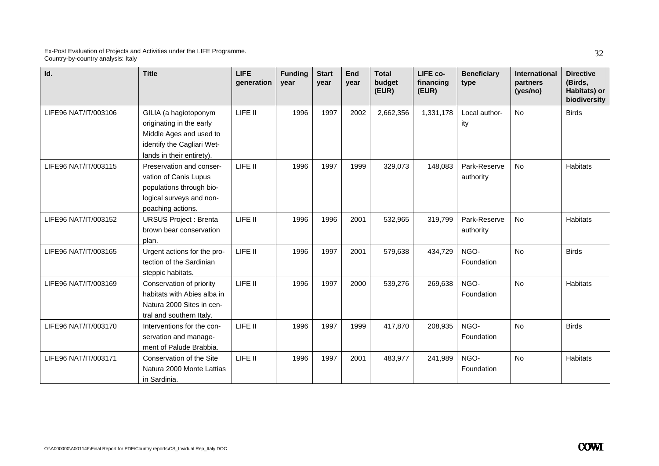| Id.                  | <b>Title</b>                                                                                                                            | <b>LIFE</b><br>qeneration | <b>Funding</b><br>vear | <b>Start</b><br>vear | End<br>vear | <b>Total</b><br>budget<br>(EUR) | LIFE co-<br>financing<br>(EUR) | <b>Beneficiary</b><br>type | International<br>partners<br>(yes/no) | <b>Directive</b><br>(Birds,<br>Habitats) or<br>biodiversity |
|----------------------|-----------------------------------------------------------------------------------------------------------------------------------------|---------------------------|------------------------|----------------------|-------------|---------------------------------|--------------------------------|----------------------------|---------------------------------------|-------------------------------------------------------------|
| LIFE96 NAT/IT/003106 | GILIA (a hagiotoponym<br>originating in the early<br>Middle Ages and used to<br>identify the Cagliari Wet-<br>lands in their entirety). | LIFE II                   | 1996                   | 1997                 | 2002        | 2,662,356                       | 1,331,178                      | Local author-<br>ity       | <b>No</b>                             | <b>Birds</b>                                                |
| LIFE96 NAT/IT/003115 | Preservation and conser-<br>vation of Canis Lupus<br>populations through bio-<br>logical surveys and non-<br>poaching actions.          | LIFE II                   | 1996                   | 1997                 | 1999        | 329,073                         | 148,083                        | Park-Reserve<br>authority  | <b>No</b>                             | <b>Habitats</b>                                             |
| LIFE96 NAT/IT/003152 | <b>URSUS Project: Brenta</b><br>brown bear conservation<br>plan.                                                                        | LIFE II                   | 1996                   | 1996                 | 2001        | 532,965                         | 319,799                        | Park-Reserve<br>authority  | No                                    | <b>Habitats</b>                                             |
| LIFE96 NAT/IT/003165 | Urgent actions for the pro-<br>tection of the Sardinian<br>steppic habitats.                                                            | LIFE II                   | 1996                   | 1997                 | 2001        | 579,638                         | 434,729                        | NGO-<br>Foundation         | <b>No</b>                             | <b>Birds</b>                                                |
| LIFE96 NAT/IT/003169 | Conservation of priority<br>habitats with Abies alba in<br>Natura 2000 Sites in cen-<br>tral and southern Italy.                        | LIFE II                   | 1996                   | 1997                 | 2000        | 539,276                         | 269,638                        | NGO-<br>Foundation         | <b>No</b>                             | Habitats                                                    |
| LIFE96 NAT/IT/003170 | Interventions for the con-<br>servation and manage-<br>ment of Palude Brabbia.                                                          | LIFE II                   | 1996                   | 1997                 | 1999        | 417,870                         | 208,935                        | NGO-<br>Foundation         | <b>No</b>                             | <b>Birds</b>                                                |
| LIFE96 NAT/IT/003171 | Conservation of the Site<br>Natura 2000 Monte Lattias<br>in Sardinia.                                                                   | LIFE II                   | 1996                   | 1997                 | 2001        | 483,977                         | 241,989                        | NGO-<br>Foundation         | <b>No</b>                             | <b>Habitats</b>                                             |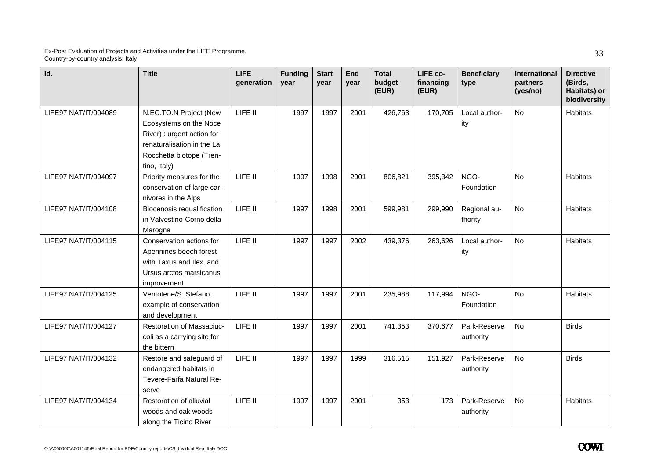| Id.                  | <b>Title</b>                                                                                                                                             | LIFE<br>generation | <b>Funding</b><br>year | <b>Start</b><br>year | End<br>year | <b>Total</b><br>budget<br>(EUR) | LIFE co-<br>financing<br>(EUR) | <b>Beneficiary</b><br>type | <b>International</b><br>partners<br>(yes/no) | <b>Directive</b><br>(Birds,<br>Habitats) or<br>biodiversity |
|----------------------|----------------------------------------------------------------------------------------------------------------------------------------------------------|--------------------|------------------------|----------------------|-------------|---------------------------------|--------------------------------|----------------------------|----------------------------------------------|-------------------------------------------------------------|
| LIFE97 NAT/IT/004089 | N.EC.TO.N Project (New<br>Ecosystems on the Noce<br>River) : urgent action for<br>renaturalisation in the La<br>Rocchetta biotope (Tren-<br>tino, Italy) | LIFE II            | 1997                   | 1997                 | 2001        | 426,763                         | 170,705                        | Local author-<br>ity       | <b>No</b>                                    | Habitats                                                    |
| LIFE97 NAT/IT/004097 | Priority measures for the<br>conservation of large car-<br>nivores in the Alps                                                                           | LIFE II            | 1997                   | 1998                 | 2001        | 806,821                         | 395,342                        | NGO-<br>Foundation         | <b>No</b>                                    | Habitats                                                    |
| LIFE97 NAT/IT/004108 | Biocenosis requalification<br>in Valvestino-Corno della<br>Marogna                                                                                       | LIFE II            | 1997                   | 1998                 | 2001        | 599,981                         | 299,990                        | Regional au-<br>thority    | <b>No</b>                                    | <b>Habitats</b>                                             |
| LIFE97 NAT/IT/004115 | Conservation actions for<br>Apennines beech forest<br>with Taxus and Ilex, and<br>Ursus arctos marsicanus<br>improvement                                 | LIFE II            | 1997                   | 1997                 | 2002        | 439,376                         | 263,626                        | Local author-<br>ity       | <b>No</b>                                    | <b>Habitats</b>                                             |
| LIFE97 NAT/IT/004125 | Ventotene/S. Stefano:<br>example of conservation<br>and development                                                                                      | LIFE II            | 1997                   | 1997                 | 2001        | 235,988                         | 117,994                        | NGO-<br>Foundation         | <b>No</b>                                    | <b>Habitats</b>                                             |
| LIFE97 NAT/IT/004127 | Restoration of Massaciuc-<br>coli as a carrying site for<br>the bittern                                                                                  | LIFE II            | 1997                   | 1997                 | 2001        | 741,353                         | 370,677                        | Park-Reserve<br>authority  | No                                           | <b>Birds</b>                                                |
| LIFE97 NAT/IT/004132 | Restore and safeguard of<br>endangered habitats in<br>Tevere-Farfa Natural Re-<br>serve                                                                  | LIFE II            | 1997                   | 1997                 | 1999        | 316,515                         | 151,927                        | Park-Reserve<br>authority  | <b>No</b>                                    | <b>Birds</b>                                                |
| LIFE97 NAT/IT/004134 | Restoration of alluvial<br>woods and oak woods<br>along the Ticino River                                                                                 | LIFE II            | 1997                   | 1997                 | 2001        | 353                             | 173                            | Park-Reserve<br>authority  | <b>No</b>                                    | Habitats                                                    |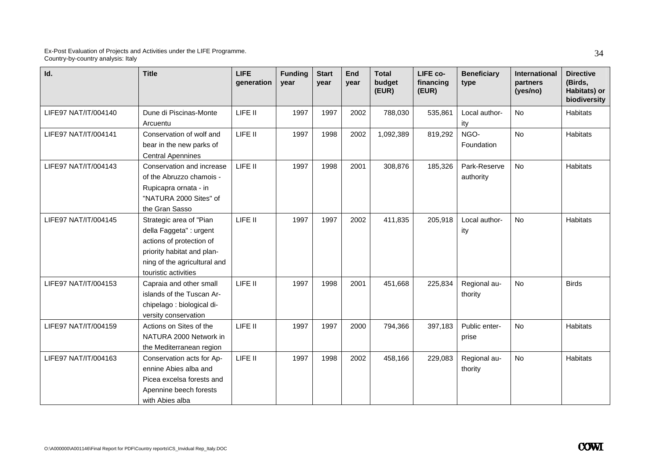| Id.                  | <b>Title</b>                                                                                                                                                         | <b>LIFE</b><br>generation | <b>Funding</b><br>year | <b>Start</b><br>year | End<br>year | <b>Total</b><br>budget<br>(EUR) | LIFE co-<br>financing<br>(EUR) | <b>Beneficiary</b><br>type | <b>International</b><br>partners<br>(yes/no) | <b>Directive</b><br>(Birds,<br>Habitats) or<br>biodiversity |
|----------------------|----------------------------------------------------------------------------------------------------------------------------------------------------------------------|---------------------------|------------------------|----------------------|-------------|---------------------------------|--------------------------------|----------------------------|----------------------------------------------|-------------------------------------------------------------|
| LIFE97 NAT/IT/004140 | Dune di Piscinas-Monte<br>Arcuentu                                                                                                                                   | LIFE II                   | 1997                   | 1997                 | 2002        | 788,030                         | 535,861                        | Local author-<br>ity       | <b>No</b>                                    | Habitats                                                    |
| LIFE97 NAT/IT/004141 | Conservation of wolf and<br>bear in the new parks of<br><b>Central Apennines</b>                                                                                     | LIFE II                   | 1997                   | 1998                 | 2002        | 1,092,389                       | 819,292                        | NGO-<br>Foundation         | <b>No</b>                                    | Habitats                                                    |
| LIFE97 NAT/IT/004143 | Conservation and increase<br>of the Abruzzo chamois -<br>Rupicapra ornata - in<br>"NATURA 2000 Sites" of<br>the Gran Sasso                                           | LIFE II                   | 1997                   | 1998                 | 2001        | 308,876                         | 185,326                        | Park-Reserve<br>authority  | <b>No</b>                                    | Habitats                                                    |
| LIFE97 NAT/IT/004145 | Strategic area of "Pian<br>della Faggeta" : urgent<br>actions of protection of<br>priority habitat and plan-<br>ning of the agricultural and<br>touristic activities | LIFE II                   | 1997                   | 1997                 | 2002        | 411,835                         | 205,918                        | Local author-<br>ity       | <b>No</b>                                    | <b>Habitats</b>                                             |
| LIFE97 NAT/IT/004153 | Capraia and other small<br>islands of the Tuscan Ar-<br>chipelago : biological di-<br>versity conservation                                                           | LIFE II                   | 1997                   | 1998                 | 2001        | 451,668                         | 225,834                        | Regional au-<br>thority    | <b>No</b>                                    | <b>Birds</b>                                                |
| LIFE97 NAT/IT/004159 | Actions on Sites of the<br>NATURA 2000 Network in<br>the Mediterranean region                                                                                        | LIFE II                   | 1997                   | 1997                 | 2000        | 794,366                         | 397,183                        | Public enter-<br>prise     | <b>No</b>                                    | Habitats                                                    |
| LIFE97 NAT/IT/004163 | Conservation acts for Ap-<br>ennine Abies alba and<br>Picea excelsa forests and<br>Apennine beech forests<br>with Abies alba                                         | LIFE II                   | 1997                   | 1998                 | 2002        | 458,166                         | 229,083                        | Regional au-<br>thority    | <b>No</b>                                    | Habitats                                                    |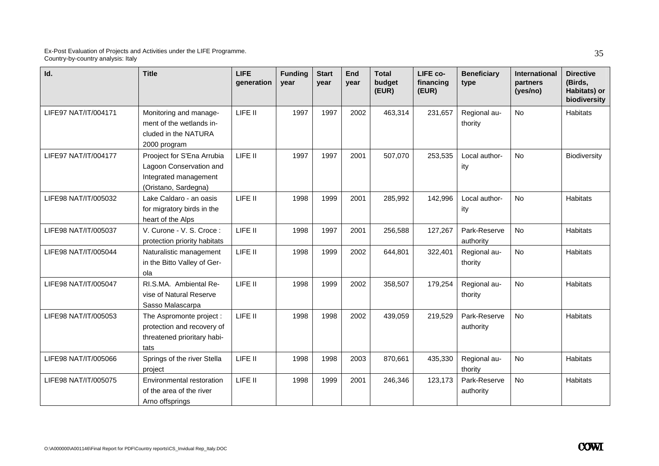| Id.                  | <b>Title</b>                                                                                           | <b>LIFE</b><br>qeneration | <b>Funding</b><br>year | <b>Start</b><br>vear | End<br>vear | <b>Total</b><br>budget<br>(EUR) | LIFE co-<br>financing<br>(EUR) | <b>Beneficiary</b><br>type | International<br>partners<br>(yes/no) | <b>Directive</b><br>(Birds,<br>Habitats) or<br>biodiversity |
|----------------------|--------------------------------------------------------------------------------------------------------|---------------------------|------------------------|----------------------|-------------|---------------------------------|--------------------------------|----------------------------|---------------------------------------|-------------------------------------------------------------|
| LIFE97 NAT/IT/004171 | Monitoring and manage-<br>ment of the wetlands in-<br>cluded in the NATURA<br>2000 program             | LIFE II                   | 1997                   | 1997                 | 2002        | 463,314                         | 231,657                        | Regional au-<br>thority    | <b>No</b>                             | <b>Habitats</b>                                             |
| LIFE97 NAT/IT/004177 | Prooject for S'Ena Arrubia<br>Lagoon Conservation and<br>Integrated management<br>(Oristano, Sardegna) | LIFE II                   | 1997                   | 1997                 | 2001        | 507,070                         | 253,535                        | Local author-<br>ity       | <b>No</b>                             | Biodiversity                                                |
| LIFE98 NAT/IT/005032 | Lake Caldaro - an oasis<br>for migratory birds in the<br>heart of the Alps                             | LIFE II                   | 1998                   | 1999                 | 2001        | 285,992                         | 142,996                        | Local author-<br>ity       | <b>No</b>                             | <b>Habitats</b>                                             |
| LIFE98 NAT/IT/005037 | V. Curone - V. S. Croce:<br>protection priority habitats                                               | LIFE II                   | 1998                   | 1997                 | 2001        | 256,588                         | 127,267                        | Park-Reserve<br>authority  | No                                    | <b>Habitats</b>                                             |
| LIFE98 NAT/IT/005044 | Naturalistic management<br>in the Bitto Valley of Ger-<br>ola                                          | LIFE II                   | 1998                   | 1999                 | 2002        | 644,801                         | 322,401                        | Regional au-<br>thority    | <b>No</b>                             | <b>Habitats</b>                                             |
| LIFE98 NAT/IT/005047 | RI.S.MA. Ambiental Re-<br>vise of Natural Reserve<br>Sasso Malascarpa                                  | LIFE II                   | 1998                   | 1999                 | 2002        | 358,507                         | 179,254                        | Regional au-<br>thority    | <b>No</b>                             | <b>Habitats</b>                                             |
| LIFE98 NAT/IT/005053 | The Aspromonte project :<br>protection and recovery of<br>threatened prioritary habi-<br>tats          | LIFE II                   | 1998                   | 1998                 | 2002        | 439,059                         | 219,529                        | Park-Reserve<br>authority  | <b>No</b>                             | <b>Habitats</b>                                             |
| LIFE98 NAT/IT/005066 | Springs of the river Stella<br>project                                                                 | LIFE II                   | 1998                   | 1998                 | 2003        | 870,661                         | 435,330                        | Regional au-<br>thority    | <b>No</b>                             | Habitats                                                    |
| LIFE98 NAT/IT/005075 | Environmental restoration<br>of the area of the river<br>Arno offsprings                               | LIFE II                   | 1998                   | 1999                 | 2001        | 246,346                         | 123,173                        | Park-Reserve<br>authority  | <b>No</b>                             | <b>Habitats</b>                                             |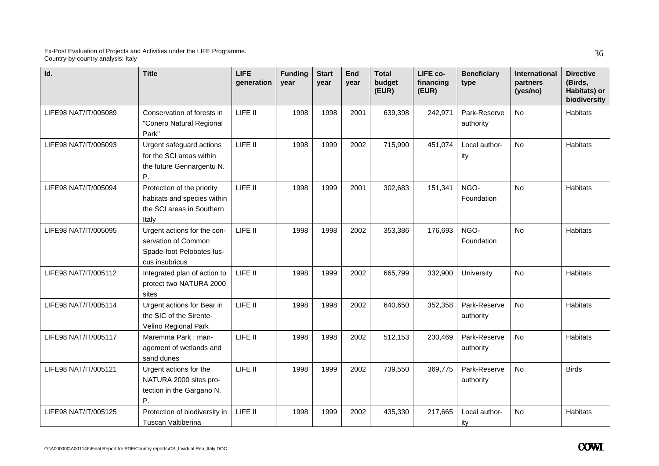| Id.                  | <b>Title</b>                                                                                      | <b>LIFE</b><br>generation | <b>Funding</b><br>year | <b>Start</b><br>year | End<br>year | <b>Total</b><br>budget<br>(EUR) | LIFE co-<br>financing<br>(EUR) | <b>Beneficiary</b><br>type | International<br>partners<br>(yes/no) | <b>Directive</b><br>(Birds,<br>Habitats) or<br>biodiversity |
|----------------------|---------------------------------------------------------------------------------------------------|---------------------------|------------------------|----------------------|-------------|---------------------------------|--------------------------------|----------------------------|---------------------------------------|-------------------------------------------------------------|
| LIFE98 NAT/IT/005089 | Conservation of forests in<br>"Conero Natural Regional<br>Park"                                   | LIFE II                   | 1998                   | 1998                 | 2001        | 639,398                         | 242,971                        | Park-Reserve<br>authority  | <b>No</b>                             | <b>Habitats</b>                                             |
| LIFE98 NAT/IT/005093 | Urgent safeguard actions<br>for the SCI areas within<br>the future Gennargentu N.<br>Ρ.           | LIFE II                   | 1998                   | 1999                 | 2002        | 715,990                         | 451,074                        | Local author-<br>ity       | No                                    | Habitats                                                    |
| LIFE98 NAT/IT/005094 | Protection of the priority<br>habitats and species within<br>the SCI areas in Southern<br>Italy   | LIFE II                   | 1998                   | 1999                 | 2001        | 302,683                         | 151,341                        | NGO-<br>Foundation         | <b>No</b>                             | Habitats                                                    |
| LIFE98 NAT/IT/005095 | Urgent actions for the con-<br>servation of Common<br>Spade-foot Pelobates fus-<br>cus insubricus | LIFE II                   | 1998                   | 1998                 | 2002        | 353,386                         | 176,693                        | NGO-<br>Foundation         | <b>No</b>                             | Habitats                                                    |
| LIFE98 NAT/IT/005112 | Integrated plan of action to<br>protect two NATURA 2000<br>sites                                  | LIFE II                   | 1998                   | 1999                 | 2002        | 665,799                         | 332,900                        | University                 | No                                    | Habitats                                                    |
| LIFE98 NAT/IT/005114 | Urgent actions for Bear in<br>the SIC of the Sirente-<br>Velino Regional Park                     | LIFE II                   | 1998                   | 1998                 | 2002        | 640,650                         | 352,358                        | Park-Reserve<br>authority  | <b>No</b>                             | <b>Habitats</b>                                             |
| LIFE98 NAT/IT/005117 | Maremma Park: man-<br>agement of wetlands and<br>sand dunes                                       | LIFE II                   | 1998                   | 1998                 | 2002        | 512,153                         | 230,469                        | Park-Reserve<br>authority  | <b>No</b>                             | Habitats                                                    |
| LIFE98 NAT/IT/005121 | Urgent actions for the<br>NATURA 2000 sites pro-<br>tection in the Gargano N.<br>Ρ.               | LIFE II                   | 1998                   | 1999                 | 2002        | 739,550                         | 369,775                        | Park-Reserve<br>authority  | <b>No</b>                             | <b>Birds</b>                                                |
| LIFE98 NAT/IT/005125 | Protection of biodiversity in<br>Tuscan Valtiberina                                               | LIFE II                   | 1998                   | 1999                 | 2002        | 435,330                         | 217.665                        | Local author-<br>ity       | <b>No</b>                             | Habitats                                                    |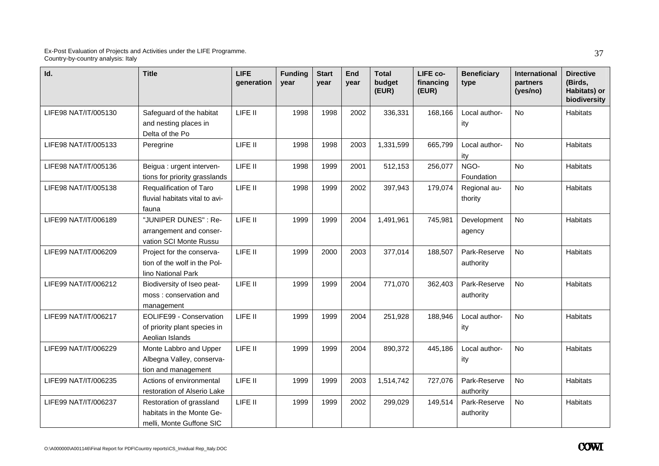| Id.                  | <b>Title</b>                                                                      | <b>LIFE</b><br>generation | <b>Funding</b><br>year | <b>Start</b><br>year | End<br>year | <b>Total</b><br>budget<br>(EUR) | LIFE co-<br>financing<br>(EUR) | <b>Beneficiary</b><br>type | International<br>partners<br>(yes/no) | <b>Directive</b><br>(Birds,<br>Habitats) or<br>biodiversity |
|----------------------|-----------------------------------------------------------------------------------|---------------------------|------------------------|----------------------|-------------|---------------------------------|--------------------------------|----------------------------|---------------------------------------|-------------------------------------------------------------|
| LIFE98 NAT/IT/005130 | Safeguard of the habitat<br>and nesting places in<br>Delta of the Po              | LIFE II                   | 1998                   | 1998                 | 2002        | 336,331                         | 168,166                        | Local author-<br>ity       | <b>No</b>                             | Habitats                                                    |
| LIFE98 NAT/IT/005133 | Peregrine                                                                         | LIFE II                   | 1998                   | 1998                 | 2003        | 1,331,599                       | 665,799                        | Local author-<br>ity       | No                                    | <b>Habitats</b>                                             |
| LIFE98 NAT/IT/005136 | Beigua : urgent interven-<br>tions for priority grasslands                        | LIFE II                   | 1998                   | 1999                 | 2001        | 512,153                         | 256,077                        | NGO-<br>Foundation         | No                                    | Habitats                                                    |
| LIFE98 NAT/IT/005138 | Requalification of Taro<br>fluvial habitats vital to avi-<br>fauna                | LIFE II                   | 1998                   | 1999                 | 2002        | 397,943                         | 179,074                        | Regional au-<br>thority    | <b>No</b>                             | Habitats                                                    |
| LIFE99 NAT/IT/006189 | "JUNIPER DUNES": Re-<br>arrangement and conser-<br>vation SCI Monte Russu         | LIFE II                   | 1999                   | 1999                 | 2004        | 1,491,961                       | 745,981                        | Development<br>agency      | <b>No</b>                             | <b>Habitats</b>                                             |
| LIFE99 NAT/IT/006209 | Project for the conserva-<br>tion of the wolf in the Pol-<br>lino National Park   | LIFE II                   | 1999                   | 2000                 | 2003        | 377,014                         | 188,507                        | Park-Reserve<br>authority  | <b>No</b>                             | Habitats                                                    |
| LIFE99 NAT/IT/006212 | Biodiversity of Iseo peat-<br>moss: conservation and<br>management                | LIFE II                   | 1999                   | 1999                 | 2004        | 771,070                         | 362,403                        | Park-Reserve<br>authority  | No                                    | <b>Habitats</b>                                             |
| LIFE99 NAT/IT/006217 | EOLIFE99 - Conservation<br>of priority plant species in<br>Aeolian Islands        | LIFE II                   | 1999                   | 1999                 | 2004        | 251,928                         | 188,946                        | Local author-<br>ity       | <b>No</b>                             | Habitats                                                    |
| LIFE99 NAT/IT/006229 | Monte Labbro and Upper<br>Albegna Valley, conserva-<br>tion and management        | LIFE II                   | 1999                   | 1999                 | 2004        | 890,372                         | 445,186                        | Local author-<br>ity       | <b>No</b>                             | Habitats                                                    |
| LIFE99 NAT/IT/006235 | Actions of environmental<br>restoration of Alserio Lake                           | LIFE II                   | 1999                   | 1999                 | 2003        | 1,514,742                       | 727,076                        | Park-Reserve<br>authority  | No                                    | Habitats                                                    |
| LIFE99 NAT/IT/006237 | Restoration of grassland<br>habitats in the Monte Ge-<br>melli, Monte Guffone SIC | LIFE II                   | 1999                   | 1999                 | 2002        | 299,029                         | 149,514                        | Park-Reserve<br>authority  | <b>No</b>                             | Habitats                                                    |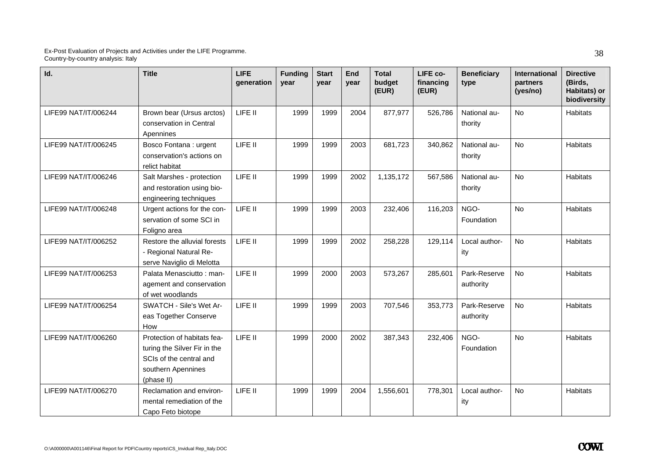| Id.                  | <b>Title</b>                                                                                                               | <b>LIFE</b><br>generation | <b>Funding</b><br>year | <b>Start</b><br>vear | End<br>vear | <b>Total</b><br>budget<br>(EUR) | LIFE co-<br>financing<br>(EUR) | <b>Beneficiary</b><br>type | <b>International</b><br>partners<br>(yes/no) | <b>Directive</b><br>(Birds,<br>Habitats) or<br>biodiversity |
|----------------------|----------------------------------------------------------------------------------------------------------------------------|---------------------------|------------------------|----------------------|-------------|---------------------------------|--------------------------------|----------------------------|----------------------------------------------|-------------------------------------------------------------|
| LIFE99 NAT/IT/006244 | Brown bear (Ursus arctos)<br>conservation in Central<br>Apennines                                                          | LIFE II                   | 1999                   | 1999                 | 2004        | 877,977                         | 526,786                        | National au-<br>thority    | <b>No</b>                                    | <b>Habitats</b>                                             |
| LIFE99 NAT/IT/006245 | Bosco Fontana : urgent<br>conservation's actions on<br>relict habitat                                                      | LIFE II                   | 1999                   | 1999                 | 2003        | 681,723                         | 340,862                        | National au-<br>thority    | <b>No</b>                                    | <b>Habitats</b>                                             |
| LIFE99 NAT/IT/006246 | Salt Marshes - protection<br>and restoration using bio-<br>engineering techniques                                          | LIFE II                   | 1999                   | 1999                 | 2002        | 1,135,172                       | 567,586                        | National au-<br>thority    | <b>No</b>                                    | Habitats                                                    |
| LIFE99 NAT/IT/006248 | Urgent actions for the con-<br>servation of some SCI in<br>Foligno area                                                    | LIFE II                   | 1999                   | 1999                 | 2003        | 232,406                         | 116,203                        | NGO-<br>Foundation         | <b>No</b>                                    | Habitats                                                    |
| LIFE99 NAT/IT/006252 | Restore the alluvial forests<br>- Regional Natural Re-<br>serve Naviglio di Melotta                                        | LIFE II                   | 1999                   | 1999                 | 2002        | 258,228                         | 129,114                        | Local author-<br>ity       | <b>No</b>                                    | Habitats                                                    |
| LIFE99 NAT/IT/006253 | Palata Menasciutto: man-<br>agement and conservation<br>of wet woodlands                                                   | LIFE II                   | 1999                   | 2000                 | 2003        | 573,267                         | 285,601                        | Park-Reserve<br>authority  | <b>No</b>                                    | <b>Habitats</b>                                             |
| LIFE99 NAT/IT/006254 | SWATCH - Sile's Wet Ar-<br>eas Together Conserve<br>How                                                                    | LIFE II                   | 1999                   | 1999                 | 2003        | 707,546                         | 353,773                        | Park-Reserve<br>authority  | <b>No</b>                                    | Habitats                                                    |
| LIFE99 NAT/IT/006260 | Protection of habitats fea-<br>turing the Silver Fir in the<br>SCIs of the central and<br>southern Apennines<br>(phase II) | LIFE II                   | 1999                   | 2000                 | 2002        | 387,343                         | 232,406                        | NGO-<br>Foundation         | <b>No</b>                                    | Habitats                                                    |
| LIFE99 NAT/IT/006270 | Reclamation and environ-<br>mental remediation of the<br>Capo Feto biotope                                                 | LIFE II                   | 1999                   | 1999                 | 2004        | 1,556,601                       | 778,301                        | Local author-<br>ity       | No                                           | Habitats                                                    |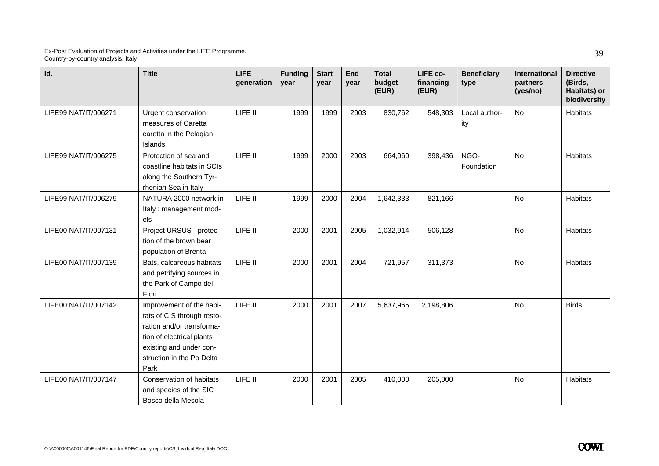| Id.                  | <b>Title</b>                                                                                                                                                                     | <b>LIFE</b><br>generation | <b>Funding</b><br>year | <b>Start</b><br>vear | End<br>vear | <b>Total</b><br>budget<br>(EUR) | LIFE co-<br>financing<br>(EUR) | <b>Beneficiary</b><br>type | <b>International</b><br>partners<br>(yes/no) | <b>Directive</b><br>(Birds,<br>Habitats) or<br>biodiversity |
|----------------------|----------------------------------------------------------------------------------------------------------------------------------------------------------------------------------|---------------------------|------------------------|----------------------|-------------|---------------------------------|--------------------------------|----------------------------|----------------------------------------------|-------------------------------------------------------------|
| LIFE99 NAT/IT/006271 | Urgent conservation<br>measures of Caretta<br>caretta in the Pelagian<br>Islands                                                                                                 | LIFE II                   | 1999                   | 1999                 | 2003        | 830,762                         | 548,303                        | Local author-<br>ity       | <b>No</b>                                    | Habitats                                                    |
| LIFE99 NAT/IT/006275 | Protection of sea and<br>coastline habitats in SCIs<br>along the Southern Tyr-<br>rhenian Sea in Italy                                                                           | LIFE II                   | 1999                   | 2000                 | 2003        | 664,060                         | 398,436                        | NGO-<br>Foundation         | <b>No</b>                                    | Habitats                                                    |
| LIFE99 NAT/IT/006279 | NATURA 2000 network in<br>Italy: management mod-<br>els                                                                                                                          | LIFE II                   | 1999                   | 2000                 | 2004        | 1,642,333                       | 821,166                        |                            | <b>No</b>                                    | Habitats                                                    |
| LIFE00 NAT/IT/007131 | Project URSUS - protec-<br>tion of the brown bear<br>population of Brenta                                                                                                        | LIFE II                   | 2000                   | 2001                 | 2005        | 1,032,914                       | 506,128                        |                            | <b>No</b>                                    | <b>Habitats</b>                                             |
| LIFE00 NAT/IT/007139 | Bats, calcareous habitats<br>and petrifying sources in<br>the Park of Campo dei<br>Fiori                                                                                         | LIFE II                   | 2000                   | 2001                 | 2004        | 721,957                         | 311,373                        |                            | <b>No</b>                                    | Habitats                                                    |
| LIFE00 NAT/IT/007142 | Improvement of the habi-<br>tats of CIS through resto-<br>ration and/or transforma-<br>tion of electrical plants<br>existing and under con-<br>struction in the Po Delta<br>Park | LIFE II                   | 2000                   | 2001                 | 2007        | 5,637,965                       | 2,198,806                      |                            | <b>No</b>                                    | <b>Birds</b>                                                |
| LIFE00 NAT/IT/007147 | Conservation of habitats<br>and species of the SIC<br>Bosco della Mesola                                                                                                         | LIFE II                   | 2000                   | 2001                 | 2005        | 410,000                         | 205,000                        |                            | <b>No</b>                                    | Habitats                                                    |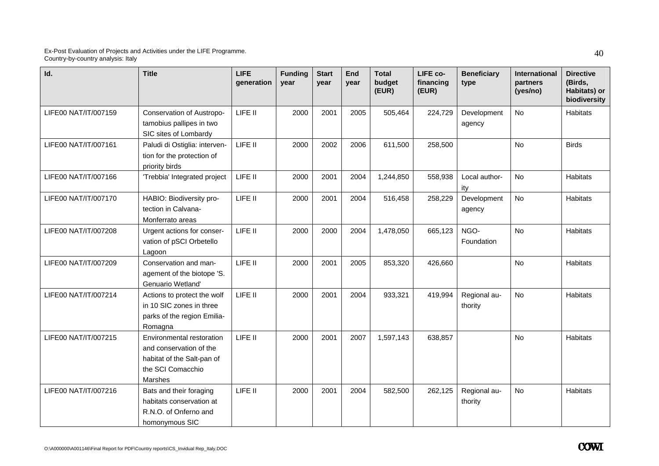| Id.                  | <b>Title</b>                                                                                                       | <b>LIFE</b><br>qeneration | <b>Funding</b><br>year | <b>Start</b><br>vear | End<br>year | <b>Total</b><br>budget<br>(EUR) | LIFE co-<br>financing<br>(EUR) | <b>Beneficiary</b><br>type | International<br>partners<br>(yes/no) | <b>Directive</b><br>(Birds,<br>Habitats) or<br>biodiversity |
|----------------------|--------------------------------------------------------------------------------------------------------------------|---------------------------|------------------------|----------------------|-------------|---------------------------------|--------------------------------|----------------------------|---------------------------------------|-------------------------------------------------------------|
| LIFE00 NAT/IT/007159 | Conservation of Austropo-<br>tamobius pallipes in two<br>SIC sites of Lombardy                                     | LIFE II                   | 2000                   | 2001                 | 2005        | 505,464                         | 224,729                        | Development<br>agency      | <b>No</b>                             | Habitats                                                    |
| LIFE00 NAT/IT/007161 | Paludi di Ostiglia: interven-<br>tion for the protection of<br>priority birds                                      | LIFE II                   | 2000                   | 2002                 | 2006        | 611,500                         | 258,500                        |                            | <b>No</b>                             | <b>Birds</b>                                                |
| LIFE00 NAT/IT/007166 | 'Trebbia' Integrated project                                                                                       | LIFE II                   | 2000                   | 2001                 | 2004        | 1,244,850                       | 558,938                        | Local author-<br>ity       | No                                    | Habitats                                                    |
| LIFE00 NAT/IT/007170 | HABIO: Biodiversity pro-<br>tection in Calvana-<br>Monferrato areas                                                | LIFE II                   | 2000                   | 2001                 | 2004        | 516,458                         | 258,229                        | Development<br>agency      | No                                    | Habitats                                                    |
| LIFE00 NAT/IT/007208 | Urgent actions for conser-<br>vation of pSCI Orbetello<br>Lagoon                                                   | LIFE II                   | 2000                   | 2000                 | 2004        | 1,478,050                       | 665,123                        | NGO-<br>Foundation         | <b>No</b>                             | Habitats                                                    |
| LIFE00 NAT/IT/007209 | Conservation and man-<br>agement of the biotope 'S.<br>Genuario Wetland'                                           | LIFE II                   | 2000                   | 2001                 | 2005        | 853,320                         | 426,660                        |                            | <b>No</b>                             | Habitats                                                    |
| LIFE00 NAT/IT/007214 | Actions to protect the wolf<br>in 10 SIC zones in three<br>parks of the region Emilia-<br>Romagna                  | LIFE II                   | 2000                   | 2001                 | 2004        | 933,321                         | 419,994                        | Regional au-<br>thority    | No                                    | Habitats                                                    |
| LIFE00 NAT/IT/007215 | Environmental restoration<br>and conservation of the<br>habitat of the Salt-pan of<br>the SCI Comacchio<br>Marshes | LIFE II                   | 2000                   | 2001                 | 2007        | 1,597,143                       | 638,857                        |                            | <b>No</b>                             | Habitats                                                    |
| LIFE00 NAT/IT/007216 | Bats and their foraging<br>habitats conservation at<br>R.N.O. of Onferno and<br>homonymous SIC                     | LIFE II                   | 2000                   | 2001                 | 2004        | 582,500                         | 262,125                        | Regional au-<br>thority    | No                                    | Habitats                                                    |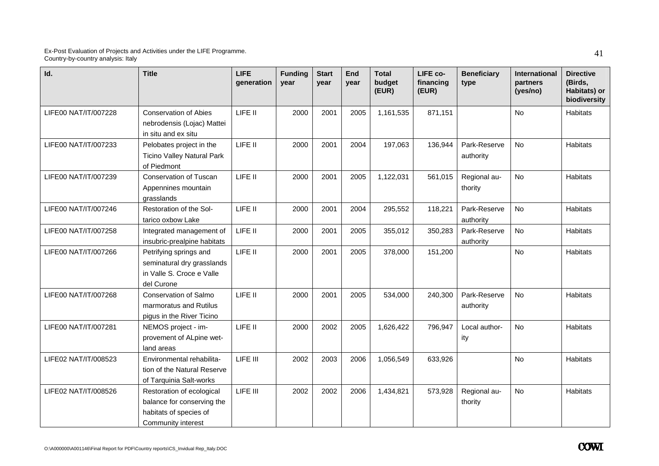| Id.                  | <b>Title</b>                                                                                            | <b>LIFE</b><br>generation | <b>Funding</b><br>year | <b>Start</b><br>year | End<br>year | <b>Total</b><br>budget<br>(EUR) | LIFE co-<br>financing<br>(EUR) | <b>Beneficiary</b><br>type | International<br>partners<br>(yes/no) | <b>Directive</b><br>(Birds,<br>Habitats) or<br>biodiversity |
|----------------------|---------------------------------------------------------------------------------------------------------|---------------------------|------------------------|----------------------|-------------|---------------------------------|--------------------------------|----------------------------|---------------------------------------|-------------------------------------------------------------|
| LIFE00 NAT/IT/007228 | <b>Conservation of Abies</b><br>nebrodensis (Lojac) Mattei<br>in situ and ex situ                       | LIFE II                   | 2000                   | 2001                 | 2005        | 1,161,535                       | 871,151                        |                            | <b>No</b>                             | Habitats                                                    |
| LIFE00 NAT/IT/007233 | Pelobates project in the<br><b>Ticino Valley Natural Park</b><br>of Piedmont                            | LIFE II                   | 2000                   | 2001                 | 2004        | 197,063                         | 136,944                        | Park-Reserve<br>authority  | No                                    | Habitats                                                    |
| LIFE00 NAT/IT/007239 | Conservation of Tuscan<br>Appennines mountain<br>grasslands                                             | LIFE II                   | 2000                   | 2001                 | 2005        | 1,122,031                       | 561,015                        | Regional au-<br>thority    | <b>No</b>                             | Habitats                                                    |
| LIFE00 NAT/IT/007246 | Restoration of the Sol-<br>tarico oxbow Lake                                                            | LIFE II                   | 2000                   | 2001                 | 2004        | 295,552                         | 118,221                        | Park-Reserve<br>authority  | <b>No</b>                             | Habitats                                                    |
| LIFE00 NAT/IT/007258 | Integrated management of<br>insubric-prealpine habitats                                                 | LIFE II                   | 2000                   | 2001                 | 2005        | 355,012                         | 350,283                        | Park-Reserve<br>authority  | <b>No</b>                             | Habitats                                                    |
| LIFE00 NAT/IT/007266 | Petrifying springs and<br>seminatural dry grasslands<br>in Valle S. Croce e Valle<br>del Curone         | LIFE II                   | 2000                   | 2001                 | 2005        | 378,000                         | 151,200                        |                            | No                                    | Habitats                                                    |
| LIFE00 NAT/IT/007268 | Conservation of Salmo<br>marmoratus and Rutilus<br>pigus in the River Ticino                            | LIFE II                   | 2000                   | 2001                 | 2005        | 534,000                         | 240,300                        | Park-Reserve<br>authority  | <b>No</b>                             | Habitats                                                    |
| LIFE00 NAT/IT/007281 | NEMOS project - im-<br>provement of ALpine wet-<br>land areas                                           | LIFE II                   | 2000                   | 2002                 | 2005        | 1,626,422                       | 796,947                        | Local author-<br>ity       | <b>No</b>                             | Habitats                                                    |
| LIFE02 NAT/IT/008523 | Environmental rehabilita-<br>tion of the Natural Reserve<br>of Tarquinia Salt-works                     | LIFE III                  | 2002                   | 2003                 | 2006        | 1,056,549                       | 633,926                        |                            | <b>No</b>                             | Habitats                                                    |
| LIFE02 NAT/IT/008526 | Restoration of ecological<br>balance for conserving the<br>habitats of species of<br>Community interest | LIFE III                  | 2002                   | 2002                 | 2006        | 1,434,821                       | 573,928                        | Regional au-<br>thority    | No                                    | Habitats                                                    |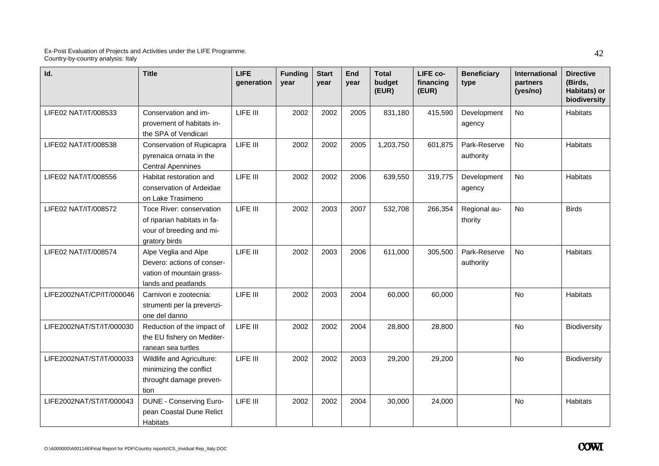| Id.                      | <b>Title</b>                                                                                           | <b>LIFE</b><br>qeneration | <b>Funding</b><br>year | <b>Start</b><br>vear | End<br>year | <b>Total</b><br>budget<br>(EUR) | LIFE co-<br>financing<br>(EUR) | <b>Beneficiary</b><br>type | International<br>partners<br>(yes/no) | <b>Directive</b><br>(Birds.<br>Habitats) or<br>biodiversity |
|--------------------------|--------------------------------------------------------------------------------------------------------|---------------------------|------------------------|----------------------|-------------|---------------------------------|--------------------------------|----------------------------|---------------------------------------|-------------------------------------------------------------|
| LIFE02 NAT/IT/008533     | Conservation and im-<br>provement of habitats in-<br>the SPA of Vendicari                              | LIFE III                  | 2002                   | 2002                 | 2005        | 831,180                         | 415,590                        | Development<br>agency      | <b>No</b>                             | Habitats                                                    |
| LIFE02 NAT/IT/008538     | Conservation of Rupicapra<br>pyrenaica ornata in the<br><b>Central Apennines</b>                       | LIFE III                  | 2002                   | 2002                 | 2005        | 1,203,750                       | 601,875                        | Park-Reserve<br>authority  | <b>No</b>                             | Habitats                                                    |
| LIFE02 NAT/IT/008556     | Habitat restoration and<br>conservation of Ardeidae<br>on Lake Trasimeno                               | LIFE III                  | 2002                   | 2002                 | 2006        | 639,550                         | 319,775                        | Development<br>agency      | <b>No</b>                             | Habitats                                                    |
| LIFE02 NAT/IT/008572     | Toce River: conservation<br>of riparian habitats in fa-<br>vour of breeding and mi-<br>gratory birds   | LIFE III                  | 2002                   | 2003                 | 2007        | 532,708                         | 266,354                        | Regional au-<br>thority    | <b>No</b>                             | <b>Birds</b>                                                |
| LIFE02 NAT/IT/008574     | Alpe Veglia and Alpe<br>Devero: actions of conser-<br>vation of mountain grass-<br>lands and peatlands | LIFE III                  | 2002                   | 2003                 | 2006        | 611,000                         | 305,500                        | Park-Reserve<br>authority  | <b>No</b>                             | Habitats                                                    |
| LIFE2002NAT/CP/IT/000046 | Carnivori e zootecnia:<br>strumenti per la prevenzi-<br>one del danno                                  | LIFE III                  | 2002                   | 2003                 | 2004        | 60,000                          | 60,000                         |                            | <b>No</b>                             | <b>Habitats</b>                                             |
| LIFE2002NAT/ST/IT/000030 | Reduction of the impact of<br>the EU fishery on Mediter-<br>ranean sea turtles                         | LIFE III                  | 2002                   | 2002                 | 2004        | 28,800                          | 28,800                         |                            | <b>No</b>                             | Biodiversity                                                |
| LIFE2002NAT/ST/IT/000033 | Wildlife and Agriculture:<br>minimizing the conflict<br>throught damage preven-<br>tion                | LIFE III                  | 2002                   | 2002                 | 2003        | 29,200                          | 29,200                         |                            | <b>No</b>                             | Biodiversity                                                |
| LIFE2002NAT/ST/IT/000043 | <b>DUNE - Conserving Euro-</b><br>pean Coastal Dune Relict<br><b>Habitats</b>                          | LIFE III                  | 2002                   | 2002                 | 2004        | 30,000                          | 24,000                         |                            | No                                    | <b>Habitats</b>                                             |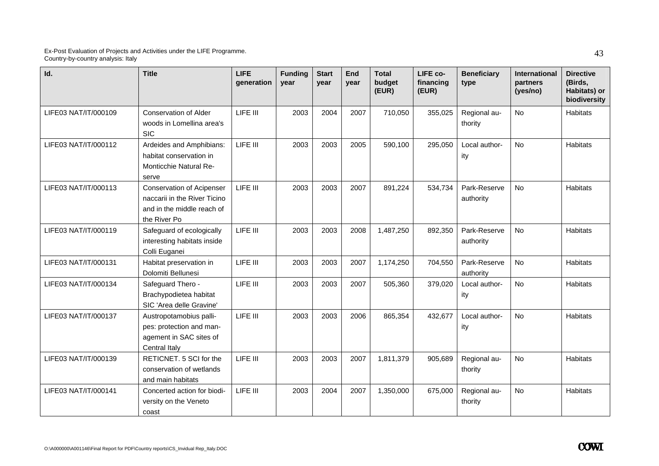| Id.                  | <b>Title</b>                                                                                                   | <b>LIFE</b><br>generation | <b>Funding</b><br>vear | <b>Start</b><br>vear | End<br>vear | <b>Total</b><br>budget<br>(EUR) | LIFE co-<br>financing<br>(EUR) | <b>Beneficiary</b><br>type | <b>International</b><br>partners<br>(yes/no) | <b>Directive</b><br>(Birds,<br>Habitats) or<br>biodiversity |
|----------------------|----------------------------------------------------------------------------------------------------------------|---------------------------|------------------------|----------------------|-------------|---------------------------------|--------------------------------|----------------------------|----------------------------------------------|-------------------------------------------------------------|
| LIFE03 NAT/IT/000109 | <b>Conservation of Alder</b><br>woods in Lomellina area's<br><b>SIC</b>                                        | LIFE III                  | 2003                   | 2004                 | 2007        | 710,050                         | 355,025                        | Regional au-<br>thority    | <b>No</b>                                    | Habitats                                                    |
| LIFE03 NAT/IT/000112 | Ardeides and Amphibians:<br>habitat conservation in<br>Monticchie Natural Re-<br>serve                         | LIFE III                  | 2003                   | 2003                 | 2005        | 590,100                         | 295,050                        | Local author-<br>ity       | <b>No</b>                                    | <b>Habitats</b>                                             |
| LIFE03 NAT/IT/000113 | <b>Conservation of Acipenser</b><br>naccarii in the River Ticino<br>and in the middle reach of<br>the River Po | LIFE III                  | 2003                   | 2003                 | 2007        | 891,224                         | 534,734                        | Park-Reserve<br>authority  | <b>No</b>                                    | Habitats                                                    |
| LIFE03 NAT/IT/000119 | Safeguard of ecologically<br>interesting habitats inside<br>Colli Euganei                                      | LIFE III                  | 2003                   | 2003                 | 2008        | 1,487,250                       | 892,350                        | Park-Reserve<br>authority  | No                                           | <b>Habitats</b>                                             |
| LIFE03 NAT/IT/000131 | Habitat preservation in<br>Dolomiti Bellunesi                                                                  | LIFE III                  | 2003                   | 2003                 | 2007        | 1,174,250                       | 704,550                        | Park-Reserve<br>authority  | <b>No</b>                                    | <b>Habitats</b>                                             |
| LIFE03 NAT/IT/000134 | Safeguard Thero -<br>Brachypodietea habitat<br>SIC 'Area delle Gravine'                                        | LIFE III                  | 2003                   | 2003                 | 2007        | 505,360                         | 379,020                        | Local author-<br>ity       | <b>No</b>                                    | Habitats                                                    |
| LIFE03 NAT/IT/000137 | Austropotamobius palli-<br>pes: protection and man-<br>agement in SAC sites of<br>Central Italy                | LIFE III                  | 2003                   | 2003                 | 2006        | 865,354                         | 432,677                        | Local author-<br>ity       | <b>No</b>                                    | <b>Habitats</b>                                             |
| LIFE03 NAT/IT/000139 | RETICNET. 5 SCI for the<br>conservation of wetlands<br>and main habitats                                       | LIFE III                  | 2003                   | 2003                 | 2007        | 1,811,379                       | 905,689                        | Regional au-<br>thority    | No                                           | Habitats                                                    |
| LIFE03 NAT/IT/000141 | Concerted action for biodi-<br>versity on the Veneto<br>coast                                                  | LIFE III                  | 2003                   | 2004                 | 2007        | 1,350,000                       | 675,000                        | Regional au-<br>thority    | No                                           | Habitats                                                    |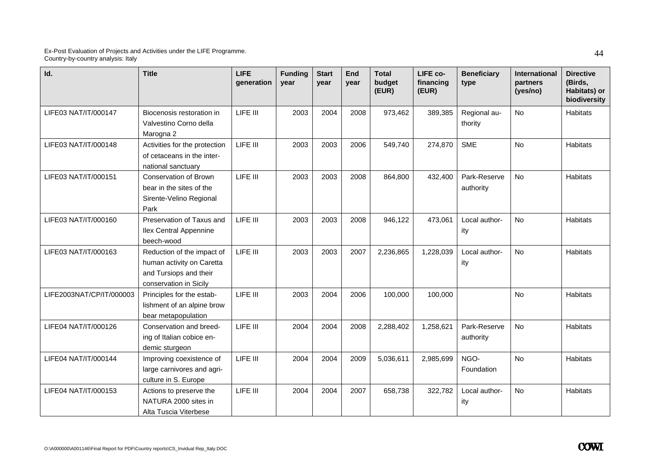| Id.                      | <b>Title</b>                                                                                                | <b>LIFE</b><br>generation | <b>Funding</b><br>year | <b>Start</b><br>year | End<br>vear | <b>Total</b><br>budget<br>(EUR) | LIFE co-<br>financing<br>(EUR) | <b>Beneficiary</b><br>type | International<br>partners<br>(yes/no) | <b>Directive</b><br>(Birds,<br>Habitats) or<br>biodiversity |
|--------------------------|-------------------------------------------------------------------------------------------------------------|---------------------------|------------------------|----------------------|-------------|---------------------------------|--------------------------------|----------------------------|---------------------------------------|-------------------------------------------------------------|
| LIFE03 NAT/IT/000147     | Biocenosis restoration in<br>Valvestino Corno della<br>Marogna 2                                            | LIFE III                  | 2003                   | 2004                 | 2008        | 973,462                         | 389,385                        | Regional au-<br>thority    | No                                    | <b>Habitats</b>                                             |
| LIFE03 NAT/IT/000148     | Activities for the protection<br>of cetaceans in the inter-<br>national sanctuary                           | LIFE III                  | 2003                   | 2003                 | 2006        | 549,740                         | 274,870                        | <b>SME</b>                 | No                                    | <b>Habitats</b>                                             |
| LIFE03 NAT/IT/000151     | Conservation of Brown<br>bear in the sites of the<br>Sirente-Velino Regional<br>Park                        | LIFE III                  | 2003                   | 2003                 | 2008        | 864,800                         | 432,400                        | Park-Reserve<br>authority  | <b>No</b>                             | Habitats                                                    |
| LIFE03 NAT/IT/000160     | Preservation of Taxus and<br><b>Ilex Central Appennine</b><br>beech-wood                                    | LIFE III                  | 2003                   | 2003                 | 2008        | 946,122                         | 473,061                        | Local author-<br>ity       | <b>No</b>                             | Habitats                                                    |
| LIFE03 NAT/IT/000163     | Reduction of the impact of<br>human activity on Caretta<br>and Tursiops and their<br>conservation in Sicily | LIFE III                  | 2003                   | 2003                 | 2007        | 2,236,865                       | 1,228,039                      | Local author-<br>ity       | No                                    | Habitats                                                    |
| LIFE2003NAT/CP/IT/000003 | Principles for the estab-<br>lishment of an alpine brow<br>bear metapopulation                              | LIFE III                  | 2003                   | 2004                 | 2006        | 100,000                         | 100,000                        |                            | <b>No</b>                             | Habitats                                                    |
| LIFE04 NAT/IT/000126     | Conservation and breed-<br>ing of Italian cobice en-<br>demic sturgeon                                      | LIFE III                  | 2004                   | 2004                 | 2008        | 2,288,402                       | 1,258,621                      | Park-Reserve<br>authority  | No                                    | <b>Habitats</b>                                             |
| LIFE04 NAT/IT/000144     | Improving coexistence of<br>large carnivores and agri-<br>culture in S. Europe                              | LIFE III                  | 2004                   | 2004                 | 2009        | 5,036,611                       | 2,985,699                      | NGO-<br>Foundation         | <b>No</b>                             | Habitats                                                    |
| LIFE04 NAT/IT/000153     | Actions to preserve the<br>NATURA 2000 sites in<br>Alta Tuscia Viterbese                                    | LIFE III                  | 2004                   | 2004                 | 2007        | 658,738                         | 322,782                        | Local author-<br>ity       | No                                    | Habitats                                                    |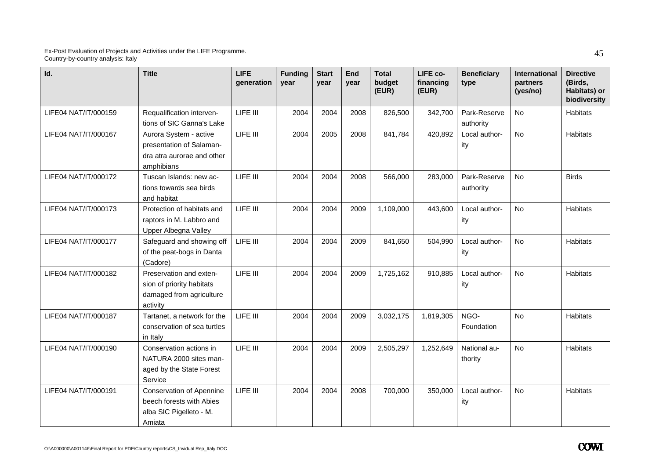| Id.                  | <b>Title</b>                                                                                     | <b>LIFE</b><br>qeneration | <b>Funding</b><br>vear | <b>Start</b><br>year | End<br>year | <b>Total</b><br>budget<br>(EUR) | LIFE co-<br>financing<br>(EUR) | <b>Beneficiary</b><br>type | International<br>partners<br>(yes/no) | <b>Directive</b><br>(Birds,<br>Habitats) or<br>biodiversity |
|----------------------|--------------------------------------------------------------------------------------------------|---------------------------|------------------------|----------------------|-------------|---------------------------------|--------------------------------|----------------------------|---------------------------------------|-------------------------------------------------------------|
| LIFE04 NAT/IT/000159 | Requalification interven-<br>tions of SIC Ganna's Lake                                           | LIFE III                  | 2004                   | 2004                 | 2008        | 826,500                         | 342,700                        | Park-Reserve<br>authority  | <b>No</b>                             | <b>Habitats</b>                                             |
| LIFE04 NAT/IT/000167 | Aurora System - active<br>presentation of Salaman-<br>dra atra aurorae and other<br>amphibians   | LIFE III                  | 2004                   | 2005                 | 2008        | 841,784                         | 420,892                        | Local author-<br>ity       | <b>No</b>                             | Habitats                                                    |
| LIFE04 NAT/IT/000172 | Tuscan Islands: new ac-<br>tions towards sea birds<br>and habitat                                | LIFE III                  | 2004                   | 2004                 | 2008        | 566,000                         | 283,000                        | Park-Reserve<br>authority  | <b>No</b>                             | <b>Birds</b>                                                |
| LIFE04 NAT/IT/000173 | Protection of habitats and<br>raptors in M. Labbro and<br>Upper Albegna Valley                   | LIFE III                  | 2004                   | 2004                 | 2009        | 1,109,000                       | 443,600                        | Local author-<br>ity       | <b>No</b>                             | Habitats                                                    |
| LIFE04 NAT/IT/000177 | Safeguard and showing off<br>of the peat-bogs in Danta<br>(Cadore)                               | LIFE III                  | 2004                   | 2004                 | 2009        | 841,650                         | 504,990                        | Local author-<br>ity       | <b>No</b>                             | Habitats                                                    |
| LIFE04 NAT/IT/000182 | Preservation and exten-<br>sion of priority habitats<br>damaged from agriculture<br>activity     | LIFE III                  | 2004                   | 2004                 | 2009        | 1,725,162                       | 910,885                        | Local author-<br>ity       | <b>No</b>                             | Habitats                                                    |
| LIFE04 NAT/IT/000187 | Tartanet, a network for the<br>conservation of sea turtles<br>in Italy                           | LIFE III                  | 2004                   | 2004                 | 2009        | 3,032,175                       | 1,819,305                      | NGO-<br>Foundation         | <b>No</b>                             | Habitats                                                    |
| LIFE04 NAT/IT/000190 | Conservation actions in<br>NATURA 2000 sites man-<br>aged by the State Forest<br>Service         | LIFE III                  | 2004                   | 2004                 | 2009        | 2,505,297                       | 1,252,649                      | National au-<br>thority    | <b>No</b>                             | Habitats                                                    |
| LIFE04 NAT/IT/000191 | <b>Conservation of Apennine</b><br>beech forests with Abies<br>alba SIC Pigelleto - M.<br>Amiata | LIFE III                  | 2004                   | 2004                 | 2008        | 700,000                         | 350,000                        | Local author-<br>ity       | No                                    | Habitats                                                    |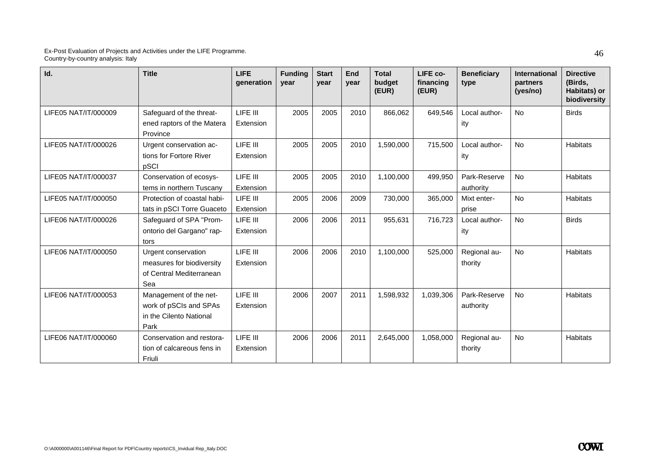| Id.                  | <b>Title</b>                                                                        | <b>LIFE</b><br>generation | <b>Funding</b><br>vear | <b>Start</b><br>vear | End<br>year | <b>Total</b><br>budget<br>(EUR) | LIFE co-<br>financing<br>(EUR) | <b>Beneficiary</b><br>type | <b>International</b><br>partners<br>(yes/no) | <b>Directive</b><br>(Birds,<br>Habitats) or<br>biodiversity |
|----------------------|-------------------------------------------------------------------------------------|---------------------------|------------------------|----------------------|-------------|---------------------------------|--------------------------------|----------------------------|----------------------------------------------|-------------------------------------------------------------|
| LIFE05 NAT/IT/000009 | Safeguard of the threat-<br>ened raptors of the Matera<br>Province                  | LIFE III<br>Extension     | 2005                   | 2005                 | 2010        | 866,062                         | 649,546                        | Local author-<br>ity       | <b>No</b>                                    | <b>Birds</b>                                                |
| LIFE05 NAT/IT/000026 | Urgent conservation ac-<br>tions for Fortore River<br>pSCI                          | LIFE III<br>Extension     | 2005                   | 2005                 | 2010        | 1,590,000                       | 715,500                        | Local author-<br>ity       | <b>No</b>                                    | <b>Habitats</b>                                             |
| LIFE05 NAT/IT/000037 | Conservation of ecosys-<br>tems in northern Tuscany                                 | LIFE III<br>Extension     | 2005                   | 2005                 | 2010        | 1,100,000                       | 499,950                        | Park-Reserve<br>authority  | No                                           | <b>Habitats</b>                                             |
| LIFE05 NAT/IT/000050 | Protection of coastal habi-<br>tats in pSCI Torre Guaceto                           | LIFE III<br>Extension     | 2005                   | 2006                 | 2009        | 730,000                         | 365,000                        | Mixt enter-<br>prise       | <b>No</b>                                    | Habitats                                                    |
| LIFE06 NAT/IT/000026 | Safeguard of SPA "Prom-<br>ontorio del Gargano" rap-<br>tors                        | LIFE III<br>Extension     | 2006                   | 2006                 | 2011        | 955,631                         | 716,723                        | Local author-<br>ity       | <b>No</b>                                    | <b>Birds</b>                                                |
| LIFE06 NAT/IT/000050 | Urgent conservation<br>measures for biodiversity<br>of Central Mediterranean<br>Sea | LIFE III<br>Extension     | 2006                   | 2006                 | 2010        | 1,100,000                       | 525,000                        | Regional au-<br>thority    | <b>No</b>                                    | <b>Habitats</b>                                             |
| LIFE06 NAT/IT/000053 | Management of the net-<br>work of pSCIs and SPAs<br>in the Cilento National<br>Park | LIFE III<br>Extension     | 2006                   | 2007                 | 2011        | 1,598,932                       | 1,039,306                      | Park-Reserve<br>authority  | <b>No</b>                                    | <b>Habitats</b>                                             |
| LIFE06 NAT/IT/000060 | Conservation and restora-<br>tion of calcareous fens in<br>Friuli                   | LIFE III<br>Extension     | 2006                   | 2006                 | 2011        | 2,645,000                       | 1,058,000                      | Regional au-<br>thority    | No                                           | Habitats                                                    |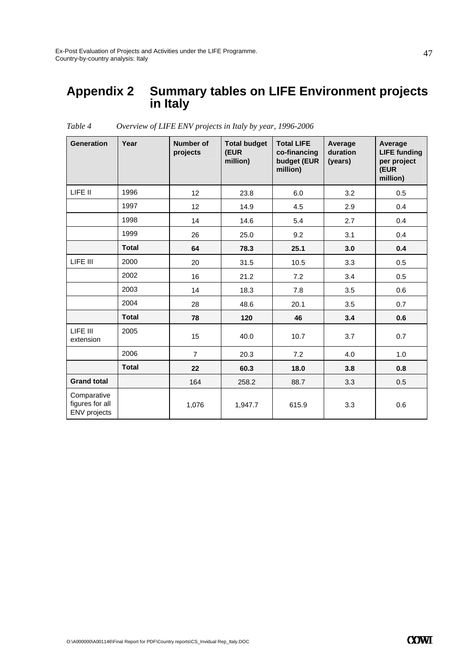### **Appendix 2 Summary tables on LIFE Environment projects in Italy**

| <b>Generation</b>                                     | Year         | Number of<br>projects | <b>Total budget</b><br>(EUR<br>million) | <b>Total LIFE</b><br>co-financing<br>budget (EUR<br>million) | Average<br>duration<br>(years) | Average<br><b>LIFE funding</b><br>per project<br>(EUR<br>million) |
|-------------------------------------------------------|--------------|-----------------------|-----------------------------------------|--------------------------------------------------------------|--------------------------------|-------------------------------------------------------------------|
| LIFE II                                               | 1996         | 12                    | 23.8                                    | 6.0                                                          | 3.2                            | 0.5                                                               |
|                                                       | 1997         | 12                    | 14.9                                    | 4.5                                                          | 2.9                            | 0.4                                                               |
|                                                       | 1998         | 14                    | 14.6                                    | 5.4                                                          | 2.7                            | 0.4                                                               |
|                                                       | 1999         | 26                    | 25.0                                    | 9.2                                                          | 3.1                            | 0.4                                                               |
|                                                       | <b>Total</b> | 64                    | 78.3                                    | 25.1                                                         | 3.0                            | 0.4                                                               |
| LIFE III                                              | 2000         | 20                    | 31.5                                    | 10.5                                                         | 3.3                            | 0.5                                                               |
|                                                       | 2002         | 16                    | 21.2                                    | 7.2                                                          | 3.4                            | 0.5                                                               |
|                                                       | 2003         | 14                    | 18.3                                    | 7.8                                                          | 3.5                            | 0.6                                                               |
|                                                       | 2004         | 28                    | 48.6                                    | 20.1                                                         | 3.5                            | 0.7                                                               |
|                                                       | <b>Total</b> | 78                    | 120                                     | 46                                                           | 3.4                            | 0.6                                                               |
| LIFE III<br>extension                                 | 2005         | 15                    | 40.0                                    | 10.7                                                         | 3.7                            | 0.7                                                               |
|                                                       | 2006         | $\overline{7}$        | 20.3                                    | 7.2                                                          | 4.0                            | 1.0                                                               |
|                                                       | <b>Total</b> | 22                    | 60.3                                    | 18.0                                                         | 3.8                            | 0.8                                                               |
| <b>Grand total</b>                                    |              | 164                   | 258.2                                   | 88.7                                                         | 3.3                            | 0.5                                                               |
| Comparative<br>figures for all<br><b>ENV</b> projects |              | 1,076                 | 1,947.7                                 | 615.9                                                        | 3.3                            | 0.6                                                               |

*Table 4 Overview of LIFE ENV projects in Italy by year, 1996-2006*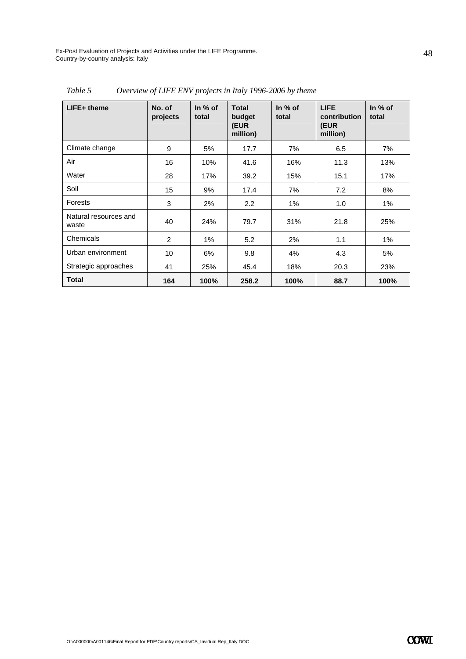| $L$ IFE+ theme                 | No. of<br>projects | In $%$ of<br>total | Total<br>budget<br>(EUR<br>million) | In $%$ of<br>total | <b>LIFE</b><br>contribution<br>(EUR<br>million) | In $%$ of<br>total |
|--------------------------------|--------------------|--------------------|-------------------------------------|--------------------|-------------------------------------------------|--------------------|
| Climate change                 | 9                  | 5%                 | 17.7                                | 7%                 | 6.5                                             | 7%                 |
| Air                            | 16                 | 10%                | 41.6                                | 16%                | 11.3                                            | 13%                |
| Water                          | 28                 | 17%                | 39.2                                | 15%                | 15.1                                            | 17%                |
| Soil                           | 15                 | 9%                 | 17.4                                | 7%                 | 7.2                                             | 8%                 |
| Forests                        | 3                  | 2%                 | $2.2\phantom{0}$                    | 1%                 | 1.0                                             | 1%                 |
| Natural resources and<br>waste | 40                 | 24%                | 79.7                                | 31%                | 21.8                                            | 25%                |
| Chemicals                      | 2                  | $1\%$              | 5.2                                 | 2%                 | 1.1                                             | 1%                 |
| Urban environment              | 10                 | 6%                 | 9.8                                 | 4%                 | 4.3                                             | 5%                 |
| Strategic approaches           | 41                 | 25%                | 45.4                                | 18%                | 20.3                                            | 23%                |
| <b>Total</b>                   | 164                | 100%               | 258.2                               | 100%               | 88.7                                            | 100%               |

*Table 5 Overview of LIFE ENV projects in Italy 1996-2006 by theme*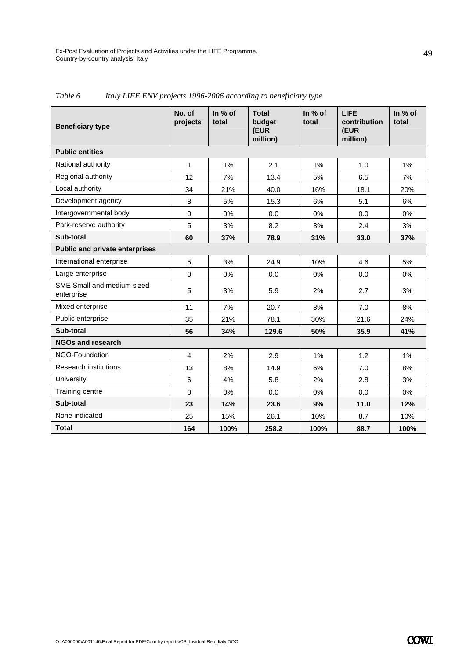| <b>Beneficiary type</b>                  | No. of<br>projects | In % of<br>total | <b>Total</b><br>budget<br>(EUR<br>million) | In % of<br>total | <b>LIFE</b><br>contribution<br>(EUR<br>million) | In % of<br>total |
|------------------------------------------|--------------------|------------------|--------------------------------------------|------------------|-------------------------------------------------|------------------|
| <b>Public entities</b>                   |                    |                  |                                            |                  |                                                 |                  |
| National authority                       | 1                  | 1%               | 2.1                                        | 1%               | 1.0                                             | 1%               |
| Regional authority                       | 12                 | 7%               | 13.4                                       | 5%               | 6.5                                             | 7%               |
| Local authority                          | 34                 | 21%              | 40.0                                       | 16%              | 18.1                                            | 20%              |
| Development agency                       | 8                  | 5%               | 15.3                                       | 6%               | 5.1                                             | 6%               |
| Intergovernmental body                   | $\Omega$           | 0%               | 0.0                                        | $0\%$            | 0.0                                             | $0\%$            |
| Park-reserve authority                   | 5                  | 3%               | 8.2                                        | 3%               | 2.4                                             | 3%               |
| Sub-total                                | 60                 | 37%              | 78.9                                       | 31%              | 33.0                                            | 37%              |
| <b>Public and private enterprises</b>    |                    |                  |                                            |                  |                                                 |                  |
| International enterprise                 | 5                  | 3%               | 24.9                                       | 10%              | 4.6                                             | 5%               |
| Large enterprise                         | $\mathbf 0$        | 0%               | 0.0                                        | $0\%$            | 0.0                                             | $0\%$            |
| SME Small and medium sized<br>enterprise | 5                  | 3%               | 5.9                                        | 2%               | 2.7                                             | 3%               |
| Mixed enterprise                         | 11                 | 7%               | 20.7                                       | 8%               | 7.0                                             | 8%               |
| Public enterprise                        | 35                 | 21%              | 78.1                                       | 30%              | 21.6                                            | 24%              |
| Sub-total                                | 56                 | 34%              | 129.6                                      | 50%              | 35.9                                            | 41%              |
| <b>NGOs and research</b>                 |                    |                  |                                            |                  |                                                 |                  |
| NGO-Foundation                           | $\overline{4}$     | 2%               | 2.9                                        | 1%               | 1.2                                             | 1%               |
| <b>Research institutions</b>             | 13                 | 8%               | 14.9                                       | 6%               | 7.0                                             | 8%               |
| University                               | 6                  | 4%               | 5.8                                        | 2%               | 2.8                                             | 3%               |
| Training centre                          | $\mathbf 0$        | 0%               | 0.0                                        | 0%               | 0.0                                             | 0%               |
| Sub-total                                | 23                 | 14%              | 23.6                                       | 9%               | 11.0                                            | 12%              |
| None indicated                           | 25                 | 15%              | 26.1                                       | 10%              | 8.7                                             | 10%              |
| <b>Total</b>                             | 164                | 100%             | 258.2                                      | 100%             | 88.7                                            | 100%             |

*Table 6 Italy LIFE ENV projects 1996-2006 according to beneficiary type*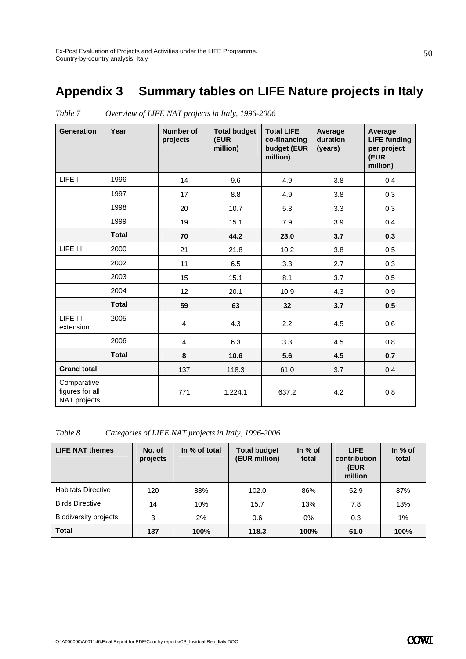## **Appendix 3 Summary tables on LIFE Nature projects in Italy**

| <b>Generation</b>                              | Year         | <b>Number of</b><br>projects | <b>Total budget</b><br>(EUR<br>million) | <b>Total LIFE</b><br>co-financing<br>budget (EUR<br>million) | Average<br>duration<br>(years) | Average<br><b>LIFE funding</b><br>per project<br>(EUR<br>million) |
|------------------------------------------------|--------------|------------------------------|-----------------------------------------|--------------------------------------------------------------|--------------------------------|-------------------------------------------------------------------|
| LIFE II                                        | 1996         | 14                           | 9.6                                     | 4.9                                                          | 3.8                            | 0.4                                                               |
|                                                | 1997         | 17                           | 8.8                                     | 4.9                                                          | 3.8                            | 0.3                                                               |
|                                                | 1998         | 20                           | 10.7                                    | 5.3                                                          | 3.3                            | 0.3                                                               |
|                                                | 1999         | 19                           | 15.1                                    | 7.9                                                          | 3.9                            | 0.4                                                               |
|                                                | <b>Total</b> | 70                           | 44.2                                    | 23.0                                                         | 3.7                            | 0.3                                                               |
| LIFE III                                       | 2000         | 21                           | 21.8                                    | 10.2                                                         | 3.8                            | 0.5                                                               |
|                                                | 2002         | 11                           | 6.5                                     | 3.3                                                          | 2.7                            | 0.3                                                               |
|                                                | 2003         | 15                           | 15.1                                    | 8.1                                                          | 3.7                            | 0.5                                                               |
|                                                | 2004         | 12                           | 20.1                                    | 10.9                                                         | 4.3                            | 0.9                                                               |
|                                                | <b>Total</b> | 59                           | 63                                      | 32                                                           | 3.7                            | 0.5                                                               |
| LIFE III<br>extension                          | 2005         | 4                            | 4.3                                     | 2.2                                                          | 4.5                            | 0.6                                                               |
|                                                | 2006         | $\overline{4}$               | 6.3                                     | 3.3                                                          | 4.5                            | 0.8                                                               |
|                                                | <b>Total</b> | 8                            | 10.6                                    | 5.6                                                          | 4.5                            | 0.7                                                               |
| <b>Grand total</b>                             |              | 137                          | 118.3                                   | 61.0                                                         | 3.7                            | 0.4                                                               |
| Comparative<br>figures for all<br>NAT projects |              | 771                          | 1,224.1                                 | 637.2                                                        | 4.2                            | 0.8                                                               |

*Table 7 Overview of LIFE NAT projects in Italy, 1996-2006* 

*Table 8 Categories of LIFE NAT projects in Italy, 1996-2006* 

| <b>LIFE NAT themes</b>       | No. of<br>projects | In % of total | <b>Total budget</b><br>(EUR million) | In $%$ of<br>total | <b>LIFE</b><br>contribution<br>(EUR<br>million | In % of<br>total |
|------------------------------|--------------------|---------------|--------------------------------------|--------------------|------------------------------------------------|------------------|
| <b>Habitats Directive</b>    | 120                | 88%           | 102.0                                | 86%                | 52.9                                           | 87%              |
| <b>Birds Directive</b>       | 14                 | 10%           | 15.7                                 | 13%                | 7.8                                            | 13%              |
| <b>Biodiversity projects</b> | 3                  | 2%            | 0.6                                  | $0\%$              | 0.3                                            | 1%               |
| <b>Total</b>                 | 137                | 100%          | 118.3                                | 100%               | 61.0                                           | 100%             |